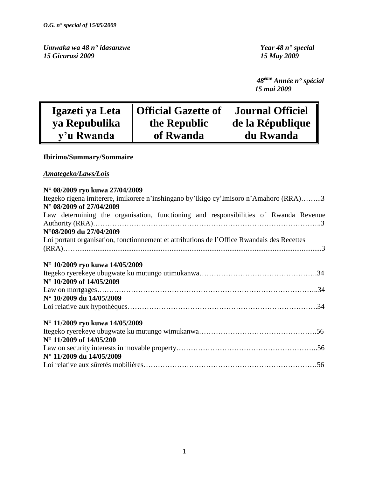*Umwaka wa 48 n° idasanzwe Year 48 n° special 15 Gicurasi 2009 15 May 2009*

 *48ème Année n° spécial 15 mai 2009*

| Igazeti ya Leta | <b>Official Gazette of</b> | <b>Journal Officiel</b> |
|-----------------|----------------------------|-------------------------|
| ya Repubulika   | the Republic               | de la République        |
| y'u Rwanda      | of Rwanda                  | du Rwanda               |

### **Ibirimo/Summary/Sommaire**

### *Amategeko/Laws/Lois*

| N° 08/2009 ryo kuwa 27/04/2009                                                             |
|--------------------------------------------------------------------------------------------|
| Itegeko rigena imiterere, imikorere n'inshingano by Ikigo cy Imisoro n'Amahoro (RRA)3      |
| N° 08/2009 of 27/04/2009                                                                   |
| Law determining the organisation, functioning and responsibilities of Rwanda Revenue       |
|                                                                                            |
| N°08/2009 du 27/04/2009                                                                    |
| Loi portant organisation, fonctionnement et attributions de l'Office Rwandais des Recettes |
|                                                                                            |
|                                                                                            |
| N° 10/2009 ryo kuwa 14/05/2009                                                             |
|                                                                                            |
| N° 10/2009 of 14/05/2009                                                                   |
|                                                                                            |
| N° 10/2009 du 14/05/2009                                                                   |
|                                                                                            |
|                                                                                            |
| N° 11/2009 ryo kuwa 14/05/2009                                                             |
|                                                                                            |
| N° 11/2009 of 14/05/200                                                                    |
|                                                                                            |
| N° 11/2009 du 14/05/2009                                                                   |
|                                                                                            |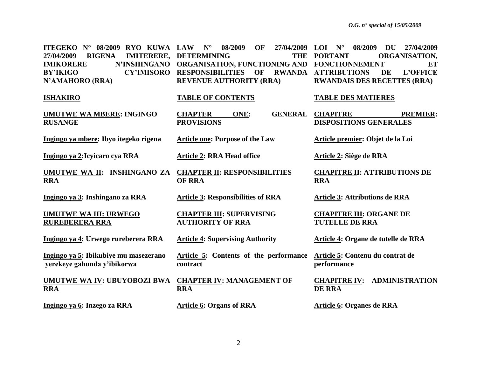| ITEGEKO Nº 08/2009 RYO KUWA LAW<br>27/04/2009<br><b>RIGENA</b><br><b>IMITERERE,</b><br>N'INSHINGANO<br><b>IMIKORERE</b><br><b>BY'IKIGO</b><br><b>CY'IMISORO</b><br>N'AMAHORO (RRA) | 08/2009<br>OF<br>27/04/2009<br>$N^{\circ}$<br><b>DETERMINING</b><br><b>THE</b><br>ORGANISATION, FUNCTIONING AND FONCTIONNEMENT<br><b>RESPONSIBILITIES</b><br>OF<br><b>REVENUE AUTHORITY (RRA)</b> | $N^{\circ}$<br>08/2009<br>DU<br>LOI<br>27/04/2009<br><b>PORTANT</b><br>ORGANISATION,<br>ET<br><b>RWANDA ATTRIBUTIONS</b><br>DE<br><b>L'OFFICE</b><br><b>RWANDAIS DES RECETTES (RRA)</b> |
|------------------------------------------------------------------------------------------------------------------------------------------------------------------------------------|---------------------------------------------------------------------------------------------------------------------------------------------------------------------------------------------------|-----------------------------------------------------------------------------------------------------------------------------------------------------------------------------------------|
| <b>ISHAKIRO</b>                                                                                                                                                                    | <b>TABLE OF CONTENTS</b>                                                                                                                                                                          | <b>TABLE DES MATIERES</b>                                                                                                                                                               |
| <b>UMUTWE WA MBERE: INGINGO</b><br><b>RUSANGE</b>                                                                                                                                  | <b>CHAPTER</b><br><b>GENERAL</b><br>ONE:<br><b>PROVISIONS</b>                                                                                                                                     | <b>CHAPITRE</b><br><b>PREMIER:</b><br><b>DISPOSITIONS GENERALES</b>                                                                                                                     |
| Ingingo ya mbere: Ibyo itegeko rigena                                                                                                                                              | <b>Article one: Purpose of the Law</b>                                                                                                                                                            | Article premier: Objet de la Loi                                                                                                                                                        |
| Ingingo ya 2: Icyicaro cya RRA                                                                                                                                                     | <b>Article 2: RRA Head office</b>                                                                                                                                                                 | Article 2: Siège de RRA                                                                                                                                                                 |
| UMUTWE WA II: INSHINGANO ZA<br><b>RRA</b>                                                                                                                                          | <b>CHAPTER II: RESPONSIBILITIES</b><br><b>OF RRA</b>                                                                                                                                              | <b>CHAPITRE II: ATTRIBUTIONS DE</b><br><b>RRA</b>                                                                                                                                       |
| Ingingo ya 3: Inshingano za RRA                                                                                                                                                    | <b>Article 3: Responsibilities of RRA</b>                                                                                                                                                         | <b>Article 3: Attributions de RRA</b>                                                                                                                                                   |
| <b>UMUTWE WA III: URWEGO</b><br><b>RUREBERERA RRA</b>                                                                                                                              | <b>CHAPTER III: SUPERVISING</b><br><b>AUTHORITY OF RRA</b>                                                                                                                                        | <b>CHAPITRE III: ORGANE DE</b><br><b>TUTELLE DE RRA</b>                                                                                                                                 |
| Ingingo ya 4: Urwego rureberera RRA                                                                                                                                                | <b>Article 4: Supervising Authority</b>                                                                                                                                                           | Article 4: Organe de tutelle de RRA                                                                                                                                                     |
| Ingingo ya 5: Ibikubiye mu masezerano<br>yerekeye gahunda y'ibikorwa                                                                                                               | Article 5: Contents of the performance<br>contract                                                                                                                                                | Article 5: Contenu du contrat de<br>performance                                                                                                                                         |
| <b>UMUTWE WA IV: UBUYOBOZI BWA</b><br><b>RRA</b>                                                                                                                                   | <b>CHAPTER IV: MANAGEMENT OF</b><br><b>RRA</b>                                                                                                                                                    | <b>ADMINISTRATION</b><br><b>CHAPITRE IV:</b><br><b>DE RRA</b>                                                                                                                           |
| Ingingo ya 6: Inzego za RRA                                                                                                                                                        | <b>Article 6: Organs of RRA</b>                                                                                                                                                                   | Article 6: Organes de RRA                                                                                                                                                               |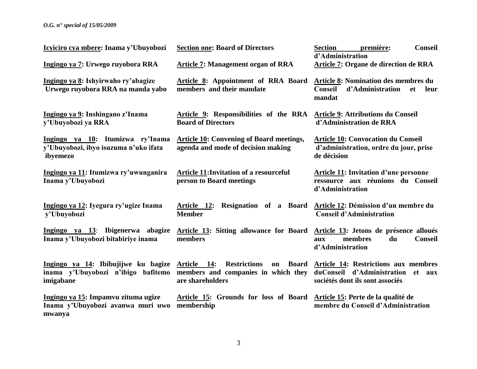### *O.G. n° special of 15/05/2009*

| Icyiciro cya mbere: Inama y'Ubuyobozi                                                              | <b>Section one: Board of Directors</b>                                                                 | <b>Section</b><br><b>Conseil</b><br>première:<br>d'Administration                                                      |
|----------------------------------------------------------------------------------------------------|--------------------------------------------------------------------------------------------------------|------------------------------------------------------------------------------------------------------------------------|
| Ingingo ya 7: Urwego ruyobora RRA                                                                  | <b>Article 7: Management organ of RRA</b>                                                              | <b>Article 7: Organe de direction de RRA</b>                                                                           |
| Ingingo ya 8: Ishyirwaho ry'abagize<br>Urwego ruyobora RRA na manda yabo                           | <b>Article 8: Appointment of RRA Board</b><br>members and their mandate                                | <b>Article 8: Nomination des membres du</b><br>Conseil<br>d'Administration<br>et<br>leur<br>mandat                     |
| Ingingo ya 9: Inshingano z'Inama<br>y'Ubuyobozi ya RRA                                             | Article 9: Responsibilities of the RRA Article 9: Attributions du Conseil<br><b>Board of Directors</b> | d'Administration de RRA                                                                                                |
| Ingingo ya 10: Itumizwa ry'Inama<br>y'Ubuyobozi, ibyo isuzuma n'uko ifata<br>ibyemezo              | <b>Article 10: Convening of Board meetings,</b><br>agenda and mode of decision making                  | <b>Article 10: Convocation du Conseil</b><br>d'administration, ordre du jour, prise<br>de décision                     |
| Ingingo ya 11: Itumizwa ry'uwunganira<br>Inama y'Ubuyobozi                                         | <b>Article 11: Invitation of a resourceful</b><br>person to Board meetings                             | <b>Article 11: Invitation d'une personne</b><br>ressource aux réunions du Conseil<br>d'Administration                  |
| Ingingo ya 12: Iyegura ry'ugize Inama<br>y'Ubuyobozi                                               | Resignation of a Board<br>Article 12:<br><b>Member</b>                                                 | Article 12: Démission d'un membre du<br><b>Conseil d'Administration</b>                                                |
| Ingingo ya 13: Ibigenerwa abagize<br>Inama y'Ubuyobozi bitabiriye inama                            | Article 13: Sitting allowance for Board<br>members                                                     | Article 13: Jetons de présence alloués<br>membres<br><b>Conseil</b><br>du<br>aux<br>d'Administration                   |
| Ingingo ya 14: Ibibujijwe ku bagize Article 14:<br>inama y'Ubuyobozi n'ibigo bafitemo<br>imigabane | <b>Restrictions</b><br><b>Board</b><br>on<br>members and companies in which they<br>are shareholders   | <b>Article 14: Restrictions aux membres</b><br>duConseil d'Administration<br>et aux<br>sociétés dont ils sont associés |
| Ingingo ya 15: Impamvu zituma ugize<br>Inama y'Ubuyobozi avanwa muri uwo<br>mwanya                 | Article 15: Grounds for loss of Board<br>membership                                                    | Article 15: Perte de la qualité de<br>membre du Conseil d'Administration                                               |

3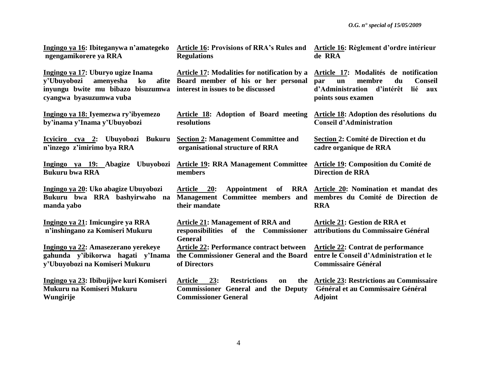| Ingingo ya 16: Ibiteganywa n'amategeko                                                                                                                                 | <b>Article 16: Provisions of RRA's Rules and</b>                                                                                | Article 16: Règlement d'ordre intérieur                                                                                                                          |
|------------------------------------------------------------------------------------------------------------------------------------------------------------------------|---------------------------------------------------------------------------------------------------------------------------------|------------------------------------------------------------------------------------------------------------------------------------------------------------------|
| ngengamikorere ya RRA                                                                                                                                                  | <b>Regulations</b>                                                                                                              | de RRA                                                                                                                                                           |
| Ingingo ya 17: Uburyo ugize Inama<br>v'Ubuyobozi<br>amenyesha<br>ko<br>inyungu bwite mu bibazo bisuzumwa interest in issues to be discussed<br>cyangwa byasuzumwa vuba | <b>Article 17: Modalities for notification by a</b><br>afite Board member of his or her personal                                | Article 17: Modalités de notification<br>membre<br>du<br><b>Conseil</b><br>par<br>$\mathbf{u}$<br>d'Administration d'intérêt<br>lié<br>aux<br>points sous examen |
| Ingingo ya 18: Iyemezwa ry'ibyemezo                                                                                                                                    | Article 18: Adoption of Board meeting                                                                                           | Article 18: Adoption des résolutions du                                                                                                                          |
| by'inama y'Inama y'Ubuyobozi                                                                                                                                           | resolutions                                                                                                                     | <b>Conseil d'Administration</b>                                                                                                                                  |
| Icyiciro cya 2: Ubuyobozi Bukuru                                                                                                                                       | <b>Section 2: Management Committee and</b>                                                                                      | Section 2: Comité de Direction et du                                                                                                                             |
| n'inzego z'imirimo bya RRA                                                                                                                                             | organisational structure of RRA                                                                                                 | cadre organique de RRA                                                                                                                                           |
| Ingingo ya 19: Abagize                                                                                                                                                 | Ubuyobozi Article 19: RRA Management Committee                                                                                  | <b>Article 19: Composition du Comité de</b>                                                                                                                      |
| <b>Bukuru bwa RRA</b>                                                                                                                                                  | members                                                                                                                         | <b>Direction de RRA</b>                                                                                                                                          |
| Ingingo ya 20: Uko abagize Ubuyobozi<br>Bukuru bwa RRA bashyirwaho<br>na<br>manda yabo                                                                                 | Appointment of<br><b>RRA</b><br>Article 20:<br>Management Committee members and<br>their mandate                                | Article 20: Nomination et mandat des<br>membres du Comité de Direction de<br><b>RRA</b>                                                                          |
| Ingingo ya 21: Imicungire ya RRA<br>n'inshingano za Komiseri Mukuru                                                                                                    | <b>Article 21: Management of RRA and</b><br>responsibilities of the Commissioner<br><b>General</b>                              | Article 21: Gestion de RRA et<br>attributions du Commissaire Général                                                                                             |
| Ingingo ya 22: Amasezerano yerekeye                                                                                                                                    | <b>Article 22: Performance contract between</b>                                                                                 | Article 22: Contrat de performance                                                                                                                               |
| gahunda y'ibikorwa hagati y'Inama                                                                                                                                      | the Commissioner General and the Board                                                                                          | entre le Conseil d'Administration et le                                                                                                                          |
| y'Ubuyobozi na Komiseri Mukuru                                                                                                                                         | of Directors                                                                                                                    | <b>Commissaire Général</b>                                                                                                                                       |
| Ingingo ya 23: Ibibujijwe kuri Komiseri<br>Mukuru na Komiseri Mukuru<br>Wungirije                                                                                      | 23:<br><b>Restrictions</b><br>Article<br>the<br>on<br><b>Commissioner General and the Deputy</b><br><b>Commissioner General</b> | <b>Article 23: Restrictions au Commissaire</b><br>Général et au Commissaire Général<br><b>Adjoint</b>                                                            |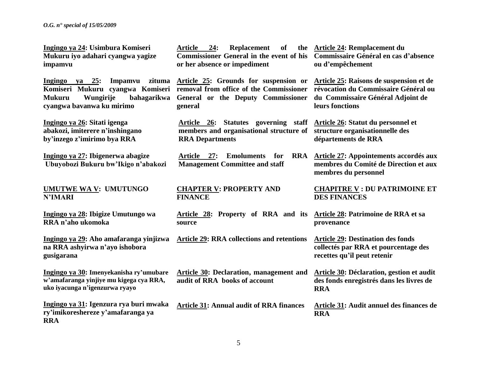*O.G. n° special of 15/05/2009*

**Ingingo ya 24: Usimbura Komiseri Mukuru iyo adahari cyangwa yagize impamvu**

**Ingingo ya 25: Impamvu zituma Komiseri Mukuru cyangwa Komiseri removal from office of the Commissioner Mukuru Wungirije bahagarikwa General or the Deputy Commissioner cyangwa bavanwa ku mirimo**

**Ingingo ya 26: Sitati igenga abakozi, imiterere n'inshingano by'inzego z'imirimo bya RRA** 

**Ingingo ya 27: Ibigenerwa abagize Ubuyobozi Bukuru bw'Ikigo n'abakozi**

**UMUTWE WA V: UMUTUNGO N'IMARI**

**Ingingo ya 28: Ibigize Umutungo wa RRA n'aho ukomoka**

**Ingingo ya 29: Aho amafaranga yinjizwa na RRA ashyirwa n'ayo ishobora gusigarana**

**Ingingo ya 30: Imenyekanisha ry'umubare w'amafaranga yinjiye mu kigega cya RRA, uko iyacunga n'igenzurwa ryayo**

**Ingingo ya 31: Igenzura rya buri mwaka ry'imikoreshereze y'amafaranga ya RRA**

Article 24: Replacement of **Commissioner General in the event of his or her absence or impediment** 

**Article 25: Grounds for suspension or Article 25: Raisons de suspension et de general**

**Article 26: Statutes governing staff Article 26: Statut du personnel et members and organisational structure of structure organisationnelle des RRA Departments**

Article 27: Emoluments for **Management Committee and staff** 

**CHAPTER V: PROPERTY AND FINANCE** 

**Article 28: Property of RRA and its Article 28: Patrimoine de RRA et sa source**

**Article 29: RRA collections and retentions**

**Article 30: Declaration, management and audit of RRA books of account**

**Article 31: Annual audit of RRA finances**

**Article 24: Remplacement du Commissaire Général en cas d'absence ou d'empêchement**

> **révocation du Commissaire Général ou du Commissaire Général Adjoint de leurs fonctions**

**départements de RRA**

**Article 27: Appointements accordés aux membres du Comité de Direction et aux membres du personnel**

> **CHAPITRE V : DU PATRIMOINE ET DES FINANCES**

**provenance** 

**Article 29: Destination des fonds collectés par RRA et pourcentage des recettes qu'il peut retenir**

**Article 30: Déclaration, gestion et audit des fonds enregistrés dans les livres de RRA** 

**Article 31: Audit annuel des finances de RRA**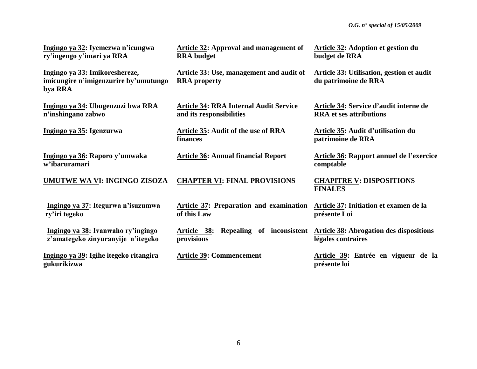| Ingingo ya 32: Iyemezwa n'icungwa<br>ry'ingengo y'imari ya RRA                     | Article 32: Approval and management of<br><b>RRA</b> budget               | Article 32: Adoption et gestion du<br>budget de RRA                                     |
|------------------------------------------------------------------------------------|---------------------------------------------------------------------------|-----------------------------------------------------------------------------------------|
| Ingingo ya 33: Imikoreshereze,<br>imicungire n'imigenzurire by'umutungo<br>bya RRA | <b>Article 33: Use, management and audit of</b><br><b>RRA</b> property    | <b>Article 33: Utilisation, gestion et audit</b><br>du patrimoine de RRA                |
| Ingingo ya 34: Ubugenzuzi bwa RRA<br>n'inshingano zabwo                            | <b>Article 34: RRA Internal Audit Service</b><br>and its responsibilities | Article 34: Service d'audit interne de<br><b>RRA</b> et ses attributions                |
| Ingingo ya 35: Igenzurwa                                                           | <b>Article 35: Audit of the use of RRA</b><br>finances                    | Article 35: Audit d'utilisation du<br>patrimoine de RRA                                 |
| Ingingo ya 36: Raporo y'umwaka<br>w'ibaruramari                                    | <b>Article 36: Annual financial Report</b>                                | <b>Article 36: Rapport annuel de l'exercice</b><br>comptable                            |
| UMUTWE WA VI: INGINGO ZISOZA                                                       | <b>CHAPTER VI: FINAL PROVISIONS</b>                                       | <b>CHAPITRE V: DISPOSITIONS</b><br><b>FINALES</b>                                       |
| Ingingo ya 37: Itegurwa n'isuzumwa<br>ry'iri tegeko                                | <b>Article 37: Preparation and examination</b><br>of this Law             | Article 37: Initiation et examen de la<br>présente Loi                                  |
| Ingingo ya 38: Ivanwaho ry'ingingo<br>z'amategeko zinyuranyije n'itegeko           | <u>Article 38:</u><br>provisions                                          | Repealing of inconsistent Article 38: Abrogation des dispositions<br>légales contraires |
| Ingingo ya 39: Igihe itegeko ritangira<br>gukurikizwa                              | <b>Article 39: Commencement</b>                                           | Article 39: Entrée en vigueur de la<br>présente loi                                     |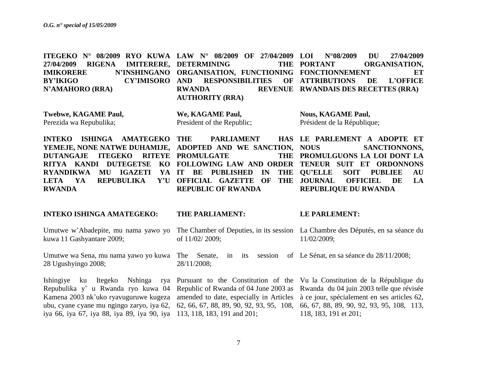**ITEGEKO N° 08/2009 RYO KUWA LAW N° 08/2009 OF 27/04/2009 27/04/2009 RIGENA IMITERERE, DETERMINING THE IMIKORERE N'INSHINGANO ORGANISATION, FUNCTIONING FONCTIONNEMENT ET BY'IKIGO CY'IMISORO N'AMAHORO (RRA) RESPONSIBILITIES RWANDA REVENUE RWANDAIS DES RECETTES (RRA) AUTHORITY (RRA) LOI N°08/2009 DU 27/04/2009**  THE PORTANT ORGANISATION, **ATTRIBUTIONS DE L'OFFICE** 

**Twebwe, KAGAME Paul,** Perezida wa Repubulika;

**We, KAGAME Paul,** President of the Republic; **Nous, KAGAME Paul,** Président de la République;

**INTEKO ISHINGA AMATEGEKO YEMEJE, NONE NATWE DUHAMIJE, ADOPTED AND WE SANCTION, DUTANGAJE ITEGEKO RITEYE PROMULGATE THE RITYA KANDI DUTEGETSE KO FOLLOWING LAW AND ORDER TENEUR SUIT ET ORDONNONS RYANDIKWA MU IGAZETI YA IT BE PUBLISHED IN THE**  LETA YA REPUBULIKA **RWANDA PARLIAMENT** Y'U OFFICIAL GAZETTE OF THE JOURNAL **REPUBLIC OF RWANDA LE PARLEMENT A ADOPTE ET**  SANCTIONNONS, **PROMULGUONS LA LOI DONT LA**  THE QU'ELLE SOIT PUBLIEE AU **OFFICIEL DE LA REPUBLIQUE DU RWANDA**

**INTEKO ISHINGA AMATEGEKO:** Umutwe w"Abadepite, mu nama yawo yo kuwa 11 Gashyantare 2009; Umutwe wa Sena, mu nama yawo yo kuwa The Senate, in its session of Le Sénat, en sa séance du 28/11/2008; 28 Ugushyingo 2008; Ishingiye ku Itegeko Nshinga rya Pursuant to the Constitution of the Vu la Constitution de la République du Repubulika y'u Rwanda ryo kuwa 04 Republic of Rwanda of 04 June 2003 as Rwanda du 04 juin 2003 telle que révisée Kamena 2003 nk'uko ryavuguruwe kugeza amended to date, especially in Articles à ce jour, spécialement en ses articles 62, ubu, cyane cyane mu ngingo zaryo, iya 62, 62, 66, 67, 88, 89, 90, 92, 93, 95, 108, 66, 67, 88, 89, 90, 92, 93, 95, 108, 113, iya 66, iya 67, iya 88, iya 89, iya 90, iya 113, 118, 183, 191 and 201; **THE PARLIAMENT:** The Chamber of Deputies, in its session La Chambre des Députés, en sa séance du of 11/02/ 2009; 28/11/2008; **LE PARLEMENT:** 11/02/2009; 118, 183, 191 et 201;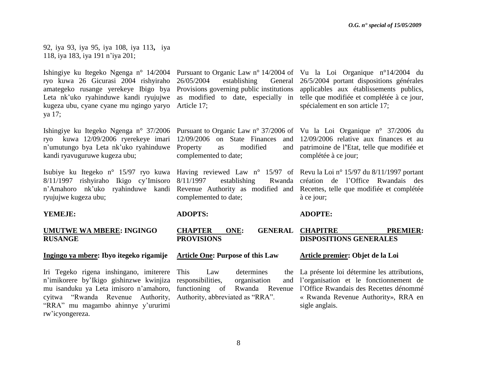92, iya 93, iya 95, iya 108, iya 113**,** iya 118, iya 183, iya 191 n"iya 201;

Ishingiye ku Itegeko Ngenga n° 14/2004 Pursuant to Organic Law n° 14/2004 of Vu la Loi Organique n°14/2004 du ryo kuwa 26 Gicurasi 2004 rishyiraho 26/05/2004 establishing General amategeko rusange yerekeye Ibigo bya Provisions governing public institutions applicables aux établissements publics, Leta nk'uko ryahinduwe kandi ryujujwe as modified to date, especially in telle que modifiée et complétée à ce jour, kugeza ubu, cyane cyane mu ngingo yaryo Article 17; ya 17;

ryo kuwa 12/09/2006 ryerekeye imari 12/09/2006 on State Finances and 12/09/2006 relative aux finances et au n"umutungo bya Leta nk"uko ryahinduwe Property as modified and kandi ryavuguruwe kugeza ubu;

Isubiye ku Itegeko n° 15/97 ryo kuwa Having reviewed Law n° 15/97 of Revu la Loi n° 15/97 du 8/11/1997 portant 8/11/1997 rishyiraho Ikigo cy"Imisoro n"Amahoro nk"uko ryahinduwe kandi Revenue Authority as modified and Recettes, telle que modifiée et complétée ryujujwe kugeza ubu;

### **YEMEJE:**

### **UMUTWE WA MBERE: INGINGO RUSANGE**

### **Ingingo ya mbere: Ibyo itegeko rigamije**

Iri Tegeko rigena inshingano, imiterere n"imikorere by"Ikigo gishinzwe kwinjiza responsibilities, organisation and mu isanduku ya Leta imisoro n"amahoro, cyitwa "Rwanda Revenue Authority, "RRA" mu magambo ahinnye y"ururimi rw"icyongereza.

complemented to date;

establishing complemented to date;

### **ADOPTS:**

**CHAPTER ONE: PROVISIONS** GENERAL CHAPITRE PREMIER: **DISPOSITIONS GENERALES** 

### **Article One: Purpose of this Law**

Law determines Authority, abbreviated as "RRA".

26/5/2004 portant dispositions générales spécialement en son article 17;

Ishingiye ku Itegeko Ngenga n° 37/2006 Pursuant to Organic Law n° 37/2006 of Vu la Loi Organique n° 37/2006 du patrimoine de l**'**Etat, telle que modifiée et complétée à ce jour;

> Rwanda création de l'Office Rwandais des à ce jour;

### **ADOPTE:**

### **Article premier: Objet de la Loi**

functioning of Rwanda Revenue l'Office Rwandais des Recettes dénommé La présente loi détermine les attributions, l"organisation et le fonctionnement de « Rwanda Revenue Authority», RRA en sigle anglais.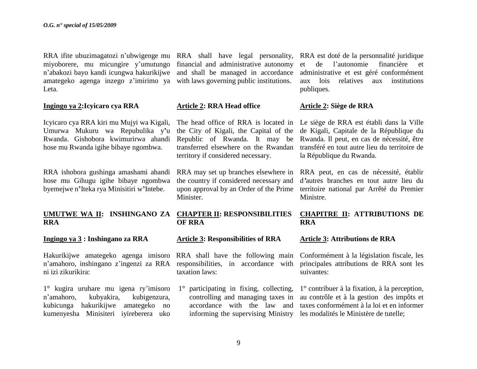miyoborere, mu micungire y"umutungo financial and administrative autonomy n"abakozi bayo kandi icungwa hakurikijwe and shall be managed in accordance amategeko agenga inzego z'imirimo ya with laws governing public institutions. Leta.

### **Ingingo ya 2:Icyicaro cya RRA**

Icyicaro cya RRA kiri mu Mujyi wa Kigali, Umurwa Mukuru wa Repubulika y**'**u Rwanda. Gishobora kwimurirwa ahandi hose mu Rwanda igihe bibaye ngombwa.

RRA ishobora gushinga amashami ahandi hose mu Gihugu igihe bibaye ngombwa byemejwe n**'**Iteka rya Minisitiri w**'**Intebe.

## **RRA**

**Ingingo ya 3 : Inshingano za RRA**

Hakurikijwe amategeko agenga imisoro n"amahoro, inshingano z"ingenzi za RRA ni izi zikurikira:

1° kugira uruhare mu igena ry"imisoro n"amahoro, kubyakira, kubigenzura, kubicunga hakurikijwe amategeko no kumenyesha Minisiteri iyireberera uko

### **Article 2: RRA Head office**

the City of Kigali, the Capital of the Republic of Rwanda. It may be transferred elsewhere on the Rwandan territory if considered necessary.

RRA may set up branches elsewhere in the country if considered necessary and upon approval by an Order of the Prime Minister.

### **UMUTWE WA II: INSHINGANO ZA CHAPTER II: RESPONSIBILITIES OF RRA**

**Article 3: Responsibilities of RRA**

RRA shall have the following main responsibilities, in accordance with taxation laws:

1° participating in fixing, collecting, controlling and managing taxes in accordance with the law and

RRA ifite ubuzimagatozi n'ubwigenge mu RRA shall have legal personality, RRA est doté de la personnalité juridique et de l"autonomie financière et administrative et est géré conformément aux lois relatives aux institutions publiques.

### **Article 2: Siège de RRA**

The head office of RRA is located in Le siège de RRA est établi dans la Ville de Kigali, Capitale de la République du Rwanda. Il peut, en cas de nécessité, être transféré en tout autre lieu du territoire de la République du Rwanda.

> RRA peut, en cas de nécessité, établir d*'*autres branches en tout autre lieu du territoire national par Arrêté du Premier Ministre.

### **CHAPITRE II: ATTRIBUTIONS DE RRA**

### **Article 3: Attributions de RRA**

Conformément à la législation fiscale, les principales attributions de RRA sont les suivantes:

informing the supervising Ministry les modalités le Ministère de tutelle;1° contribuer à la fixation, à la perception, au contrôle et à la gestion des impôts et taxes conformément à la loi et en informer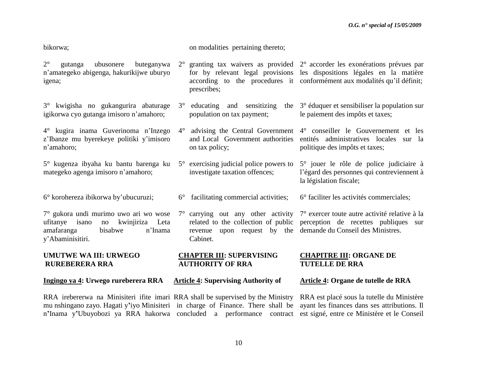bikorwa;

on modalities pertaining thereto;

- 2° gutanga ubusonere buteganywa n"amategeko abigenga, hakurikijwe uburyo igena; 2° granting tax waivers as provided 2° accorder les exonérations prévues par for by relevant legal provisions les dispositions légales en la matière according to the procedures it conformément aux modalités qu'il définit; prescribes;
- 3° kwigisha no gukangurira abaturage igikorwa cyo gutanga imisoro n"amahoro;
- 4° kugira inama Guverinoma n"Inzego z"Ibanze mu byerekeye politiki y"imisoro n"amahoro;
- 5° kugenza ibyaha ku bantu barenga ku mategeko agenga imisoro n"amahoro;
- 6° korohereza ibikorwa by"ubucuruzi;

7° gukora undi murimo uwo ari wo wose ufitanye isano no kwinjiriza Leta amafaranga bisabwe n"Inama y"Abaminisitiri.

### **UMUTWE WA III: URWEGO RUREBERERA RRA**

**Ingingo ya 4: Urwego rureberera RRA**

- $3^\circ$  educating and sensitizing population on tax payment; 3° éduquer et sensibiliser la population sur le paiement des impôts et taxes;
- 4° advising the Central Government 4° conseiller le Gouvernement et les and Local Government authorities entités administratives locales sur la on tax policy;
- 5° exercising judicial police powers to investigate taxation offences;
- 6° facilitating commercial activities;
- $7^\circ$  carrying out any other activity  $7^\circ$  exercer toute autre activité relative à la related to the collection of public perception de recettes publiques sur revenue upon request by the demande du Conseil des Ministres. Cabinet.

### **CHAPTER III: SUPERVISING AUTHORITY OF RRA**

### **Article 4: Supervising Authority of**

### **Article 4: Organe de tutelle de RRA**

**CHAPITRE III: ORGANE DE** 

**TUTELLE DE RRA**

politique des impôts et taxes;

la législation fiscale;

5° jouer le rôle de police judiciaire à l"égard des personnes qui contreviennent à

6° faciliter les activités commerciales;

RRA irebererwa na Minisiteri ifite imari RRA shall be supervised by the Ministry RRA est placé sous la tutelle du Ministère mu nshingano zayo. Hagati y**'**iyo Minisiteri in charge of Finance. There shall be ayant les finances dans ses attributions. Il n**'**Inama y**'**Ubuyobozi ya RRA hakorwa concluded a performance contract est signé, entre ce Ministère et le Conseil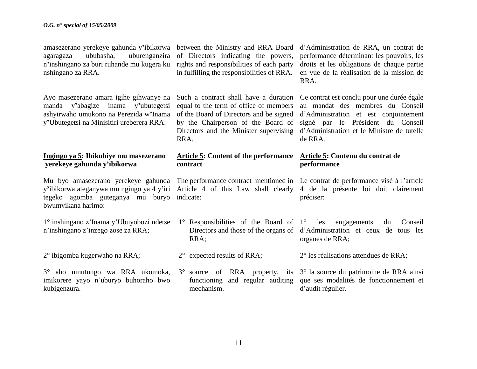amasezerano yerekeye gahunda y**'**ibikorwa between the Ministry and RRA Board d"Administration de RRA, un contrat de agaragaza ububasha, uburenganzira of Directors indicating the powers, n**'**inshingano za buri ruhande mu kugera ku rights and responsibilities of each party nshingano za RRA.

Ayo masezerano amara igihe gihwanye na manda y**'**abagize inama y**'**ubutegetsi ashyirwaho umukono na Perezida w**'**Inama y**'**Ubutegetsi na Minisitiri ureberera RRA.

### **Ingingo ya 5: Ibikubiye mu masezerano yerekeye gahunda y'ibikorwa**

Mu byo amasezerano yerekeye gahunda The performance contract mentioned in Le contrat de performance visé à l'article y**'**ibikorwa ateganywa mu ngingo ya 4 y**'**iri Article 4 of this Law shall clearly 4 de la présente loi doit clairement tegeko agomba guteganya mu buryo indicate: bwumvikana harimo:

1° inshingano z"Inama y"Ubuyobozi ndetse n"inshingano z"inzego zose za RRA;

2° ibigomba kugerwaho na RRA;

3° aho umutungo wa RRA ukomoka, imikorere yayo n"uburyo buhoraho bwo kubigenzura.

in fulfilling the responsibilities of RRA.

equal to the term of office of members of the Board of Directors and be signed RRA.

### **Article 5: Content of the performance Article 5: Contenu du contrat de contract**

- 1° Responsibilities of the Board of RRA;
- 2° expected results of RRA;
- mechanism.

performance déterminant les pouvoirs, les droits et les obligations de chaque partie en vue de la réalisation de la mission de RRA.

Such a contract shall have a duration Ce contrat est conclu pour une durée égale by the Chairperson of the Board of signé par le Président du Conseil Directors and the Minister supervising d"Administration et le Ministre de tutelle au mandat des membres du Conseil d"Administration et est conjointement de RRA.

# **performance**

préciser:

Directors and those of the organs of d"Administration et ceux de tous les les engagements du Conseil organes de RRA;

2° les réalisations attendues de RRA;

3° source of RRA property, its 3° la source du patrimoine de RRA ainsi functioning and regular auditing que ses modalités de fonctionnement et d"audit régulier.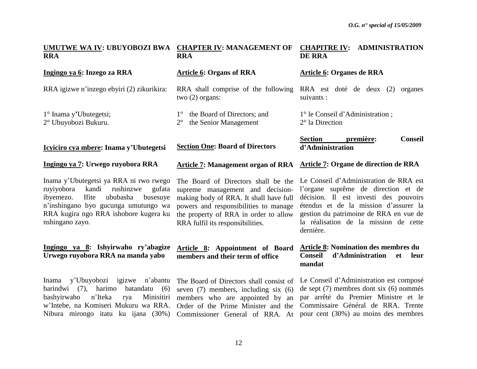| UMUTWE WA IV: UBUYOBOZI BWA<br><b>RRA</b>                                                                                                                                                                                              | <b>CHAPTER IV: MANAGEMENT OF</b><br><b>CHAPITRE IV: ADMINISTRATION</b><br><b>RRA</b><br><b>DE RRA</b>                                                                                                                                   |                                                                                                                                                                                                                                                                 |
|----------------------------------------------------------------------------------------------------------------------------------------------------------------------------------------------------------------------------------------|-----------------------------------------------------------------------------------------------------------------------------------------------------------------------------------------------------------------------------------------|-----------------------------------------------------------------------------------------------------------------------------------------------------------------------------------------------------------------------------------------------------------------|
| Ingingo ya 6: Inzego za RRA                                                                                                                                                                                                            | <b>Article 6: Organs of RRA</b>                                                                                                                                                                                                         | <b>Article 6: Organes de RRA</b>                                                                                                                                                                                                                                |
| RRA igizwe n'inzego ebyiri (2) zikurikira:                                                                                                                                                                                             | RRA shall comprise of the following<br>two $(2)$ organs:                                                                                                                                                                                | RRA est doté de deux (2)<br>organes<br>suivants :                                                                                                                                                                                                               |
| 1° Inama y'Ubutegetsi;<br>2° Ubuyobozi Bukuru.                                                                                                                                                                                         | the Board of Directors; and<br>$1^{\circ}$<br>the Senior Management<br>$2^{\circ}$                                                                                                                                                      | 1° le Conseil d'Administration;<br>$2^{\circ}$ la Direction                                                                                                                                                                                                     |
| Icyiciro cya mbere: Inama y'Ubutegetsi                                                                                                                                                                                                 | <b>Section One: Board of Directors</b>                                                                                                                                                                                                  | <b>Conseil</b><br><b>Section</b><br>première:<br>d'Administration                                                                                                                                                                                               |
| Ingingo ya 7: Urwego ruyobora RRA                                                                                                                                                                                                      | <b>Article 7: Management organ of RRA</b>                                                                                                                                                                                               | <b>Article 7: Organe de direction de RRA</b>                                                                                                                                                                                                                    |
| Inama y'Ubutegetsi ya RRA ni rwo rwego<br>kandi<br>rushinzwe<br>ruyiyobora<br>gufata<br>ibyemezo.<br>ububasha<br>Ifite<br>busesuye<br>n'inshingano byo gucunga umutungo wa<br>RRA kugira ngo RRA ishobore kugera ku<br>nshingano zayo. | The Board of Directors shall be the<br>supreme management and decision-<br>making body of RRA. It shall have full<br>powers and responsibilities to manage<br>the property of RRA in order to allow<br>RRA fulfil its responsibilities. | Le Conseil d'Administration de RRA est<br>l'organe suprême de direction et de<br>décision. Il est investi des pouvoirs<br>étendus et de la mission d'assurer la<br>gestion du patrimoine de RRA en vue de<br>la réalisation de la mission de cette<br>dernière. |
| Ingingo ya 8: Ishyirwaho ry'abagize<br>Urwego ruyobora RRA na manda yabo                                                                                                                                                               | Article 8: Appointment of Board<br>members and their term of office                                                                                                                                                                     | <b>Article 8: Nomination des membres du</b><br>Conseil<br>d'Administration<br>leur<br><b>et</b><br>mandat                                                                                                                                                       |
| Inama y'Ubuyobozi igizwe<br>n'abantu<br>harimo<br>barindwi $(7)$ ,<br>batandatu<br>(6)<br>bashyirwaho<br>n'Iteka<br>Minisitiri<br>rya<br>w'Intebe, na Komiseri Mukuru wa RRA.<br>Nibura mirongo itatu ku ijana (30%)                   | The Board of Directors shall consist of<br>seven $(7)$ members, including six $(6)$<br>members who are appointed by an<br>Order of the Prime Minister and the<br>Commissioner General of RRA. At                                        | Le Conseil d'Administration est composé<br>de sept $(7)$ membres dont six $(6)$ nommés<br>par arrêté du Premier Ministre et le<br>Commissaire Général de RRA. Trente<br>pour cent (30%) au moins des membres                                                    |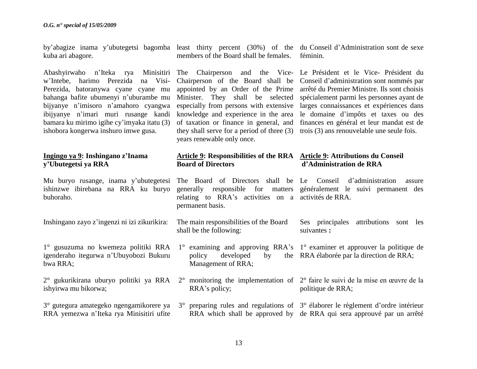by"abagize inama y"ubutegetsi bagomba least thirty percent (30%) of the du Conseil d"Administration sont de sexe kuba ari abagore.

Abashyirwaho n"Iteka rya Minisitiri The Chairperson and the Vice-Le Président et le Vice- Président du w"Intebe, harimo Perezida na Visi-Perezida, batoranywa cyane cyane mu bahanga bafite ubumenyi n"uburambe mu bijyanye n"imisoro n"amahoro cyangwa ibijyanye n"imari muri rusange kandi bamara ku mirimo igihe cy"imyaka itatu (3) ishobora kongerwa inshuro imwe gusa.

### **Ingingo ya 9: Inshingano z'Inama y'Ubutegetsi ya RRA**

ishinzwe ibirebana na RRA ku buryo buhoraho.

Inshingano zayo z"ingenzi ni izi zikurikira:

1° gusuzuma no kwemeza politiki RRA igenderaho itegurwa n"Ubuyobozi Bukuru bwa RRA;

- ishyirwa mu bikorwa;
- RRA yemezwa n"Iteka rya Minisitiri ufite

members of the Board shall be females. féminin.

knowledge and experience in the area years renewable only once.

Chairperson of the Board shall be Conseil d"administration sont nommés par appointed by an Order of the Prime arrêté du Premier Ministre. Ils sont choisis Minister. They shall be selected spécialement parmi les personnes ayant de especially from persons with extensive larges connaissances et expériences dans of taxation or finance in general, and finances en général et leur mandat est de they shall serve for a period of three (3) trois (3) ans renouvelable une seule fois. le domaine d"impôts et taxes ou des

#### **Article 9: Responsibilities of the RRA Article 9: Attributions du Conseil Board of Directors d'Administration de RRA**

Mu buryo rusange, inama y"ubutegetesi The Board of Directors shall be Le Conseil d"administration assure generally responsible for matters généralement le suivi permanent des relating to RRA"s activities on a activités de RRA. permanent basis.

> The main responsibilities of the Board shall be the following: Ses principales attributions sont les suivantes **:**

1° examining and approving RRA's 1° examiner et approuver la politique de policy developed by Management of RRA; RRA élaborée par la direction de RRA;

2° gukurikirana uburyo politiki ya RRA 2° monitoring the implementation of 2° faire le suivi de la mise en œuvre de la politique de RRA;

3° gutegura amategeko ngengamikorere ya 3° preparing rules and regulations of 3° élaborer le règlement d"ordre intérieur RRA which shall be approved by de RRA qui sera approuvé par un arrêté

RRA"s policy;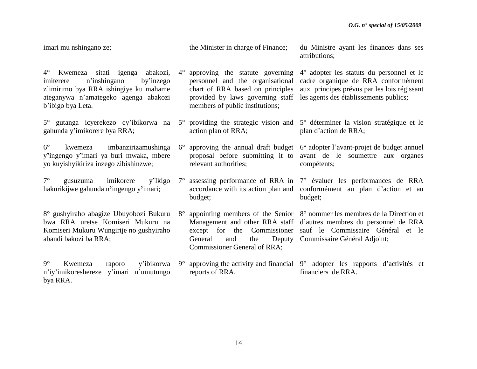| imari mu nshingano ze;                                                                                                                                                                      |                        | the Minister in charge of Finance;                                                                                                                                             | du Ministre ayant les finances dans ses<br>attributions;                                                                                                                               |
|---------------------------------------------------------------------------------------------------------------------------------------------------------------------------------------------|------------------------|--------------------------------------------------------------------------------------------------------------------------------------------------------------------------------|----------------------------------------------------------------------------------------------------------------------------------------------------------------------------------------|
| $4^\circ$<br>Kwemeza sitati igenga abakozi,<br>n'inshingano<br>by'inzego<br>imiterere<br>z'imirimo bya RRA ishingiye ku mahame<br>ateganywa n'amategeko agenga abakozi<br>b'ibigo bya Leta. | $4^\circ$              | approving the statute governing<br>personnel and the organisational<br>chart of RRA based on principles<br>provided by laws governing staff<br>members of public institutions; | 4° adopter les statuts du personnel et le<br>cadre organique de RRA conformément<br>aux principes prévus par les lois régissant<br>les agents des établissements publics;              |
| 5° gutanga icyerekezo cy'ibikorwa na<br>gahunda y'imikorere bya RRA;                                                                                                                        | $5^{\circ}$            | action plan of RRA;                                                                                                                                                            | providing the strategic vision and 5° déterminer la vision stratégique et le<br>plan d'action de RRA;                                                                                  |
| $6^{\circ}$<br>imbanzirizamushinga<br>kwemeza<br>y'ingengo y'imari ya buri mwaka, mbere<br>yo kuyishyikiriza inzego zibishinzwe;                                                            | $6^{\circ}$            | relevant authorities;                                                                                                                                                          | approving the annual draft budget 6° adopter l'avant-projet de budget annuel<br>proposal before submitting it to avant de le soumettre aux organes<br>compétents;                      |
| $7^\circ$<br>imikorere<br>y'Ikigo<br>gusuzuma<br>hakurikijwe gahunda n'ingengo y'imari;                                                                                                     | $7^{\circ}$<br>budget; |                                                                                                                                                                                | assessing performance of RRA in 7° évaluer les performances de RRA<br>accordance with its action plan and conformément au plan d'action et au<br>budget;                               |
| 8° gushyiraho abagize Ubuyobozi Bukuru<br>bwa RRA uretse Komiseri Mukuru na<br>Komiseri Mukuru Wungirije no gushyiraho<br>abandi bakozi ba RRA;                                             | $8^{\circ}$<br>General | Management and other RRA staff<br>except for the Commissioner<br>Deputy<br>and<br>the<br>Commissioner General of RRA;                                                          | appointing members of the Senior 8° nommer les membres de la Direction et<br>d'autres membres du personnel de RRA<br>sauf le Commissaire Général et le<br>Commissaire Général Adjoint; |
| $9^\circ$<br>y'ibikorwa<br>Kwemeza<br>raporo<br>n'iy'imikoreshereze<br>y'imari n'umutungo<br>bya RRA.                                                                                       | $9^{\circ}$            | approving the activity and financial $9^{\circ}$<br>reports of RRA.                                                                                                            | adopter les rapports d'activités et<br>financiers de RRA.                                                                                                                              |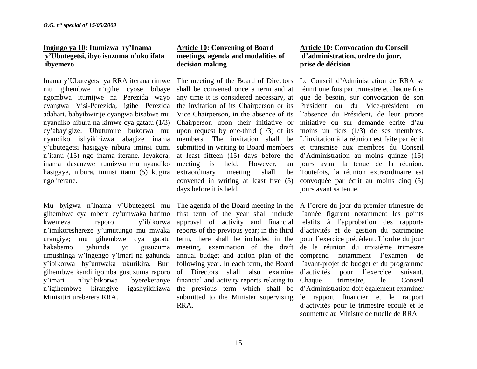### **Ingingo ya 10: Itumizwa ry'Inama y'Ubutegetsi, ibyo isuzuma n'uko ifata ibyemezo**

Inama y"Ubutegetsi ya RRA iterana rimwe The meeting of the Board of Directors Le Conseil d"Administration de RRA se mu gihembwe n"igihe cyose bibaye ngombwa itumijwe na Perezida wayo cyangwa Visi-Perezida, igihe Perezida adahari, babyibwirije cyangwa bisabwe mu nyandiko nibura na kimwe cya gatatu (1/3) cy"abayigize. Ubutumire bukorwa mu nyandiko ishyikirizwa abagize inama y"ubutegetsi hasigaye nibura iminsi cumi n"itanu (15) ngo inama iterane. Icyakora, inama idasanzwe itumizwa mu nyandiko hasigaye, nibura, iminsi itanu (5) kugira extraordinary meeting shall be ngo iterane.

Mu byigwa n'Inama y'Ubutegetsi mu The agenda of the Board meeting in the A l'ordre du jour du premier trimestre de gihembwe cya mbere cy"umwaka harimo kwemeza raporo y"ibikorwa n'imikoreshereze y'umutungo mu mwaka reports of the previous year; in the third d'activités et de gestion du patrimoine urangiye; mu gihembwe cya gatatu hakabamo gahunda yo gusuzuma umushinga w"ingengo y"imari na gahunda y'ibikorwa by'umwaka ukurikira. Buri following year. In each term, the Board l'avant-projet de budget et du programme gihembwe kandi igomba gusuzuma raporo of Directors shall also examine y"imari n"iy"ibikorwa byerekeranye financial and activity reports relating to n'igihembwe kirangiye Minisitiri ureberera RRA.

### **Article 10: Convening of Board meetings, agenda and modalities of decision making**

meeting is held. However, an convened in writing at least five (5) days before it is held.

term, there shall be included in the RRA.

### **Article 10: Convocation du Conseil d'administration, ordre du jour, prise de décision**

shall be convened once a term and at réunit une fois par trimestre et chaque fois any time it is considered necessary, at que de besoin, sur convocation de son the invitation of its Chairperson or its Président ou du Vice-président en Vice Chairperson, in the absence of its l"absence du Président, de leur propre Chairperson upon their initiative or initiative ou sur demande écrite d'au upon request by one-third  $(1/3)$  of its moins un tiers  $(1/3)$  de ses membres. members. The invitation shall be L"invitation à la réunion est faite par écrit submitted in writing to Board members et transmise aux membres du Conseil at least fifteen (15) days before the d"Administration au moins quinze (15) jours avant la tenue de la réunion. Toutefois, la réunion extraordinaire est convoquée par écrit au moins cinq (5) jours avant sa tenue.

first term of the year shall include l'année figurent notamment les points approval of activity and financial relatifs à l"approbation des rapports meeting, examination of the draft de la réunion du troisième trimestre annual budget and action plan of the comprend notamment l"examen de the previous term which shall be d"Administration doit également examiner submitted to the Minister supervising le rapport financier et le rapport pour l"exercice précédent. L"ordre du jour pour l'exercice suivant. trimestre, le Conseil d"activités pour le trimestre écoulé et le soumettre au Ministre de tutelle de RRA.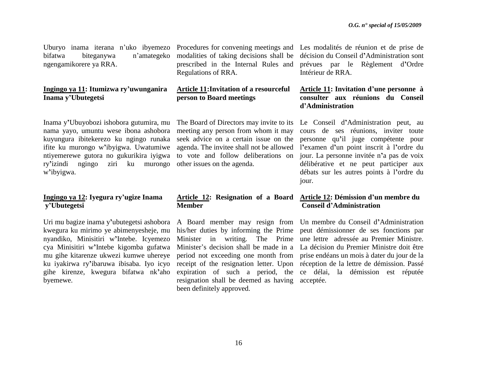bifatwa biteganywa n"amategeko ngengamikorere ya RRA.

### **Ingingo ya 11: Itumizwa ry'uwunganira Inama y'Ubutegetsi**

Inama y**'**Ubuyobozi ishobora gutumira, mu nama yayo, umuntu wese ibona ashobora kuyungura ibitekerezo ku ngingo runaka ifite ku murongo w**'**ibyigwa. Uwatumiwe ntiyemerewe gutora no gukurikira iyigwa ry**'**izindi ngingo ziri ku murongo other issues on the agenda. w**'**ibyigwa.

### **Ingingo ya 12: Iyegura ry'ugize Inama y'Ubutegetsi**

Uri mu bagize inama y**'**ubutegetsi ashobora kwegura ku mirimo ye abimenyesheje, mu nyandiko, Minisitiri w**'**Intebe. Icyemezo cya Minisitiri w**'**Intebe kigomba gufatwa mu gihe kitarenze ukwezi kumwe uhereye ku iyakirwa ry**'**ibaruwa ibisaba. Iyo icyo gihe kirenze, kwegura bifatwa nk**'**aho byemewe.

modalities of taking decisions shall be Regulations of RRA.

### **Article 11:Invitation of a resourceful person to Board meetings**

meeting any person from whom it may seek advice on a certain issue on the agenda. The invitee shall not be allowed to vote and follow deliberations on

### **Article 12: Resignation of a Board Member**

expiration of such a period, the resignation shall be deemed as having acceptée.been definitely approved.

Uburyo inama iterana n'uko ibyemezo Procedures for convening meetings and Les modalités de réunion et de prise de prescribed in the Internal Rules and prévues par le Règlement d**'**Ordre décision du Conseil d**'**Administration sont Intérieur de RRA.

### **Article 11: Invitation d'une personne à consulter aux réunions du Conseil d'Administration**

The Board of Directors may invite to its Le Conseil d**'**Administration peut, au cours de ses réunions, inviter toute personne qu**'**il juge compétente pour l**'**examen d**'**un point inscrit à l**'**ordre du jour. La personne invitée n**'**a pas de voix délibérative et ne peut participer aux débats sur les autres points à l**'**ordre du jour.

### **Article 12: Démission d'un membre du Conseil d'Administration**

A Board member may resign from Un membre du Conseil d**'**Administration his/her duties by informing the Prime peut démissionner de ses fonctions par Minister in writing. The Prime une lettre adressée au Premier Ministre. Minister"s decision shall be made in a La décision du Premier Ministre doit être period not exceeding one month from prise endéans un mois à dater du jour de la receipt of the resignation letter. Upon réception de la lettre de démission. Passé ce délai, la démission est réputée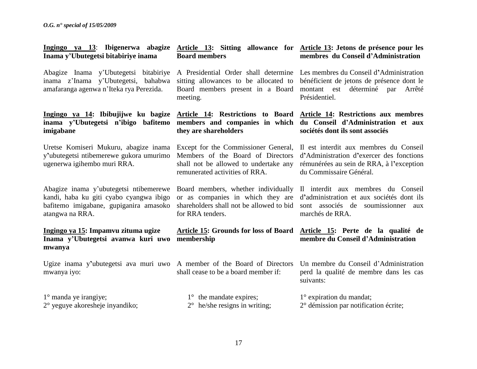| Ingingo ya 13: Ibigenerwa abagize Article 13: Sitting allowance for Article 13: Jetons de présence pour les<br>Inama y'Ubutegetsi bitabiriye inama | <b>Board members</b>                                                                                                                                 | membres du Conseil d'Administration                                                                                                                       |
|----------------------------------------------------------------------------------------------------------------------------------------------------|------------------------------------------------------------------------------------------------------------------------------------------------------|-----------------------------------------------------------------------------------------------------------------------------------------------------------|
| Abagize Inama y'Ubutegetsi bitabiriye<br>inama z'Inama y'Ubutegetsi, bahabwa<br>amafaranga agenwa n'Iteka rya Perezida.                            | A Presidential Order shall determine<br>sitting allowances to be allocated to<br>Board members present in a Board<br>meeting.                        | Les membres du Conseil d'Administration<br>bénéficient de jetons de présence dont le<br>montant est déterminé par<br>Arrêté<br>Présidentiel.              |
| Ingingo ya 14: Ibibujijwe ku bagize<br>inama y'Ubutegetsi n'ibigo bafitemo<br>imigabane                                                            | Article 14: Restrictions to Board<br>members and companies in which<br>they are shareholders                                                         | Article 14: Restrictions aux membres<br>du Conseil d'Administration et aux<br>sociétés dont ils sont associés                                             |
| Uretse Komiseri Mukuru, abagize inama<br>y'ubutegetsi ntibemerewe gukora umurimo<br>ugenerwa igihembo muri RRA.                                    | Except for the Commissioner General,<br>Members of the Board of Directors<br>shall not be allowed to undertake any<br>remunerated activities of RRA. | Il est interdit aux membres du Conseil<br>d'Administration d'exercer des fonctions<br>rémunérées au sein de RRA, à l'exception<br>du Commissaire Général. |
| Abagize inama y'ubutegetsi ntibemerewe<br>kandi, haba ku giti cyabo cyangwa ibigo<br>bafitemo imigabane, gupiganira amasoko<br>atangwa na RRA.     | Board members, whether individually<br>or as companies in which they are<br>shareholders shall not be allowed to bid<br>for RRA tenders.             | Il interdit aux membres du Conseil<br>d'administration et aux sociétés dont ils<br>sont associés de soumissionner aux<br>marchés de RRA.                  |
| Ingingo ya 15: Impamvu zituma ugize<br>Inama y'Ubutegetsi avanwa kuri uwo<br>mwanya                                                                | <b>Article 15: Grounds for loss of Board</b><br>membership                                                                                           | Article 15: Perte de la qualité de<br>membre du Conseil d'Administration                                                                                  |
| Ugize inama y'ubutegetsi ava muri uwo A member of the Board of Directors<br>mwanya iyo:                                                            | shall cease to be a board member if:                                                                                                                 | Un membre du Conseil d'Administration<br>perd la qualité de membre dans les cas<br>suivants:                                                              |
| $1^\circ$ manda ye irangiye;<br>$2^{\circ}$ yeguye akoresheje inyandiko;                                                                           | $1^{\circ}$ the mandate expires;<br>$2^{\circ}$ he/she resigns in writing;                                                                           | $1^\circ$ expiration du mandat;<br>2° démission par notification écrite;                                                                                  |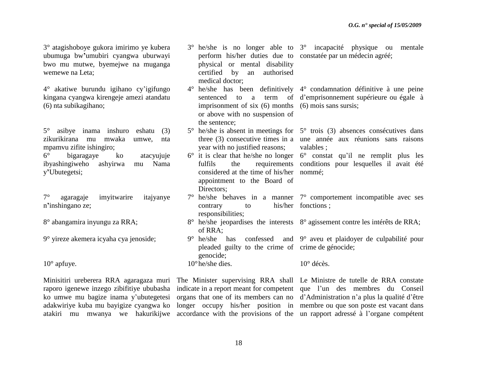3° atagishoboye gukora imirimo ye kubera ubumuga bw**'**umubiri cyangwa uburwayi bwo mu mutwe, byemejwe na muganga wemewe na Leta;

4° akatiwe burundu igihano cy"igifungo kingana cyangwa kirengeje amezi atandatu (6) nta subikagihano;

5° asibye inama inshuro eshatu (3) zikurikirana mu mwaka umwe, nta mpamvu zifite ishingiro;

6° bigaragaye ko atacyujuje ibyashingiweho ashyirwa mu Nama y**'**Ubutegetsi;

7° agaragaje imyitwarire itajyanye n**'**inshingano ze;

8° abangamira inyungu za RRA;

9° yireze akemera icyaha cya jenoside;

 $10^{\circ}$  apfuye.

Minisitiri ureberera RRA agaragaza muri The Minister supervising RRA shall Le Ministre de tutelle de RRA constate raporo igenewe inzego zibifitiye ububasha indicate in a report meant for competent que l'un des membres du Conseil ko umwe mu bagize inama y'ubutegetesi organs that one of its members can no d'Administration n'a plus la qualité d'être adakwiriye kuba mu bayigize cyangwa ko longer occupy his/her position in membre ou que son poste est vacant dans atakiri mu mwanya we hakurikijwe accordance with the provisions of the un rapport adressé à l"organe compétent

3° he/she is no longer able to 3° incapacité physique ou mentale perform his/her duties due to constatée par un médecin agréé; physical or mental disability certified by an authorised medical doctor; 4° he/she has been definitively 4° condamnation définitive à une peine sentenced to a term of d"emprisonnement supérieure ou égale à imprisonment of six (6) months (6) mois sans sursis; or above with no suspension of the sentence; 5° he/she is absent in meetings for 5° trois (3) absences consécutives dans three (3) consecutive times in a une année aux réunions sans raisons year with no justified reasons;  $6^\circ$  it is clear that he/she no longer  $6^\circ$  constat qu'il ne remplit plus les fulfils the requirements conditions pour lesquelles il avait été considered at the time of his/her nommé; appointment to the Board of Directors; 7° he/she behaves in a manner 7° comportement incompatible avec ses contrary to responsibilities; 8° he/she jeopardises the interests 8° agissement contre les intérêts de RRA; of RRA; 9° he/she has confessed and 9° aveu et plaidoyer de culpabilité pour pleaded guilty to the crime of crime de génocide; genocide; 10°he/she dies. valables ; his/her fonctions; 10° décès.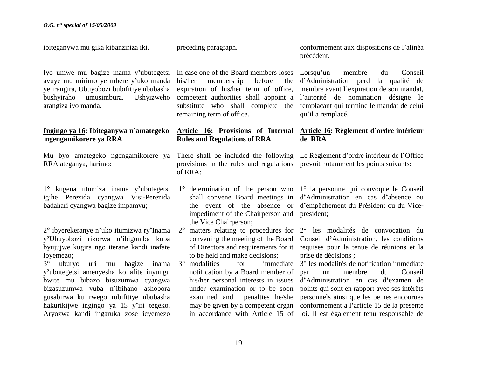ibiteganywa mu gika kibanziriza iki.

Iyo umwe mu bagize inama y**'**ubutegetsi avuye mu mirimo ye mbere y**'**uko manda ye irangira, Ubuyobozi bubifitiye ububasha bushyiraho umusimbura. Ushyizweho arangiza iyo manda. **Ingingo ya 16: Ibiteganywa n'amategeko ngengamikorere ya RRA** Mu byo amategeko ngengamikorere ya There shall be included the following Le Règlement d**'**ordre intérieur de l**'**Office RRA ateganya, harimo: 1° kugena utumiza inama y**'**ubutegetsi igihe Perezida cyangwa Visi-Perezida badahari cyangwa bagize impamvu; 2° ibyerekeranye n**'**uko itumizwa ry**'**Inama y**'**Ubuyobozi rikorwa n**'**ibigomba kuba byujujwe kugira ngo iterane kandi inafate ibyemezo; 3° uburyo uri mu bagize inama y**'**ubutegetsi amenyesha ko afite inyungu bwite mu bibazo bisuzumwa cyangwa bizasuzumwa vuba n**'**ibihano ashobora gusabirwa ku rwego rubifitiye ububasha hakurikijwe ingingo ya 15 y**'**iri tegeko. Aryozwa kandi ingaruka zose icyemezo In case one of the Board members loses his/her membership before expiration of his/her term of office, membre avant l'expiration de son mandat, competent authorities shall appoint a l"autorité de nomination désigne le substitute who shall complete the remplaçant qui termine le mandat de celui remaining term of office. **Article 16: Provisions of Internal Article 16: Règlement d'ordre intérieur Rules and Regulations of RRA**  provisions in the rules and regulations prévoit notamment les points suivants: of RRA: 1° determination of the person who 1° la personne qui convoque le Conseil shall convene Board meetings in d**'**Administration en cas d**'**absence ou the event of the absence or d**'**empêchement du Président ou du Viceimpediment of the Chairperson and président; the Vice Chairperson; 2° matters relating to procedures for 2° les modalités de convocation du convening the meeting of the Board Conseil d**'**Administration, les conditions of Directors and requirements for it requises pour la tenue de réunions et la to be held and make decisions;  $3^\circ$  modalities for notification by a Board member of his/her personal interests in issues d**'**Administration en cas d**'**examen de under examination or to be soon points qui sont en rapport avec ses intérêts examined and penalties he/she personnels ainsi que les peines encourues may be given by a competent organ conformément à l**'**article 15 de la présente in accordance with Article 15 of loi. Il est également tenu responsable de précédent. Lorsqu"un membre du Conseil d"Administration perd la qualité de qu"il a remplacé. **de RRA** prise de décisions ; 3° les modalités de notification immédiate un membre du Conseil

preceding paragraph.

conformément aux dispositions de l"alinéa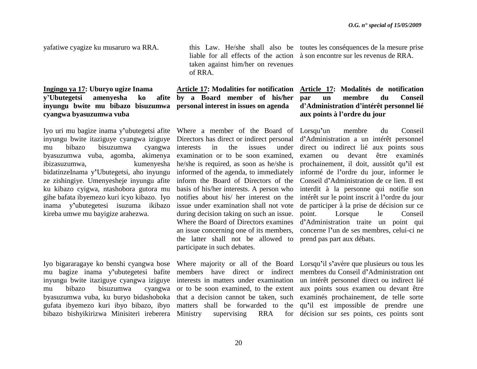yafatiwe cyagize ku musaruro wa RRA.

### **Ingingo ya 17: Uburyo ugize Inama**  *y***'Ubutegetsi amenyesha ko inyungu bwite mu bibazo bisuzumwa personal interest in issues on agenda cyangwa byasuzumwa vuba**

Iyo uri mu bagize inama y**'**ubutegetsi afite Where a member of the Board of Lorsqu**'**un membre du Conseil inyungu bwite itaziguye cyangwa iziguye Directors has direct or indirect personal d**'**Administration a un intérêt personnel mu bibazo bisuzumwa cyangwa byasuzumwa vuba, agomba, akimenya examination or to be soon examined, ibizasuzumwa, kumenyesha he/she is required, as soon as he/she is bidatinzeInama y**'**Ubutegetsi, aho inyungu informed of the agenda, to immediately ze zishingiye. Umenyesheje inyungu afite inform the Board of Directors of the ku kibazo cyigwa, ntashobora gutora mu gihe bafata ibyemezo kuri icyo kibazo. Iyo inama y**'**ubutegetesi isuzuma ikibazo kireba umwe mu bayigize arahezwa.

Iyo bigararagaye ko benshi cyangwa bose Where majority or all of the Board Lorsqu**'**il s**'**avère que plusieurs ou tous les mu bagize inama y**'**ubutegetesi bafite members have direct or indirect membres du Conseil d**'**Administration ont inyungu bwite itaziguye cyangwa iziguye interests in matters under examination un intérêt personnel direct ou indirect lié mu bibazo bisuzumwa byasuzumwa vuba, ku buryo bidashoboka that a decision cannot be taken, such examinés prochainement, de telle sorte gufata ibyemezo kuri ibyo bibazo, ibyo matters shall be forwarded to the qu**'**il est impossible de prendre une bibazo bishyikirizwa Minisiteri ireberera Ministry supervising RRA for

taken against him/her on revenues of RRA.

**Article 17: Modalities for notification by a Board member of his/her** 

> in the issues basis of his/her interests. A person who during decision taking on such an issue. Where the Board of Directors examines an issue concerning one of its members, the latter shall not be allowed to prend pas part aux débats. participate in such debates.

this Law. He/she shall also be toutes les conséquences de la mesure prise liable for all effects of the action à son encontre sur les revenus de RRA.

### **Article 17: Modalités de notification par un membre du Conseil d'Administration d'intérêt personnel lié aux points à l'ordre du jour**

notifies about his/ her interest on the intérêt sur le point inscrit à l**'**ordre du jour issue under examination shall not vote de participer à la prise de décision sur ce direct ou indirect lié aux points sous examen ou devant être examinés prochainement, il doit, aussitôt qu**'**il est informé de l**'**ordre du jour, informer le Conseil d**'**Administration de ce lien. Il est interdit à la personne qui notifie son point. Lorsque le Conseil d**'**Administration traite un point qui concerne l**'**un de ses membres, celui-ci ne

or to be soon examined, to the extent aux points sous examen ou devant être for décision sur ses points, ces points sont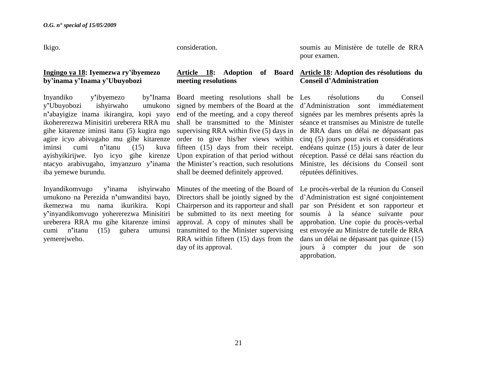Ikigo.

### **Ingingo ya 18: Iyemezwa ry'ibyemezo by'inama y'Inama y'Ubuyobozi**

Inyandiko y**'**ibyemezo by**'**Inama y**'**Ubuyobozi ishyirwaho umukono n**'**abayigize inama ikirangira, kopi yayo ikohererezwa Minisitiri ureberera RRA mu gihe kitarenze iminsi itanu (5) kugira ngo agire icyo abivugaho mu gihe kitarenze order to give his/her views within iminsi cumi n'itanu (15) ayishyikirijwe. Iyo icyo gihe kirenze Upon expiration of that period without réception. Passé ce délai sans réaction du ntacyo arabivugaho, imyanzuro y'inama the Minister's reaction, such resolutions iba yemewe burundu.

Inyandikomvugo y**'**inama ishyirwaho umukono na Perezida n**'**umwanditsi bayo, ikemezwa mu nama ikurikira. Kopi y**'**inyandikomvugo yohererezwa Minisitiri ureberera RRA mu gihe kitarenze iminsi cumi n**'**itanu (15) guhera umunsi yemerejweho.

consideration.

# **meeting resolutions**

by'Inama Board meeting resolutions shall be Les signed by members of the Board at the end of the meeting, and a copy thereof shall be transmitted to the Minister supervising RRA within five (5) days in kuva fifteen (15) days from their receipt. shall be deemed definitely approved.

> Directors shall be jointly signed by the Chairperson and its rapporteur and shall be submitted to its next meeting for approval. A copy of minutes shall be transmitted to the Minister supervising RRA within fifteen (15) days from the day of its approval.

soumis au Ministère de tutelle de RRA pour examen.

### **Article 18: Adoption of Board Article 18: Adoption des résolutions du Conseil d'Administration**

résolutions du Conseil d"Administration sont immédiatement signées par les membres présents après la séance et transmises au Ministre de tutelle de RRA dans un délai ne dépassant pas cinq (5) jours pour avis et considérations endéans quinze (15) jours à dater de leur Ministre, les décisions du Conseil sont réputées définitives.

Minutes of the meeting of the Board of Le procès-verbal de la réunion du Conseil d"Administration est signé conjointement par son Président et son rapporteur et soumis à la séance suivante pour approbation. Une copie du procès-verbal est envoyée au Ministre de tutelle de RRA dans un délai ne dépassant pas quinze (15) jours à compter du jour de son approbation.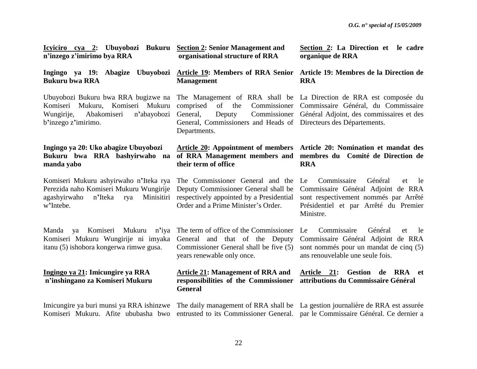| Icyiciro cya 2: Ubuyobozi Bukuru<br>n'inzego z'imirimo bya RRA                                                                                 | <b>Section 2: Senior Management and</b><br>organisational structure of RRA                                                                                    | Section 2: La Direction et le cadre<br>organique de RRA                                                                                                                       |
|------------------------------------------------------------------------------------------------------------------------------------------------|---------------------------------------------------------------------------------------------------------------------------------------------------------------|-------------------------------------------------------------------------------------------------------------------------------------------------------------------------------|
| Ingingo ya 19: Abagize Ubuyobozi<br><b>Bukuru bwa RRA</b>                                                                                      | <b>Article 19: Members of RRA Senior</b><br><b>Management</b>                                                                                                 | Article 19: Membres de la Direction de<br><b>RRA</b>                                                                                                                          |
| Ubuyobozi Bukuru bwa RRA bugizwe na<br>Mukuru, Komiseri Mukuru<br>Komiseri<br>Abakomiseri<br>n'abayobozi<br>Wungirije,<br>b'inzego z'imirimo.  | Commissioner<br>comprised<br>of the<br>Commissioner<br>General,<br>Deputy<br>General, Commissioners and Heads of Directeurs des Départements.<br>Departments. | The Management of RRA shall be La Direction de RRA est composée du<br>Commissaire Général, du Commissaire<br>Général Adjoint, des commissaires et des                         |
| Ingingo ya 20: Uko abagize Ubuyobozi<br>Bukuru bwa RRA bashyirwaho na<br>manda yabo                                                            | their term of office                                                                                                                                          | Article 20: Appointment of members Article 20: Nomination et mandat des<br>of RRA Management members and membres du Comité de Direction de<br><b>RRA</b>                      |
| Komiseri Mukuru ashyirwaho n'Iteka rya<br>Perezida naho Komiseri Mukuru Wungirije<br>agashyirwaho<br>n'Iteka<br>Minisitiri<br>rya<br>w'Intebe. | The Commissioner General and the<br>Deputy Commissioner General shall be<br>respectively appointed by a Presidential<br>Order and a Prime Minister's Order.   | Général<br>Le<br>Commissaire<br>et<br>le<br>Commissaire Général Adjoint de RRA<br>sont respectivement nommés par Arrêté<br>Présidentiel et par Arrêté du Premier<br>Ministre. |
| Komiseri<br>Mukuru n'iya<br>Manda<br>ya<br>Komiseri Mukuru Wungirije ni imyaka<br>itanu (5) ishobora kongerwa rimwe gusa.                      | The term of office of the Commissioner<br>General and that of the Deputy<br>Commissioner General shall be five (5)<br>years renewable only once.              | Commissaire<br>Général<br>Le<br>et<br>le<br>Commissaire Général Adjoint de RRA<br>sont nommés pour un mandat de cinq (5)<br>ans renouvelable une seule fois.                  |
| Ingingo ya 21: Imicungire ya RRA<br>n'inshingano za Komiseri Mukuru                                                                            | <b>Article 21: Management of RRA and</b><br>responsibilities of the Commissioner<br><b>General</b>                                                            | <b>Gestion</b><br>Article 21:<br>RRA et<br>de<br>attributions du Commissaire Général                                                                                          |
| Imicungire ya buri munsi ya RRA ishinzwe<br>Komiseri Mukuru. Afite ububasha bwo                                                                | entrusted to its Commissioner General.                                                                                                                        | The daily management of RRA shall be La gestion journalière de RRA est assurée<br>par le Commissaire Général. Ce dernier a                                                    |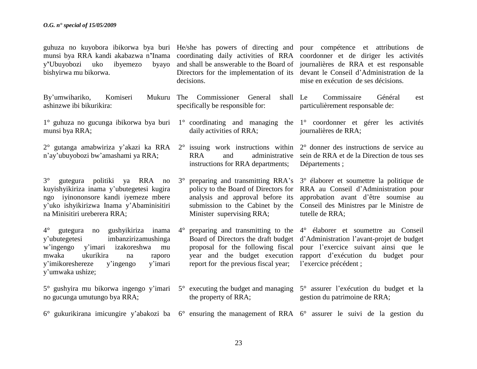guhuza no kuyobora ibikorwa bya buri He/she has powers of directing and pour compétence et attributions de munsi bya RRA kandi akabazwa n'Inama coordinating daily activities of RRA coordonner et de diriger les activités y'Ubuyobozi uko ibyemezo bishyirwa mu bikorwa.

By'umwihariko, Komiseri ashinzwe ibi bikurikira:

- 1° guhuza no gucunga ibikorwa bya buri munsi bya RRA;
- n"ay"ubuyobozi bw"amashami ya RRA;

3° gutegura politiki ya RRA no kuyishyikiriza inama y"ubutegetesi kugira ngo iyinononsore kandi iyemeze mbere y"uko ishyikirizwa Inama y"Abaminisitiri na Minisitiri ureberera RRA;

4° gutegura no gushyikiriza inama y"ubutegetesi imbanzirizamushinga w"ingengo y"imari izakoreshwa mu mwaka ukurikira na raporo y"imikoreshereze y"ingengo y"imari y"umwaka ushize;

no gucunga umutungo bya RRA;

decisions.

- Mukuru The Commissioner General shall Le specifically be responsible for:
	- daily activities of RRA;
	- instructions for RRA departments;

analysis and approval before its Minister supervising RRA;

report for the previous fiscal year;

5° gushyira mu bikorwa ingengo y"imari 5° executing the budget and managing 5° assurer l"exécution du budget et la the property of RRA; gestion du patrimoine de RRA;

6° gukurikirana imicungire y"abakozi ba 6° ensuring the management of RRA 6° assurer le suivi de la gestion du

and shall be answerable to the Board of journalières de RRA et est responsable Directors for the implementation of its devant le Conseil d"Administration de la mise en exécution de ses décisions.

> Commissaire Général est particulièrement responsable de:

1° coordinating and managing the 1° coordonner et gérer les activités journalières de RRA;

2° gutanga amabwiriza y"akazi ka RRA 2° issuing work instructions within 2° donner des instructions de service au RRA and administrative sein de RRA et de la Direction de tous ses Départements ;

- 3° preparing and transmitting RRA"s 3° élaborer et soumettre la politique de policy to the Board of Directors for RRA au Conseil d"Administration pour submission to the Cabinet by the Conseil des Ministres par le Ministre de approbation avant d"être soumise au tutelle de RRA;
- 4° preparing and transmitting to the 4° élaborer et soumettre au Conseil Board of Directors the draft budget d"Administration l"avant-projet de budget proposal for the following fiscal pour l"exercice suivant ainsi que le year and the budget execution rapport d"exécution du budget pour l"exercice précédent ;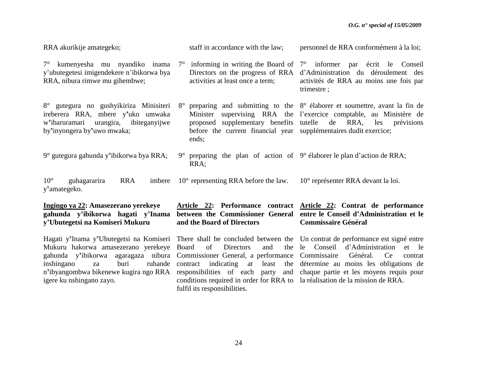| RRA akurikije amategeko;                                                                                                                           | staff in accordance with the law;                                                                                                                | personnel de RRA conformément à la loi;                                                                                                                                                                     |
|----------------------------------------------------------------------------------------------------------------------------------------------------|--------------------------------------------------------------------------------------------------------------------------------------------------|-------------------------------------------------------------------------------------------------------------------------------------------------------------------------------------------------------------|
| 7° kumenyesha mu nyandiko inama<br>y'ubutegetesi imigendekere n'ibikorwa bya<br>RRA, nibura rimwe mu gihembwe;                                     | $7^{\circ}$<br>activities at least once a term;                                                                                                  | informing in writing the Board of $7^{\circ}$ informer par écrit le Conseil<br>Directors on the progress of RRA d'Administration du déroulement des<br>activités de RRA au moins une fois par<br>trimestre; |
| 8° gutegura no gushyikiriza Minisiteri<br>ireberera RRA, mbere y'uko umwaka<br>w'ibaruramari urangira, ibiteganyijwe<br>by'inyongera by'uwo mwaka; | $8^{\circ}$<br>proposed supplementary benefits tutelle de RRA, les<br>before the current financial year supplémentaires dudit exercice;<br>ends; | preparing and submitting to the $8^\circ$ élaborer et soumettre, avant la fin de<br>Minister supervising RRA the l'exercice comptable, au Ministère de<br>prévisions                                        |
| 9° gutegura gahunda y'ibikorwa bya RRA;                                                                                                            | $9^{\circ}$<br>RRA;                                                                                                                              | preparing the plan of action of $9^{\circ}$ élaborer le plan d'action de RRA;                                                                                                                               |
| $10^{\circ}$<br><b>RRA</b><br>guhagararira<br>imbere<br>y'amategeko.                                                                               | $10^{\circ}$ representing RRA before the law.                                                                                                    | 10 <sup>°</sup> représenter RRA devant la loi.                                                                                                                                                              |
| Ingingo ya 22: Amasezerano yerekeye<br>gahunda y'ibikorwa hagati y'Inama                                                                           |                                                                                                                                                  | Article 22: Performance contract Article 22: Contrat de performance<br>between the Commissioner General entre le Conseil d'Administration et le                                                             |

Hagati y**'**Inama y**'**Ubutegetsi na Komiseri There shall be concluded between the Un contrat de performance est signé entre Mukuru hakorwa amasezerano yerekeye gahunda y**'**ibikorwa agaragaza nibura Commissioner General, a performance Commissaire Général. Ce contrat inshingano za buri n**'**ibyangombwa bikenewe kugira ngo RRA responsibilities of each party and chaque partie et les moyens requis pour igere ku nshingano zayo.

**y'Ubutegetsi na Komiseri Mukuru**

**between the Commissioner General and the Board of Directors**

of Directors and ruhande contract indicating at least conditions required in order for RRA to la réalisation de la mission de RRA.fulfil its responsibilities.

## **entre le Conseil d'Administration et le Commissaire Général**

le Conseil d"Administration et le détermine au moins les obligations de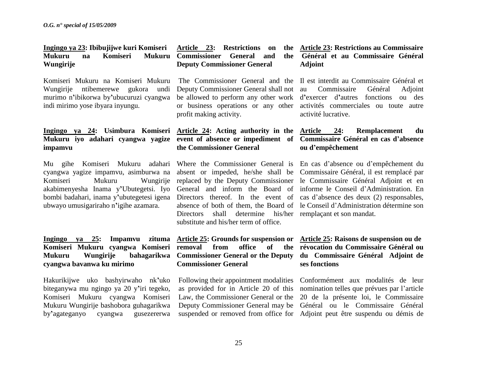### **Ingingo ya 23: Ibibujijwe kuri Komiseri Mukuru na Komiseri Mukuru Wungirije**

Komiseri Mukuru na Komiseri Mukuru Wungirije ntibemerewe gukora undi murimo n**'**ibikorwa by**'**ubucuruzi cyangwa indi mirimo yose ibyara inyungu.

### **Ingingo ya 24: Usimbura Komiseri Article 24: Acting authority in the Mukuru iyo adahari cyangwa yagize impamvu**

Mu gihe Komiseri Mukuru adahari cyangwa yagize impamvu, asimburwa na Komiseri Mukuru Wungirije replaced by the Deputy Commissioner le Commissaire Général Adjoint et en akabimenyesha Inama y**'**Ubutegetsi. Iyo General and inform the Board of informe le Conseil d"Administration. En bombi badahari, inama y**'**ubutegetesi igena Directors thereof. In the event of cas d"absence des deux (2) responsables, ubwayo umusigariraho n**'**igihe azamara.

### **Ingingo ya 25: Impamvu zituma Komiseri Mukuru cyangwa Komiseri removal from office of the Mukuru Wungirije bahagarikwa Commissioner General or the Deputy du Commissaire Général Adjoint de cyangwa bavanwa ku mirimo**

Hakurikijwe uko bashyirwaho nk**'**uko biteganywa mu ngingo ya 20 y**'**iri tegeko, Komiseri Mukuru cyangwa Komiseri Mukuru Wungirije bashobora guhagarikwa by**'**agateganyo cyangwa gusezererwa

### Article 23: Restrictions on **Commissioner General and the Deputy Commissioner General**

Deputy Commissioner General shall not or business operations or any other profit making activity.

# **the Commissioner General**

Directors shall determine his/her remplaçant et son mandat. substitute and his/her term of office.

# **Commissioner General**

### **Article 23: Restrictions au Commissaire Général et au Commissaire Général Adjoint**

The Commissioner General and the Il est interdit au Commissaire Général et be allowed to perform any other work d**'**exercer d**'**autres fonctions ou des Commissaire Général Adjoint activités commerciales ou toute autre activité lucrative.

### **event of absence or impediment of Commissaire Général en cas d'absence Article 24: Remplacement du ou d'empêchement**

Where the Commissioner General is En cas d"absence ou d"empêchement du absent or impeded, he/she shall be Commissaire Général, il est remplacé par absence of both of them, the Board of le Conseil d"Administration détermine son

### **Article 25: Grounds for suspension or Article 25: Raisons de suspension ou de révocation du Commissaire Général ou ses fonctions**

Following their appointment modalities Conformément aux modalités de leur as provided for in Article 20 of this nomination telles que prévues par l"article Law, the Commissioner General or the 20 de la présente loi, le Commissaire Deputy Commissioner General may be Général ou le Commissaire Général suspended or removed from office for Adjoint peut être suspendu ou démis de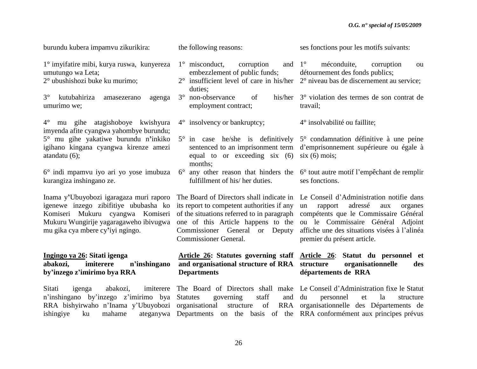| burundu kubera impamvu zikurikira:                                                                                                                                                                 | the following reasons:                                                                                                                                                                                                                                    | ses fonctions pour les motifs suivants:                                                                                                                                                                                                             |
|----------------------------------------------------------------------------------------------------------------------------------------------------------------------------------------------------|-----------------------------------------------------------------------------------------------------------------------------------------------------------------------------------------------------------------------------------------------------------|-----------------------------------------------------------------------------------------------------------------------------------------------------------------------------------------------------------------------------------------------------|
| 1° imyifatire mibi, kurya ruswa, kunyereza<br>umutungo wa Leta;<br>2° ubushishozi buke ku murimo;                                                                                                  | $1^\circ$ misconduct,<br>corruption<br>embezzlement of public funds;<br>duties;                                                                                                                                                                           | and $1^{\circ}$<br>méconduite,<br>corruption<br>ou<br>détournement des fonds publics;<br>$2^{\circ}$ insufficient level of care in his/her $2^{\circ}$ niveau bas de discernement au service;                                                       |
| $3^\circ$<br>kutubahiriza<br>amasezerano<br>agenga<br>umurimo we;                                                                                                                                  | 3° non-observance<br>of<br>his/her<br>employment contract;                                                                                                                                                                                                | 3° violation des termes de son contrat de<br>travail;                                                                                                                                                                                               |
| mu gihe atagishoboye kwishyura<br>$4^{\circ}$<br>imyenda afite cyangwa yahombye burundu;                                                                                                           | $4^{\circ}$ insolvency or bankruptcy;                                                                                                                                                                                                                     | 4° insolvabilité ou faillite;                                                                                                                                                                                                                       |
| 5° mu gihe yakatiwe burundu n'inkiko<br>igihano kingana cyangwa kirenze amezi<br>atandatu $(6)$ ;                                                                                                  | $5^{\circ}$ in case he/she is definitively<br>sentenced to an imprisonment term<br>equal to or exceeding six (6)<br>months;                                                                                                                               | 5° condamnation définitive à une peine<br>d'emprisonnement supérieure ou égale à<br>$six(6) \text{ mois};$                                                                                                                                          |
| 6° indi mpamvu iyo ari yo yose imubuza<br>kurangiza inshingano ze.                                                                                                                                 | $6^{\circ}$<br>any other reason that hinders the<br>fulfillment of his/her duties.                                                                                                                                                                        | 6° tout autre motif l'empêchant de remplir<br>ses fonctions.                                                                                                                                                                                        |
| Inama y'Ubuyobozi igaragaza muri raporo<br>igenewe inzego zibifitiye ububasha ko<br>Komiseri Mukuru cyangwa Komiseri<br>Mukuru Wungirije yagaragaweho ibivugwa<br>mu gika cya mbere cy'iyi ngingo. | The Board of Directors shall indicate in<br>its report to competent authorities if any<br>of the situations referred to in paragraph<br>one of this Article happens to the<br>Commissioner General<br>Deputy<br><b>or</b><br><b>Commissioner General.</b> | Le Conseil d'Administration notifie dans<br>adressé<br>rapport<br>un<br>aux<br>organes<br>compétents que le Commissaire Général<br>ou le Commissaire Général Adjoint<br>affiche une des situations visées à l'alinéa<br>premier du présent article. |
| Ingingo ya 26: Sitati igenga<br>imiterere<br>abakozi,<br>n'inshingano<br>by'inzego z'imirimo bya RRA                                                                                               | and organisational structure of RRA<br><b>Departments</b>                                                                                                                                                                                                 | Article 26: Statutes governing staff Article 26: Statut du personnel et<br>structure<br>organisationnelle<br>des<br>départements de RRA                                                                                                             |
| Sitati<br>abakozi,<br>imiterere<br>igenga<br>n'inshingano by'inzego z'imirimo bya<br>RRA bishyirwaho n'Inama y'Ubuyobozi<br>ishingiye<br>ku<br>mahame<br>ateganywa                                 | staff<br><b>Statutes</b><br>governing<br>and<br>organisational<br>of<br>structure                                                                                                                                                                         | The Board of Directors shall make Le Conseil d'Administration fixe le Statut<br>du<br>la<br>personnel<br>et<br>structure<br>RRA organisationnelle des Départements de<br>Departments on the basis of the RRA conformement aux principes prévus      |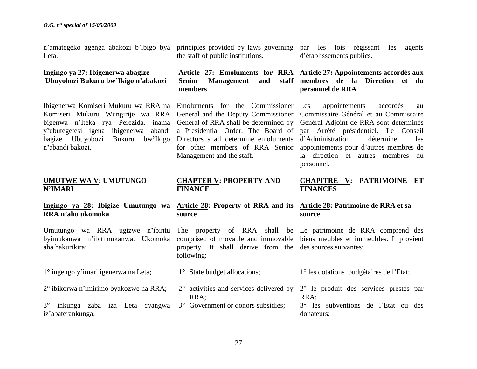n"amategeko agenga abakozi b"ibigo bya principles provided by laws governing par les lois régissant les agents Leta.

### **Ingingo ya 27: Ibigenerwa abagize Ubuyobozi Bukuru bw'Ikigo n'abakozi**

Ibigenerwa Komiseri Mukuru wa RRA na Emoluments for the Commissioner Komiseri Mukuru Wungirije wa RRA General and the Deputy Commissioner Commissaire Général et au Commissaire bigenwa n**'**Iteka rya Perezida. inama General of RRA shall be determined by Général Adjoint de RRA sont déterminés y**'**ubutegetesi igena ibigenerwa abandi a Presidential Order. The Board of par Arrêté présidentiel. Le Conseil bagize Ubuyobozi Bukuru bw**'**Ikigo Directors shall determine emoluments d"Administration détermine les n**'**abandi bakozi.

### **UMUTWE WA V: UMUTUNGO N'IMARI**

# **RRA n'aho ukomoka**

byimukanwa n**'**ibitimukanwa. Ukomoka aha hakurikira:

1° ingengo y**'**imari igenerwa na Leta;

2° ibikorwa n"imirimo byakozwe na RRA;

3° inkunga zaba iza Leta cyangwa 3° Government or donors subsidies; iz"abaterankunga;

the staff of public institutions.

## **Senior Management and members**

Management and the staff.

### **CHAPTER V: PROPERTY AND FINANCE**

### **Ingingo ya 28: Ibigize Umutungo wa Article 28: Property of RRA and its Article 28: Patrimoine de RRA et sa source**

property. It shall derive from the des sources suivantes: following:

- 1° State budget allocations;
- RRA;

d"établissements publics.

### **Article 27: Emoluments for RRA Article 27: Appointements accordés aux membres de la Direction et du personnel de RRA**

for other members of RRA Senior appointements pour d"autres membres de appointements accordés au la direction et autres membres du personnel.

### **CHAPITRE V: PATRIMOINE ET FINANCES**

# **source**

Umutungo wa RRA ugizwe n**'**ibintu The property of RRA shall be Le patrimoine de RRA comprend des comprised of movable and immovable biens meubles et immeubles. Il provient

1° les dotations budgétaires de l"Etat;

2° activities and services delivered by 2° le produit des services prestés par RRA;

> 3° les subventions de l"Etat ou des donateurs;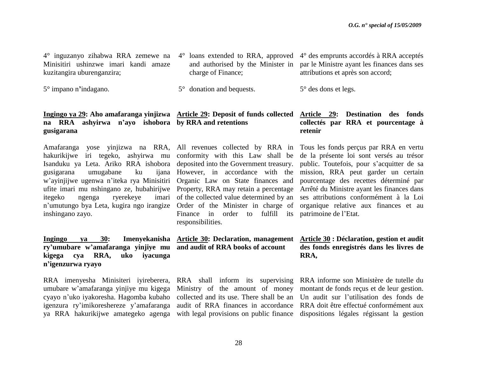4° inguzanyo zihabwa RRA zemewe na Minisitiri ushinzwe imari kandi amaze kuzitangira uburenganzira;

5° impano n**'**indagano.

## **na RRA ashyirwa n'ayo ishobora by RRA and retentions gusigarana**

hakurikijwe iri tegeko, ashyirwa mu conformity with this Law shall be de la présente loi sont versés au trésor Isanduku ya Leta. Ariko RRA ishobora deposited into the Government treasury. public. Toutefois, pour s'acquitter de sa gusigarana umugabane ku w"ayinjijwe ugenwa n"iteka rya Minisitiri Organic Law on State finances and ufite imari mu nshingano ze, hubahirijwe Property, RRA may retain a percentage Arrêté du Ministre ayant les finances dans itegeko ngenga ryerekeye n'umutungo bya Leta, kugira ngo irangize Order of the Minister in charge of organique relative aux finances et au inshingano zayo.

**Ingingo ya 30: Imenyekanisha Article 30: Declaration, management Article 30 : Déclaration, gestion et audit ry'umubare w'amafaranga yinjiye mu and audit of RRA books of account kigega cya RRA, uko iyacunga n'igenzurwa ryayo**

RRA imenyesha Minisiteri iyireberera, RRA shall inform its supervising RRA informe son Ministère de tutelle du umubare w'amafaranga yinjiye mu kigega Ministry of the amount of money montant de fonds reçus et de leur gestion. cyayo n"uko iyakoresha. Hagomba kubaho collected and its use. There shall be an Un audit sur l"utilisation des fonds de igenzura ry"imikoreshereze y"amafaranga ya RRA hakurikijwe amategeko agenga with legal provisions on public finance dispositions légales régissant la gestion

- charge of Finance;
- 5° donation and bequests.
- 4° loans extended to RRA, approved 4° des emprunts accordés à RRA acceptés and authorised by the Minister in par le Ministre ayant les finances dans ses attributions et après son accord;
	- 5° des dons et legs.

imari of the collected value determined by an Finance in order to fulfill its patrimoine de l'Etat. responsibilities.

### **Ingingo ya 29: Aho amafaranga yinjizwa Article 29: Deposit of funds collected Article 29: Destination des fonds collectés par RRA et pourcentage à retenir**

Amafaranga yose yinjizwa na RRA, All revenues collected by RRA in Tous les fonds perçus par RRA en vertu However, in accordance with the mission, RRA peut garder un certain pourcentage des recettes déterminé par ses attributions conformément à la Loi

## **des fonds enregistrés dans les livres de RRA,**

audit of RRA finances in accordance RRA doit être effectué conformément aux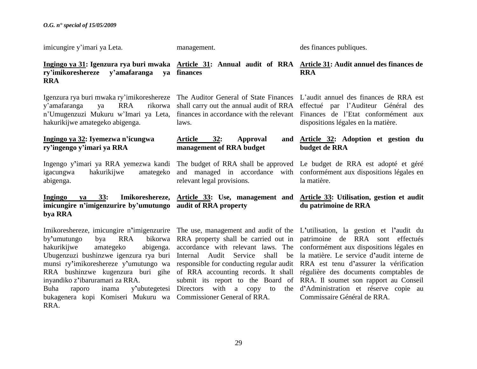imicungire y"imari ya Leta.

management.

laws.

des finances publiques.

### ry'imikoreshereze y'amafaranga **RRA finances**

Igenzura rya buri mwaka ry'imikoreshereze The Auditor General of State Finances L'audit annuel des finances de RRA est y'amafaranga ya RRA n'Umugenzuzi Mukuru w'Imari ya Leta, finances in accordance with the relevant Finances de l'Etat conformément aux hakurikijwe amategeko abigenga.

### **Ingingo ya 32: Iyemezwa n'icungwa ry'ingengo y'imari ya RRA**

igacungwa hakurikijwe abigenga.

**imicungire n'imigenzurire by'umutungo audit of RRA property bya RRA**

by'umutungo bya RRA hakurikiiwe amategeko inyandiko z**'**ibaruramari za RRA. bukagenera kopi Komiseri Mukuru wa Commissioner General of RRA. RRA.

Article 32: Approval **management of RRA budget**

relevant legal provisions.

### **Ingingo ya 31: Igenzura rya buri mwaka Article 31: Annual audit of RRA Article 31: Audit annuel des finances de RRA**

shall carry out the annual audit of RRA effectué par l"Auditeur Général des dispositions légales en la matière.

### **Article 32: Adoption et gestion du budget de RRA**

Ingengo y**'**imari ya RRA yemezwa kandi The budget of RRA shall be approved Le budget de RRA est adopté et géré and managed in accordance with conformément aux dispositions légales en la matière.

### **Ingingo ya 33: Imikoreshereze, Article 33: Use, management and Article 33: Utilisation, gestion et audit du patrimoine de RRA**

Imikoreshereze, imicungire n**'**imigenzurire The use, management and audit of the L**'**utilisation, la gestion et l**'**audit du Ubugenzuzi bushinzwe igenzura rya buri Internal Audit Service shall be la matière. Le service d**'**audit interne de munsi ry**'**imikoreshereze y**'**umutungo wa responsible for conducting regular audit RRA est tenu d**'**assurer la vérification RRA bushinzwe kugenzura buri gihe of RRA accounting records. It shall régulière des documents comptables de Buha raporo inama y**'**ubutegetesi Directors with a copy to the d**'**Administration et réserve copie au RRA property shall be carried out in patrimoine de RRA sont effectués accordance with relevant laws. The conformément aux dispositions légales en submit its report to the Board of RRA. Il soumet son rapport au Conseil Commissaire Général de RRA.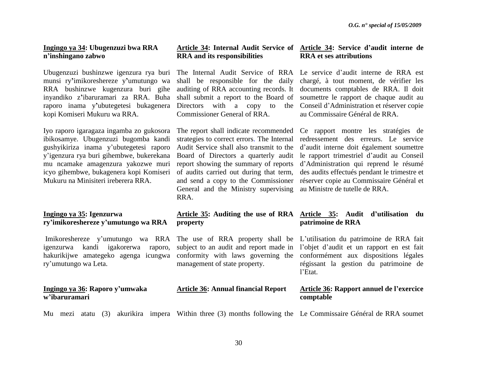### **Ingingo ya 34: Ubugenzuzi bwa RRA n'inshingano zabwo**

Ubugenzuzi bushinzwe igenzura rya buri munsi ry**'**imikoreshereze y**'**umutungo wa RRA bushinzwe kugenzura buri gihe inyandiko z**'**ibaruramari za RRA. Buha raporo inama y**'**ubutegetesi bukagenera kopi Komiseri Mukuru wa RRA.

Iyo raporo igaragaza ingamba zo gukosora ibikosamye. Ubugenzuzi bugomba kandi gushyikiriza inama y"ubutegetesi raporo y"igenzura rya buri gihembwe, bukerekana mu ncamake amagenzura yakozwe muri icyo gihembwe, bukagenera kopi Komiseri Mukuru na Minisiteri ireberera RRA.

### **Ingingo ya 35: Igenzurwa ry'imikoreshereze y'umutungo wa RRA**

Imikoreshereze y'umutungo wa RRA The use of RRA property shall be L'utilisation du patrimoine de RRA fait igenzurwa kandi igakorerwa raporo, hakurikijwe amategeko agenga icungwa ry"umutungo wa Leta.

### **Ingingo ya 36: Raporo y'umwaka w'ibaruramari**

# **RRA and its responsibilities**

shall be responsible for the daily shall submit a report to the Board of Directors with a copy to Commissioner General of RRA.

strategies to correct errors. The Internal Audit Service shall also transmit to the Board of Directors a quarterly audit report showing the summary of reports of audits carried out during that term, General and the Ministry supervising au Ministre de tutelle de RRA. RRA.

## **property**

subject to an audit and report made in management of state property.

## **Article 36: Annual financial Report**

### **Article 34: Internal Audit Service of Article 34: Service d'audit interne de RRA et ses attributions**

The Internal Audit Service of RRA Le service d"audit interne de RRA est auditing of RRA accounting records. It documents comptables de RRA. Il doit chargé, à tout moment, de vérifier les soumettre le rapport de chaque audit au Conseil d"Administration et réserver copie au Commissaire Général de RRA.

The report shall indicate recommended Ce rapport montre les stratégies de and send a copy to the Commissioner réserver copie au Commissaire Général et redressement des erreurs. Le service d"audit interne doit également soumettre le rapport trimestriel d"audit au Conseil d"Administration qui reprend le résumé des audits effectués pendant le trimestre et

### **Article 35: Auditing the use of RRA Article 35: Audit d'utilisation du patrimoine de RRA**

conformity with laws governing the conformément aux dispositions légales l"objet d"audit et un rapport en est fait régissant la gestion du patrimoine de l"Etat.

### **Article 36: Rapport annuel de l'exercice comptable**

Mu mezi atatu (3) akurikira impera Within three (3) months following the Le Commissaire Général de RRA soumet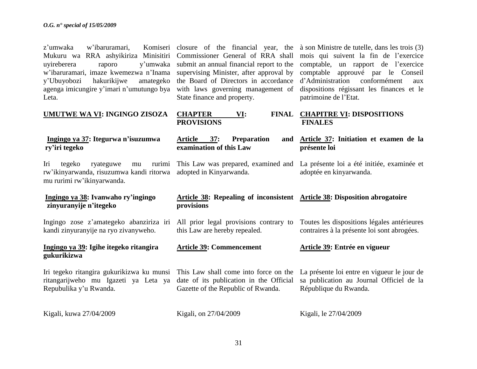**ry'iri tegeko**

z'umwaka w'ibaruramari. Mukuru wa RRA ashyikiriza Minisitiri Commissioner General of RRA shall mois qui suivent la fin de l"exercice uyireberera raporo y"umwaka submit an annual financial report to the comptable, un rapport de l"exercice w"ibaruramari, imaze kwemezwa n"Inama supervising Minister, after approval by comptable approuvé par le Conseil y"Ubuyobozi hakurikijwe amategeko agenga imicungire y'imari n'umutungo bya with laws governing management of dispositions régissant les finances et le Leta.

**UMUTWE WA VI: INGINGO ZISOZA**

State finance and property.

**CHAPTER** VI: **PROVISIONS**

**provisions**

closure of the financial year, the à son Ministre de tutelle, dans les trois (3) the Board of Directors in accordance d"Administration conformément aux patrimoine de l"Etat.

### **CHAPITRE VI: DISPOSITIONS FINALES**

**Article 37: Preparation and examination of this Law** This Law was prepared, examined and La présente loi a été initiée, examinée et **Article 37: Initiation et examen de la présente loi** adoptée en kinyarwanda.

**Article 38: Repealing of inconsistent Article 38: Disposition abrogatoire** 

Iri tegeko ryateguwe mu rw"ikinyarwanda, risuzumwa kandi ritorwa adopted in Kinyarwanda. mu rurimi rw"ikinyarwanda.

 **Ingingo ya 37: Itegurwa n'isuzumwa** 

### **Ingingo ya 38: Ivanwaho ry'ingingo zinyuranyije n'itegeko**

Ingingo zose z"amategeko abanziriza iri All prior legal provisions contrary to kandi zinyuranyije na ryo zivanyweho.

### **Ingingo ya 39: Igihe itegeko ritangira gukurikizwa**

Iri tegeko ritangira gukurikizwa ku munsi ritangarijweho mu Igazeti ya Leta ya date of its publication in the Official sa publication au Journal Officiel de la Repubulika y"u Rwanda. Gazette of the Republic of Rwanda.

Kigali, kuwa 27/04/2009

Kigali, on 27/04/2009

this Law are hereby repealed.

**Article 39: Commencement**

Toutes les dispositions légales antérieures contraires à la présente loi sont abrogées.

### **Article 39: Entrée en vigueur**

This Law shall come into force on the La présente loi entre en vigueur le jour de République du Rwanda.

Kigali, le 27/04/2009

31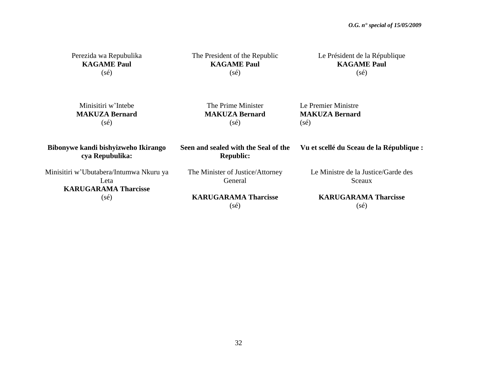| Perezida wa Repubulika<br><b>KAGAME Paul</b><br>$(s\acute{e})$                 | The President of the Republic<br><b>KAGAME Paul</b><br>$(s\acute{e})$ | Le Président de la République<br><b>KAGAME Paul</b><br>$(s\acute{e})$ |
|--------------------------------------------------------------------------------|-----------------------------------------------------------------------|-----------------------------------------------------------------------|
| Minisitiri w'Intebe<br><b>MAKUZA Bernard</b><br>$(s\acute{e})$                 | The Prime Minister<br><b>MAKUZA Bernard</b><br>$(s\acute{e})$         | Le Premier Ministre<br><b>MAKUZA Bernard</b><br>$(s\acute{e})$        |
| Bibonywe kandi bishyizweho Ikirango<br>cya Repubulika:                         | Seen and sealed with the Seal of the<br><b>Republic:</b>              | Vu et scellé du Sceau de la République :                              |
| Minisitiri w'Ubutabera/Intumwa Nkuru ya<br>Leta<br><b>KARUGARAMA Tharcisse</b> | The Minister of Justice/Attorney<br>General                           | Le Ministre de la Justice/Garde des<br>Sceaux                         |
| $(s\acute{e})$                                                                 | <b>KARUGARAMA Tharcisse</b><br>$(s\acute{e})$                         | <b>KARUGARAMA Tharcisse</b><br>$(s\acute{e})$                         |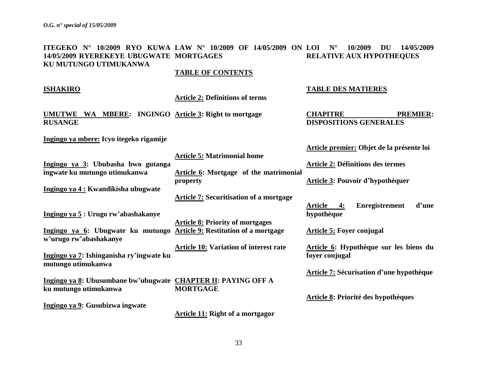### **ITEGEKO N° 10/2009 RYO KUWA LAW N° 10/2009 OF 14/05/2009 ON LOI N° 10/2009 DU 14/05/2009 14/05/2009 RYEREKEYE UBUGWATE MORTGAGES KU MUTUNGO UTIMUKANWA RELATIVE AUX HYPOTHEQUES**

**TABLE OF CONTENTS**

### **ISHAKIRO**

**Article 2: Definitions of terms**

**UMUTWE WA MBERE: INGINGO Article 3: Right to mortgage RUSANGE**

**CHAPITRE PREMIER:** 

**Article premier: Objet de la présente loi**

**DISPOSITIONS GENERALES**

**TABLE DES MATIERES**

**Ingingo ya mbere: Icyo itegeko rigamije** 

|                                                                        | <b>Article 5: Matrimonial home</b>             |                                                 |
|------------------------------------------------------------------------|------------------------------------------------|-------------------------------------------------|
| Ingingo ya 3: Ububasha bwo gutanga                                     |                                                | <b>Article 2: Définitions des termes</b>        |
| ingwate ku mutungo utimukanwa                                          | Article 6: Mortgage of the matrimonial         |                                                 |
|                                                                        | property                                       | Article 3: Pouvoir d'hypothéquer                |
| Ingingo ya 4 : Kwandikisha ubugwate                                    |                                                |                                                 |
|                                                                        | <b>Article 7: Securitisation of a mortgage</b> |                                                 |
|                                                                        |                                                | <b>Enregistrement</b><br>d'une<br>Article<br>4: |
| Ingingo ya 5: Urugo rw'abashakanye                                     |                                                | hypothèque                                      |
|                                                                        | <b>Article 8: Priority of mortgages</b>        |                                                 |
| Ingingo ya 6: Ubugwate ku mutungo Article 9: Restitution of a mortgage |                                                | <b>Article 5: Foyer conjugal</b>                |
| w'urugo rw'abashakanye                                                 |                                                |                                                 |
|                                                                        | <b>Article 10: Variation of interest rate</b>  | Article 6: Hypothèque sur les biens du          |
| Ingingo ya 7: Ishinganisha ry'ingwate ku                               |                                                | foyer conjugal                                  |
| mutungo utimukanwa                                                     |                                                |                                                 |
|                                                                        |                                                | Article 7: Sécurisation d'une hypothèque        |
| Ingingo ya 8: Ubusumbane bw'ubugwate CHAPTER II: PAYING OFF A          |                                                |                                                 |
| ku mutungo utimukanwa                                                  | <b>MORTGAGE</b>                                |                                                 |
|                                                                        |                                                | <b>Article 8: Priorité des hypothèques</b>      |
| Ingingo ya 9: Gusubizwa ingwate                                        |                                                |                                                 |
|                                                                        | <b>Article 11: Right of a mortgagor</b>        |                                                 |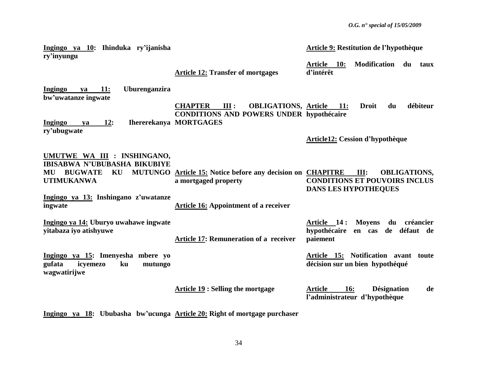| Ingingo ya 10: Ihinduka ry'ijanisha<br>ry'inyungu                                                                                                             |                                                                                                                                               | Article 9: Restitution de l'hypothèque                                                             |
|---------------------------------------------------------------------------------------------------------------------------------------------------------------|-----------------------------------------------------------------------------------------------------------------------------------------------|----------------------------------------------------------------------------------------------------|
|                                                                                                                                                               | <b>Article 12: Transfer of mortgages</b>                                                                                                      | <b>Modification</b><br><u>Article 10:</u><br>du<br>taux<br>d'intérêt                               |
| Uburenganzira<br>$ya$ 11:<br>Ingingo<br>bw'uwatanze ingwate<br>12:<br>Ingingo<br>ya                                                                           | <b>CHAPTER</b><br>III:<br><b>OBLIGATIONS, Article 11:</b><br><b>CONDITIONS AND POWERS UNDER hypothécaire</b><br><b>Ihererekanya MORTGAGES</b> | <b>Droit</b><br>débiteur<br>du                                                                     |
| ry'ubugwate                                                                                                                                                   |                                                                                                                                               | <b>Article12: Cession d'hypothèque</b>                                                             |
| UMUTWE WA III : INSHINGANO,<br><b>IBISABWA N'UBUBASHA BIKUBIYE</b><br><b>BUGWATE</b><br>KU<br>MU<br><b>UTIMUKANWA</b><br>Ingingo ya 13: Inshingano z'uwatanze | MUTUNGO Article 15: Notice before any decision on CHAPITRE<br>a mortgaged property                                                            | III:<br><b>OBLIGATIONS,</b><br><b>CONDITIONS ET POUVOIRS INCLUS</b><br><b>DANS LES HYPOTHEQUES</b> |
| ingwate                                                                                                                                                       | <b>Article 16: Appointment of a receiver</b>                                                                                                  |                                                                                                    |
| Ingingo ya 14: Uburyo uwahawe ingwate<br>yitabaza iyo atishyuwe                                                                                               | <b>Article 17: Remuneration of a receiver</b>                                                                                                 | du créancier<br>Article 14:<br><b>Moyens</b><br>hypothécaire<br>en cas de défaut de<br>paiement    |
| Ingingo ya 15: Imenyesha mbere yo<br>gufata<br>ku<br>mutungo<br>icyemezo<br>wagwatirijwe                                                                      |                                                                                                                                               | Article 15: Notification avant toute<br>décision sur un bien hypothéqué                            |
|                                                                                                                                                               | <b>Article 19: Selling the mortgage</b>                                                                                                       | <b>Désignation</b><br><b>Article</b><br><u>16:</u><br>de<br>l'administrateur d'hypothèque          |

**Ingingo ya 18: Ububasha bw'ucunga Article 20: Right of mortgage purchaser**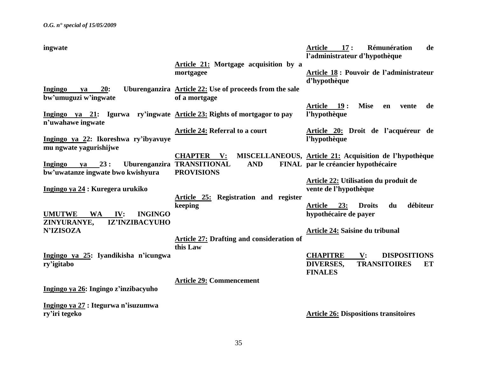| ingwate                                                                                                     |                                                                                    | <b>Article</b><br>17:<br>Rémunération<br>de<br>l'administrateur d'hypothèque                                         |
|-------------------------------------------------------------------------------------------------------------|------------------------------------------------------------------------------------|----------------------------------------------------------------------------------------------------------------------|
|                                                                                                             | Article 21: Mortgage acquisition by a<br>mortgagee                                 | Article 18 : Pouvoir de l'administrateur<br>d'hypothèque                                                             |
| 20:<br>Ingingo<br>ya<br>bw'umuguzi w'ingwate                                                                | Uburenganzira Article 22: Use of proceeds from the sale<br>of a mortgage           |                                                                                                                      |
| <u>Ingingo ya 21</u> : Igurwa ry'ingwate <u>Article 23:</u> Rights of mortgagor to pay<br>n'uwahawe ingwate |                                                                                    | <b>Mise</b><br>Article 19:<br>de<br>en<br>vente<br>l'hypothèque                                                      |
| Ingingo ya 22: Ikoreshwa ry'ibyavuye<br>mu ngwate yagurishijwe                                              | Article 24: Referral to a court                                                    | Article 20: Droit de l'acquéreur de<br>l'hypothèque                                                                  |
| Ingingo<br>23:<br>va<br>bw'uwatanze ingwate bwo kwishyura                                                   | <b>CHAPTER V:</b><br><b>AND</b><br>Uburenganzira TRANSITIONAL<br><b>PROVISIONS</b> | MISCELLANEOUS, Article 21: Acquisition de l'hypothèque<br>FINAL par le créancier hypothécaire                        |
| Ingingo ya 24 : Kuregera urukiko                                                                            | Article 25: Registration and register                                              | Article 22: Utilisation du produit de<br>vente de l'hypothèque                                                       |
| <b>INGINGO</b><br><b>UMUTWE</b><br><b>WA</b><br>IV:<br>ZINYURANYE,<br>IZ'INZIBACYUHO                        | keeping                                                                            | débiteur<br><b>Article</b><br>23:<br><b>Droits</b><br>du<br>hypothécaire de payer                                    |
| <b>N'IZISOZA</b>                                                                                            | <b>Article 27: Drafting and consideration of</b><br>this Law                       | Article 24: Saisine du tribunal                                                                                      |
| Ingingo ya 25: Iyandikisha n'icungwa<br>ry'igitabo                                                          |                                                                                    | <b>CHAPITRE</b><br><b>DISPOSITIONS</b><br>$\mathbf{V}$ :<br><b>TRANSITOIRES</b><br>DIVERSES,<br>ET<br><b>FINALES</b> |
| Ingingo ya 26: Ingingo z'inzibacyuho                                                                        | <b>Article 29: Commencement</b>                                                    |                                                                                                                      |
| Ingingo ya 27 : Itegurwa n'isuzumwa<br>ry'iri tegeko                                                        |                                                                                    | <b>Article 26: Dispositions transitoires</b>                                                                         |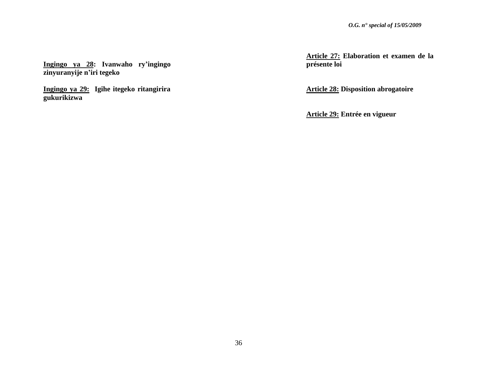**Ingingo ya 28: Ivanwaho ry'ingingo zinyuranyije n'iri tegeko** 

**Ingingo ya 29: Igihe itegeko ritangirira gukurikizwa**

**Article 27: Elaboration et examen de la présente loi**

**Article 28: Disposition abrogatoire** 

**Article 29: Entrée en vigueur**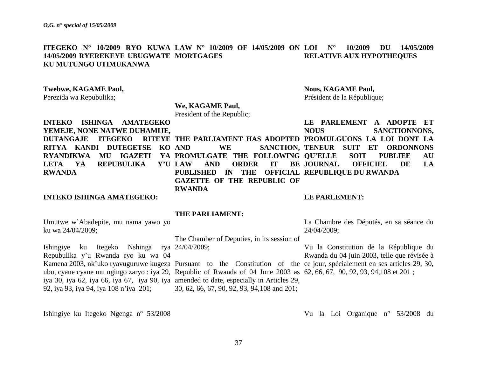**ITEGEKO N° 10/2009 RYO KUWA LAW N° 10/2009 OF 14/05/2009 ON LOI N° 10/2009 DU 14/05/2009 14/05/2009 RYEREKEYE UBUGWATE MORTGAGES KU MUTUNGO UTIMUKANWA RELATIVE AUX HYPOTHEQUES**

### **Twebwe, KAGAME Paul,**

Perezida wa Repubulika;

### **We, KAGAME Paul,**

President of the Republic;

**INTEKO ISHINGA AMATEGEKO YEMEJE, NONE NATWE DUHAMIJE,**  DUTANGAJE ITEGEKO RITEYE THE PARLIAMENT HAS ADOPTED PROMULGUONS LA LOI DONT LA **RITYA KANDI DUTEGETSE KO RYANDIKWA MU IGAZETI YA PROMULGATE THE FOLLOWING QU'ELLE SOIT PUBLIEE AU LETA YA REPUBULIKA Y'U RWANDA** AND ORDER IT BE **JOURNAL PUBLISHED IN THE OFFICIAL REPUBLIQUE DU RWANDA GAZETTE OF THE REPUBLIC OF** 

**RWANDA**

### **INTEKO ISHINGA AMATEGEKO:**

# Président de la République;

**Nous, KAGAME Paul,**

AND WE SANCTION, TENEUR SUIT ET ORDONNONS **LE PARLEMENT A ADOPTE ET NOUS SANCTIONNONS, OFFICIEL DE LA** 

### **LE PARLEMENT:**

### **THE PARLIAMENT:**

Umutwe w"Abadepite, mu nama yawo yo ku wa 24/04/2009;

The Chamber of Deputies, in its session of

Ishingiye ku Itegeko Nshinga rya 24/04/2009; Repubulika y"u Rwanda ryo ku wa 04 Kamena 2003, nk'uko ryavuguruwe kugeza Pursuant to the Constitution of the ce jour, spécialement en ses articles 29, 30, ubu, cyane cyane mu ngingo zaryo : iya 29, Republic of Rwanda of 04 June 2003 as 62, 66, 67, 90, 92, 93, 94,108 et 201 ; iya 30, iya 62, iya 66, iya 67, iya 90, iya amended to date, especially in Articles 29, 92, iya 93, iya 94, iya 108 n"iya 201;

30, 62, 66, 67, 90, 92, 93, 94,108 and 201;

Ishingiye ku Itegeko Ngenga n° 53/2008

La Chambre des Députés, en sa séance du 24/04/2009;

Vu la Constitution de la République du Rwanda du 04 juin 2003, telle que révisée à

Vu la Loi Organique n° 53/2008 du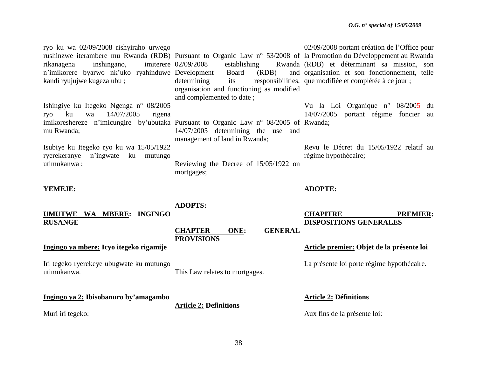ryo ku wa 02/09/2008 rishyiraho urwego rushinzwe iterambere mu Rwanda (RDB) Pursuant to Organic Law n° 53/2008 of la Promotion du Développement au Rwanda rikanagena inshingano, imiterere 02/09/2008 n"imikorere byarwo nk"uko ryahinduwe Development Board (RDB) and kandi ryujujwe kugeza ubu ; Ishingiye ku Itegeko Ngenga n° 08/2005 ryo ku wa 14/07/2005 rigena imikoreshereze n'imicungire by'ubutaka Pursuant to Organic Law n° 08/2005 of Rwanda; mu Rwanda; Isubiye ku Itegeko ryo ku wa 15/05/1922 ryerekeranye n"ingwate ku mutungo utimukanwa ; **YEMEJE: UMUTWE WA MBERE: INGINGO RUSANGE Ingingo ya mbere: Icyo itegeko rigamije**  establishing determining its responsibilities, que modifiée et complétée à ce jour ; organisation and functioning as modified and complemented to date ; 14/07/2005 determining the use and management of land in Rwanda; Reviewing the Decree of 15/05/1922 on mortgages; **ADOPTS: CHAPTER ONE: GENERAL PROVISIONS** 02/09/2008 portant création de l"Office pour (RDB) et déterminant sa mission, son and organisation et son fonctionnement, telle Vu la Loi Organique n° 08/2005 du 14/07/2005 portant régime foncier au Revu le Décret du 15/05/1922 relatif au régime hypothécaire; **ADOPTE: CHAPITRE PREMIER: DISPOSITIONS GENERALES Article premier: Objet de la présente loi**

La présente loi porte régime hypothécaire.

**Article 2: Définitions** 

Aux fins de la présente loi:

utimukanwa.

Muri iri tegeko:

Iri tegeko ryerekeye ubugwate ku mutungo

**Ingingo ya 2: Ibisobanuro by'amagambo**

38

This Law relates to mortgages.

**Article 2: Definitions**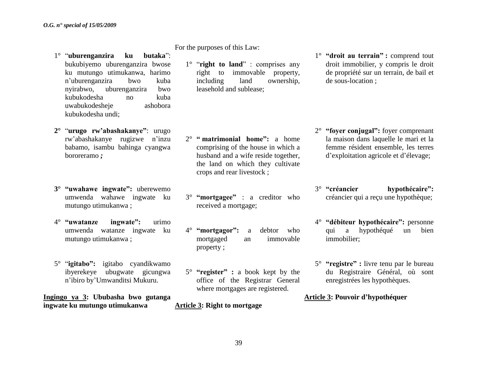- 1° "**uburenganzira ku butaka**": bukubiyemo uburenganzira bwose ku mutungo utimukanwa, harimo n"uburenganzira bwo kuba nyirabwo, uburenganzira bwo kubukodesha no kuba uwabukodesheje ashobora kubukodesha undi;
- **2°** "**urugo rw'abashakanye"**: urugo rw"abashakanye rugizwe n"inzu babamo, isambu bahinga cyangwa bororeramo *;*
- **3° "uwahawe ingwate":** uberewemo umwenda wahawe ingwate ku mutungo utimukanwa ;
- 4° **"uwatanze ingwate":** urimo umwenda watanze ingwate ku mutungo utimukanwa ;
- 5° "**igitabo":** igitabo cyandikwamo ibyerekeye ubugwate gicungwa n"ibiro by"Umwanditsi Mukuru.

**Ingingo ya 3: Ububasha bwo gutanga ingwate ku mutungo utimukanwa**

For the purposes of this Law:

1° "**right to land**" : comprises any right to immovable property, including land ownership, leasehold and sublease;

- 2° **" matrimonial home":** a home comprising of the house in which a husband and a wife reside together, the land on which they cultivate crops and rear livestock ;
- 3° **"mortgagee"** : a creditor who received a mortgage;
- 4° **"mortgagor":** a debtor who mortgaged an immovable property ;
- 5° **"register" :** a book kept by the office of the Registrar General where mortgages are registered.

### **Article 3: Right to mortgage**

1° **"droit au terrain" :** comprend tout droit immobilier, y compris le droit de propriété sur un terrain, de bail et de sous-location ;

- 2° **"foyer conjugal":** foyer comprenant la maison dans laquelle le mari et la femme résident ensemble, les terres d"exploitation agricole et d"élevage;
- 3° **"créancier hypothécaire":**  créancier qui a reçu une hypothèque;
- 4° **"débiteur hypothécaire":** personne qui a hypothéqué un bien immobilier;
- 5° **"registre" :** livre tenu par le bureau du Registraire Général, où sont enregistrées les hypothèques.

### **Article 3: Pouvoir d'hypothéquer**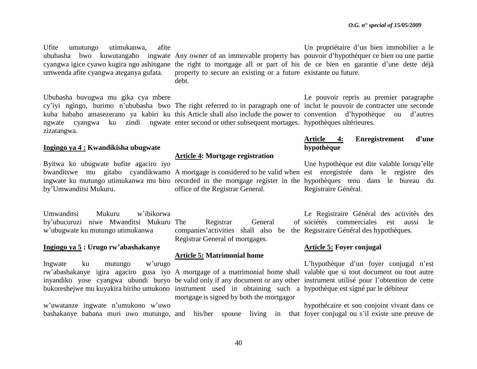Ufite umutungo utimukanwa, afite umwenda afite cyangwa ateganya gufata.

Ububasha buvugwa mu gika cya mbere zizatangwa.

### **Ingingo ya 4 : Kwandikisha ubugwate**

Byitwa ko ubugwate bufite agaciro iyo by"Umwanditsi Mukuru.

Umwanditsi Mukuru w"ibikorwa by"ubucuruzi niwe Mwanditsi Mukuru w"ubugwate ku mutungo utimukanwa

### **Ingingo ya 5 : Urugo rw'abashakanye**

Ingwate ku mutungo w"urugo

w"uwatanze ingwate n"umukono w"uwo

ububasha bwo kuwutangaho ingwate Any owner of an immovable property has pouvoir d"hypothéquer ce bien ou une partie cyangwa igice cyawo kugira ngo ashingane the right to mortgage all or part of his de ce bien en garantie d'une dette déjà property to secure an existing or a future existante ou future. debt.

cy'iyi ngingo, burimo n'ububasha bwo The right referred to in paragraph one of inclut le pouvoir de contracter une seconde kuba habaho amasezerano ya kabiri ku this Article shall also include the power to convention d'hypothèque ou d'autres ngwate cyangwa ku zindi ngwate enter second or other subsequent mortages. hypothèques ultérieures.

### **Article 4: Mortgage registration**

office of the Registrar General.

Registrar General companies"activities shall also be the Registraire Général des hypothèques. Registrar General of mortgages.

### **Article 5: Matrimonial home**

bukoreshejwe mu kuyakira biriho umukono instrument used in obtaining such a hypothèque est signé par le débiteur mortgage is signed by both the mortgagor

Un propriétaire d"un bien immobilier a le

Le pouvoir repris au premier paragraphe

### **Article 4: Enregistrement d'une hypothèque**

bwanditswe mu gitabo cyandikwamo A mortgage is considered to be valid when est enregistrée dans le registre des ingwate ku mutungo utimukanwa mu biro recorded in the mortgage register in the hypothèques tenu dans le bureau du Une hypothèque est dite valable lorsqu"elle Registraire Général.

> Le Registraire Général des activités des sociétés commerciales est aussi le

### **Article 5: Foyer conjugal**

rw"abashakanye igira agaciro gusa iyo A mortgage of a matrimonial home shall valable que si tout document ou tout autre inyandiko yose cyangwa ubundi buryo be valid only if any document or any other instrument utilisé pour l"obtention de cette L'hypothèque d'un foyer conjugal n'est

bashakanye babana muri uwo mutungo, and his/her spouse living in that foyer conjugal ou s"il existe une preuve de hypothécaire et son conjoint vivant dans ce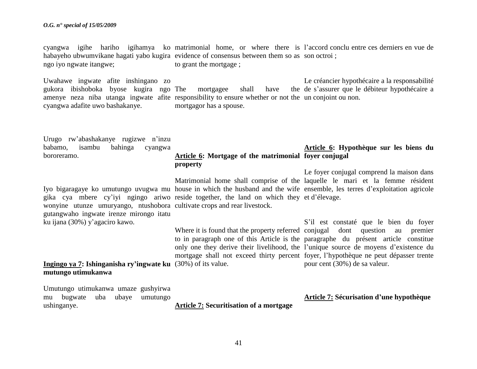### *O.G. n° special of 15/05/2009*

cyangwa igihe hariho igihamya ko matrimonial home, or where there is l"accord conclu entre ces derniers en vue de habayeho ubwumvikane hagati yabo kugira evidence of consensus between them so as son octroi; ngo iyo ngwate itangwe; to grant the mortgage ;

Uwahawe ingwate afite inshingano zo gukora ibishoboka byose kugira ngo The mortgagee shall have the amenye neza niba utanga ingwate afite responsibility to ensure whether or not the un conjoint ou non. cyangwa adafite uwo bashakanye. mortgagor has a spouse. Le créancier hypothécaire a la responsabilité de s"assurer que le débiteur hypothécaire a

| Urugo rw'abashakanye rugizwe n'inzu<br>babamo, isambu bahinga<br>cyangwa                                                                                             |                                                                        | Article 6: Hypothèque sur les biens du                                                                                                                                                                                                                                                                                 |
|----------------------------------------------------------------------------------------------------------------------------------------------------------------------|------------------------------------------------------------------------|------------------------------------------------------------------------------------------------------------------------------------------------------------------------------------------------------------------------------------------------------------------------------------------------------------------------|
| bororeramo.                                                                                                                                                          | Article 6: Mortgage of the matrimonial foyer conjugal<br>property      |                                                                                                                                                                                                                                                                                                                        |
| gika cya mbere cy'iyi ngingo ariwo reside together, the land on which they et d'élevage.<br>wonyine utunze umuryango, ntushobora cultivate crops and rear livestock. |                                                                        | Le foyer conjugal comprend la maison dans<br>Matrimonial home shall comprise of the laquelle le mari et la femme résident<br>Iyo bigaragaye ko umutungo uvugwa mu house in which the husband and the wife ensemble, les terres d'exploitation agricole                                                                 |
| gutangwaho ingwate irenze mirongo itatu<br>ku ijana (30%) y'agaciro kawo.                                                                                            | Where it is found that the property referred conjugal dont question au | S'il est constaté que le bien du foyer<br>premier<br>to in paragraph one of this Article is the paragraphe du présent article constitue<br>only one they derive their livelihood, the l'unique source de moyens d'existence du<br>mortgage shall not exceed thirty percent foyer, l'hypothèque ne peut dépasser trente |
| Ingingo ya 7: Ishinganisha ry'ingwate ku $(30\%)$ of its value.<br>mutungo utimukanwa                                                                                |                                                                        | pour cent (30%) de sa valeur.                                                                                                                                                                                                                                                                                          |
| Umutungo utimukanwa umaze gushyirwa<br>mu bugwate<br>uba<br>ubaye<br>umutungo<br>ushinganye.                                                                         | <b>Article 7: Securitisation of a mortgage</b>                         | <b>Article 7: Sécurisation d'une hypothèque</b>                                                                                                                                                                                                                                                                        |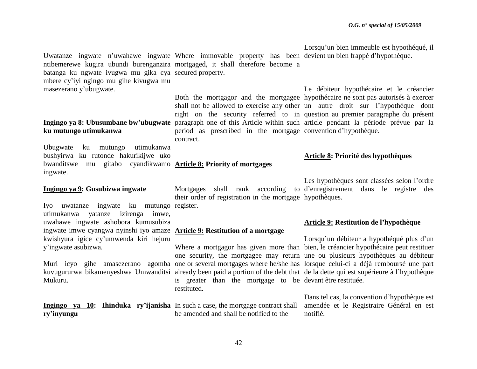Uwatanze ingwate n'uwahawe ingwate Where immovable property has been devient un bien frappé d'hypothèque. ntibemerewe kugira ubundi burenganzira mortgaged, it shall therefore become a batanga ku ngwate ivugwa mu gika cya secured property. mbere cy"iyi ngingo mu gihe kivugwa mu masezerano y"ubugwate.

## **ku mutungo utimukanwa**

Ubugwate ku mutungo utimukanwa bushyirwa ku rutonde hakurikijwe uko bwanditswe mu gitabo cyandikwamo **Article 8: Priority of mortgages** ingwate.

### **Ingingo ya 9: Gusubizwa ingwate**

Iyo uwatanze ingwate ku mutungo register. utimukanwa yatanze izirenga imwe, uwahawe ingwate ashobora kumusubiza ingwate imwe cyangwa nyinshi iyo amaze **Article 9: Restitution of a mortgage** kwishyura igice cy"umwenda kiri hejuru y"ingwate asubizwa.

Mukuru.

**ry'inyungu** 

period as prescribed in the mortgage convention d"hypothèque. contract.

their order of registration in the mortgage hypothèques.

is greater than the mortgage to be devant être restituée. restituted.

**Ingingo ya 10: Ihinduka ry'ijanisha**  In such a case, the mortgage contract shall be amended and shall be notified to the

Lorsqu"un bien immeuble est hypothéqué, il

Ingingo ya 8: Ubusumbane bw'ubugwate paragraph one of this Article within such article pendant la période prévue par la Both the mortgagor and the mortgagee hypothécaire ne sont pas autorisés à exercer shall not be allowed to exercise any other un autre droit sur l"hypothèque dont right on the security referred to in question au premier paragraphe du présent Le débiteur hypothécaire et le créancier

### **Article 8: Priorité des hypothèques**

Mortgages shall rank according to d"enregistrement dans le registre des Les hypothèques sont classées selon l'ordre

### **Article 9: Restitution de l'hypothèque**

Muri icyo gihe amasezerano agomba one or several mortgages where he/she has lorsque celui-ci a déjà remboursé une part kuvugururwa bikamenyeshwa Umwanditsi already been paid a portion of the debt that de la dette qui est supérieure à l"hypothèque Where a mortgagor has given more than bien, le créancier hypothécaire peut restituer one security, the mortgagee may return une ou plusieurs hypothèques au débiteur Lorsqu'un débiteur a hypothéqué plus d'un

> Dans tel cas, la convention d"hypothèque est amendée et le Registraire Général en est notifié.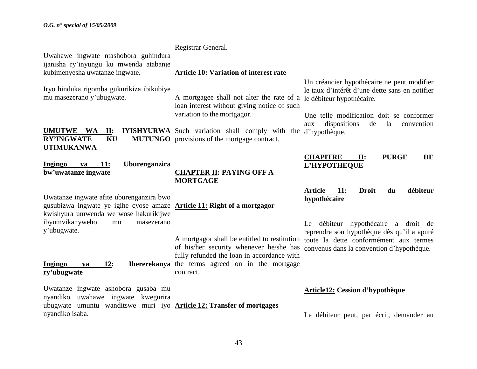| Uwahawe ingwate ntashobora guhindura<br>ijanisha ry'inyungu ku mwenda atabanje                                                                                      | Registrar General.                                                                                                                                                                |                                                                                                                                                                                                                                         |
|---------------------------------------------------------------------------------------------------------------------------------------------------------------------|-----------------------------------------------------------------------------------------------------------------------------------------------------------------------------------|-----------------------------------------------------------------------------------------------------------------------------------------------------------------------------------------------------------------------------------------|
| kubimenyesha uwatanze ingwate.                                                                                                                                      | <b>Article 10: Variation of interest rate</b>                                                                                                                                     |                                                                                                                                                                                                                                         |
| Iryo hinduka rigomba gukurikiza ibikubiye<br>mu masezerano y'ubugwate.<br><b>UMUTWE</b><br>$\mathbf{II}$ :<br>WA                                                    | A mortgagee shall not alter the rate of a<br>loan interest without giving notice of such<br>variation to the mortgagor.<br><b>IYISHYURWA</b> Such variation shall comply with the | Un créancier hypothécaire ne peut modifier<br>le taux d'intérêt d'une dette sans en notifier<br>le débiteur hypothécaire.<br>Une telle modification doit se conformer<br>dispositions<br>de<br>la<br>convention<br>aux<br>d'hypothèque. |
| <b>RY'INGWATE</b><br>KU<br><b>UTIMUKANWA</b>                                                                                                                        | <b>MUTUNGO</b> provisions of the mortgage contract.                                                                                                                               |                                                                                                                                                                                                                                         |
| Uburenganzira<br><b>Ingingo</b><br>11:<br>ya<br>bw'uwatanze ingwate                                                                                                 | <b>CHAPTER II: PAYING OFF A</b><br><b>MORTGAGE</b>                                                                                                                                | <b>PURGE</b><br><b>CHAPITRE</b><br>DE<br>$\Pi$ :<br>L'HYPOTHEQUE                                                                                                                                                                        |
| Uwatanze ingwate afite uburenganzira bwo<br>gusubizwa ingwate ye igihe cyose amaze <b>Article 11: Right of a mortgagor</b><br>kwishyura umwenda we wose hakurikijwe |                                                                                                                                                                                   | débiteur<br><b>Article</b><br><b>11:</b><br><b>Droit</b><br>du<br>hypothécaire                                                                                                                                                          |
| ibyumvikanyweho<br>masezerano<br>mu<br>y'ubugwate.                                                                                                                  | A mortgagor shall be entitled to restitution<br>of his/her security whenever he/she has<br>fully refunded the loan in accordance with                                             | Le débiteur hypothécaire a droit de<br>reprendre son hypothèque dès qu'il a apuré<br>toute la dette conformément aux termes<br>convenus dans la convention d'hypothèque.                                                                |
| 12:<br><b>Ingingo</b><br>ya<br>ry'ubugwate                                                                                                                          | Ihererekanya the terms agreed on in the mortgage<br>contract.                                                                                                                     |                                                                                                                                                                                                                                         |
| Uwatanze ingwate ashobora gusaba mu<br>nyandiko uwahawe ingwate kwegurira<br>ubugwate umuntu wanditswe muri iyo <b>Article 12: Transfer of mortgages</b>            |                                                                                                                                                                                   | <b>Article12: Cession d'hypothèque</b>                                                                                                                                                                                                  |
| nyandiko isaba.                                                                                                                                                     |                                                                                                                                                                                   | Le débiteur peut, par écrit, demander au                                                                                                                                                                                                |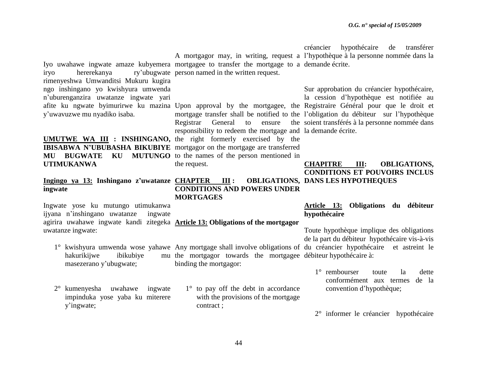créancier hypothécaire de transférer

|                                               |                                                                                             | A mortgagor may, in writing, request a l'hypothèque à la personne nommée dans la                                    |
|-----------------------------------------------|---------------------------------------------------------------------------------------------|---------------------------------------------------------------------------------------------------------------------|
|                                               | Iyo uwahawe ingwate amaze kubyemera mortgagee to transfer the mortgage to a demande écrite. |                                                                                                                     |
| hererekanya<br>iryo                           | ry'ubugwate person named in the written request.                                            |                                                                                                                     |
| rimenyeshwa Umwanditsi Mukuru kugira          |                                                                                             |                                                                                                                     |
| ngo inshingano yo kwishyura umwenda           |                                                                                             | Sur approbation du créancier hypothécaire,                                                                          |
| n'uburenganzira uwatanze ingwate yari         |                                                                                             | la cession d'hypothèque est notifiée au                                                                             |
|                                               |                                                                                             | afite ku ngwate byimurirwe ku mazina Upon approval by the mortgagee, the Registraire Général pour que le droit et   |
| y'uwavuzwe mu nyadiko isaba.                  |                                                                                             | mortgage transfer shall be notified to the l'obligation du débiteur sur l'hypothèque                                |
|                                               | Registrar<br>General to ensure                                                              | the soient transférés à la personne nommée dans                                                                     |
|                                               | responsibility to redeem the mortgage and la demande écrite.                                |                                                                                                                     |
|                                               | <b>UMUTWE WA III : INSHINGANO</b> , the right formerly exercised by the                     |                                                                                                                     |
|                                               | <b>IBISABWA N'UBUBASHA BIKUBIYE</b> mortgagor on the mortgage are transferred               |                                                                                                                     |
| <b>BUGWATE</b><br>KU<br>MU                    | <b>MUTUNGO</b> to the names of the person mentioned in                                      |                                                                                                                     |
| <b>UTIMUKANWA</b>                             | the request.                                                                                | <b>OBLIGATIONS,</b><br><b>CHAPITRE</b><br>III:                                                                      |
|                                               |                                                                                             | <b>CONDITIONS ET POUVOIRS INCLUS</b>                                                                                |
| Ingingo ya 13: Inshingano z'uwatanze CHAPTER  | $\mathbf{III}$ :                                                                            | <b>OBLIGATIONS, DANS LES HYPOTHEQUES</b>                                                                            |
| ingwate                                       | <b>CONDITIONS AND POWERS UNDER</b>                                                          |                                                                                                                     |
|                                               | <b>MORTGAGES</b>                                                                            |                                                                                                                     |
| Ingwate yose ku mutungo utimukanwa            |                                                                                             | Article 13: Obligations du débiteur                                                                                 |
| ijyana n'inshingano uwatanze<br>ingwate       |                                                                                             | hypothécaire                                                                                                        |
|                                               | agirira uwahawe ingwate kandi zitegeka <b>Article 13: Obligations of the mortgagor</b>      |                                                                                                                     |
| uwatanze ingwate:                             |                                                                                             | Toute hypothèque implique des obligations                                                                           |
|                                               |                                                                                             | de la part du débiteur hypothécaire vis-à-vis                                                                       |
|                                               |                                                                                             | 1° kwishyura umwenda wose yahawe Any mortgage shall involve obligations of du créancier hypothécaire et astreint le |
| hakurikijwe<br>ibikubiye                      | mu the mortgagor towards the mortgagee débiteur hypothécaire à:                             |                                                                                                                     |
| masezerano y'ubugwate;                        | binding the mortgagor:                                                                      |                                                                                                                     |
|                                               |                                                                                             | $1^\circ$ rembourser<br>la<br>dette<br>toute                                                                        |
|                                               |                                                                                             | conformément aux termes<br>de la                                                                                    |
| 2° kumenyesha uwahawe ingwate                 | $1^\circ$ to pay off the debt in accordance                                                 | convention d'hypothèque;                                                                                            |
|                                               |                                                                                             |                                                                                                                     |
|                                               |                                                                                             |                                                                                                                     |
| impinduka yose yaba ku miterere<br>y'ingwate; | with the provisions of the mortgage<br>contract;                                            |                                                                                                                     |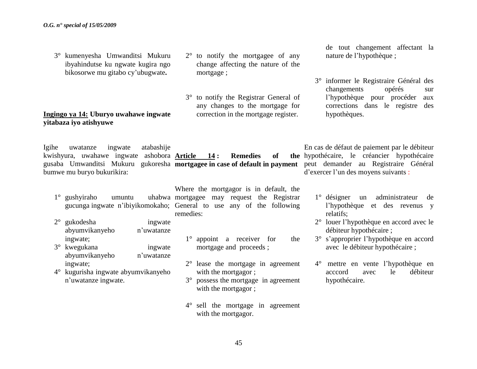3° kumenyesha Umwanditsi Mukuru ibyahindutse ku ngwate kugira ngo bikosorwe mu gitabo cy"ubugwate**.** 

### **Ingingo ya 14: Uburyo uwahawe ingwate yitabaza iyo atishyuwe**

Igihe uwatanze ingwate atabashije kwishyura, uwahawe ingwate ashobora **Article 14 : Remedies of the**  gusaba Umwanditsi Mukuru gukoresha **mortgagee in case of default in payment** bumwe mu buryo bukurikira:

 $1^\circ$  gushyiraho umuntu

- 2° gukodesha ingwate abyumvikanyeho n"uwatanze ingwate;
- 3° kwegukana ingwate abyumvikanyeho n"uwatanze ingwate;
- 4° kugurisha ingwate abyumvikanyeho n"uwatanze ingwate.

gucunga ingwate n"ibiyikomokaho; General to use any of the following Where the mortgagor is in default, the mortgagee may request the Registrar remedies:

2° to notify the mortgagee of any change affecting the nature of the

3° to notify the Registrar General of any changes to the mortgage for correction in the mortgage register.

mortgage ;

- 1° appoint a receiver for the mortgage and proceeds ;
- 2° lease the mortgage in agreement with the mortgagor :
- 3° possess the mortgage in agreement with the mortgagor;
- 4° sell the mortgage in agreement with the mortgagor.

de tout changement affectant la nature de l"hypothèque ;

3° informer le Registraire Général des changements opérés sur l"hypothèque pour procéder aux corrections dans le registre des hypothèques.

En cas de défaut de paiement par le débiteur hypothécaire, le créancier hypothécaire peut demander au Registraire Général d"exercer l"un des moyens suivants :

- 1° désigner un administrateur de l"hypothèque et des revenus y relatifs;
- 2° louer l"hypothèque en accord avec le débiteur hypothécaire ;
- 3° s"approprier l"hypothèque en accord avec le débiteur hypothécaire ;
- 4° mettre en vente l"hypothèque en acccord avec le débiteur hypothécaire.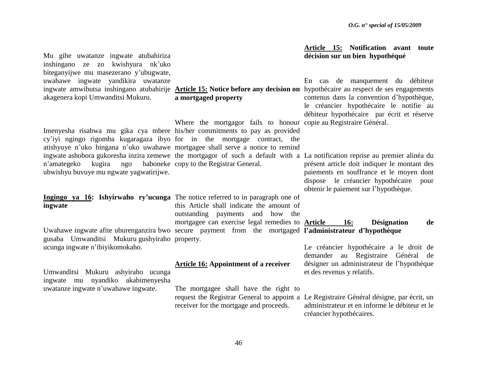| Mu gihe uwatanze ingwate atubahiriza<br>inshingano ze zo kwishyura nk'uko                                                                                                                                                               |                                                                                                                                                                    | Article 15: Notification avant toute<br>décision sur un bien hypothéqué                                                                                                                                                                                                                                        |
|-----------------------------------------------------------------------------------------------------------------------------------------------------------------------------------------------------------------------------------------|--------------------------------------------------------------------------------------------------------------------------------------------------------------------|----------------------------------------------------------------------------------------------------------------------------------------------------------------------------------------------------------------------------------------------------------------------------------------------------------------|
| biteganyijwe mu masezerano y'ubugwate,<br>uwahawe ingwate yandikira uwatanze<br>akagenera kopi Umwanditsi Mukuru.                                                                                                                       | a mortgaged property                                                                                                                                               | En cas de manquement du débiteur<br>ingwate amwibutsa inshingano atubahirije Article 15: Notice before any decision on hypothécaire au respect de ses engagements<br>contenus dans la convention d'hypothèque,<br>le créancier hypothécaire le notifie au<br>débiteur hypothécaire par écrit et réserve        |
| Imenyesha risabwa mu gika cya mbere his/her commitments to pay as provided<br>cy'iyi ngingo rigomba kugaragaza ibyo for in the mortgage contract, the<br>atishyuye n'uko bingana n'uko uwahawe mortgagee shall serve a notice to remind | Where the mortgagor fails to honour copie au Registraire Général.                                                                                                  |                                                                                                                                                                                                                                                                                                                |
| n'amategeko<br>kugira ngo<br>ubwishyu buvuye mu ngwate yagwatirijwe.                                                                                                                                                                    | haboneke copy to the Registrar General.                                                                                                                            | ingwate ashobora gukoresha inzira zemewe the mortgagor of such a default with a La notification reprise au premier alinéa du<br>présent article doit indiquer le montant des<br>paiements en souffrance et le moyen dont<br>dispose le créancier hypothécaire<br>pour<br>obtenir le paiement sur l'hypothèque. |
| Ingingo ya 16: Ishyirwaho ry'ucunga The notice referred to in paragraph one of<br>ingwate                                                                                                                                               | this Article shall indicate the amount of<br>outstanding payments and how the                                                                                      |                                                                                                                                                                                                                                                                                                                |
| gusaba Umwanditsi Mukuru gushyiraho property.                                                                                                                                                                                           | mortgagee can exercise legal remedies to <b>Article</b><br>Uwahawe ingwate afite uburenganzira bwo secure payment from the mortgaged l'administrateur d'hypothèque | <b>Désignation</b><br><b>16:</b><br>de                                                                                                                                                                                                                                                                         |
| ucunga ingwate n'ibiyikomokaho.                                                                                                                                                                                                         | <b>Article 16: Appointment of a receiver</b>                                                                                                                       | Le créancier hypothécaire a le droit de<br>demander au Registraire Général de<br>désigner un administrateur de l'hypothèque                                                                                                                                                                                    |
| Umwanditsi Mukuru ashyiraho ucunga<br>ingwate mu nyandiko akabimenyesha<br>uwatanze ingwate n'uwahawe ingwate.                                                                                                                          | The mortgagee shall have the right to                                                                                                                              | et des revenus y relatifs.<br>request the Registrar General to appoint a Le Registraire Général désigne, par écrit, un                                                                                                                                                                                         |
|                                                                                                                                                                                                                                         | receiver for the mortgage and proceeds.                                                                                                                            | administrateur et en informe le débiteur et le<br>créancier hypothécaires.                                                                                                                                                                                                                                     |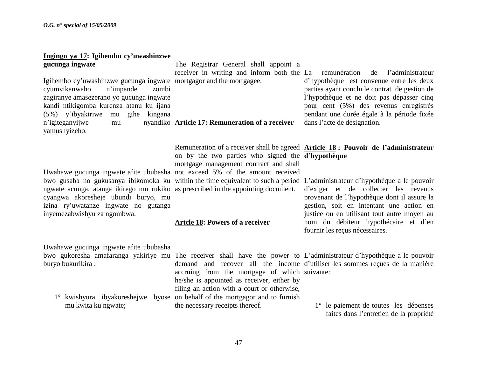### **Ingingo ya 17: Igihembo cy'uwashinzwe gucunga ingwate**

Igihembo cy'uwashinzwe gucunga ingwate mortgagor and the mortgagee. cyumvikanwaho n"impande zombi zagiranye amasezerano yo gucunga ingwate kandi ntikigomba kurenza atanu ku ijana (5%) y"ibyakiriwe mu gihe kingana n'igiteganyijwe mu yamushyizeho.

Uwahawe gucunga ingwate afite ububasha not exceed 5% of the amount received ngwate acunga, atanga ikirego mu rukiko as prescribed in the appointing document. cyangwa akoresheje ubundi buryo, mu izina ry"uwatanze ingwate no gutanga inyemezabwishyu za ngombwa.

The Registrar General shall appoint a receiver in writing and inform both the La d"hypothèque est convenue entre les deux

**Article 17: Remuneration of a receiver** 

on by the two parties who signed the **d'hypothèque**  mortgage management contract and shall

Remuneration of a receiver shall be agreed **Article 18 : Pouvoir de l'administrateur**  dans l"acte de désignation.

parties ayant conclu le contrat de gestion de l"hypothèque et ne doit pas dépasser cinq pour cent (5%) des revenus enregistrés pendant une durée égale à la période fixée

rémunération de l'administrateur

bwo gusaba no gukusanya ibikomoka ku within the time equivalent to such a period L"administrateur d"hypothèque a le pouvoir d"exiger et de collecter les revenus provenant de l"hypothèque dont il assure la gestion, soit en intentant une action en justice ou en utilisant tout autre moyen au nom du débiteur hypothécaire et d"en fournir les reçus nécessaires.

### **Artcle 18: Powers of a receiver**

the necessary receipts thereof.

Uwahawe gucunga ingwate afite ububasha

buryo bukurikira :

1° kwishyura ibyakoreshejwe byose on behalf of the mortgagor and to furnish mu kwita ku ngwate;

bwo gukoresha amafaranga yakiriye mu The receiver shall have the power to L"administrateur d"hypothèque a le pouvoir demand and recover all the income d"utiliser les sommes reçues de la manière accruing from the mortgage of which suivante:

> 1° le paiement de toutes les dépenses faites dans l"entretien de la propriété

he/she is appointed as receiver, either by filing an action with a court or otherwise,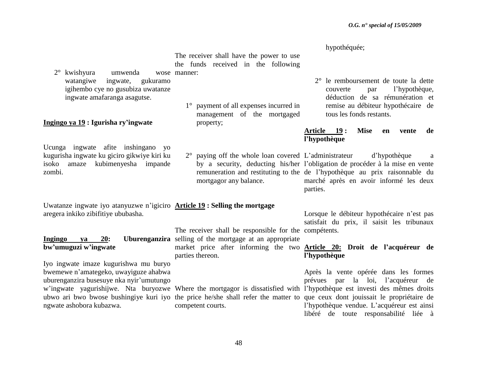The receiver shall have the power to use the funds received in the following

- 1° payment of all expenses incurred in management of the mortgaged property;
	- mortgagor any balance.

hypothéquée;

2° le remboursement de toute la dette couverte par l"hypothèque, déduction de sa rémunération et remise au débiteur hypothécaire de tous les fonds restants.

### **Article 19 : Mise en vente de l'hypothèque**

2° paying off the whole loan covered L"administrateur d"hypothèque a by a security, deducting his/her l"obligation de procéder à la mise en vente remuneration and restituting to the de l"hypothèque au prix raisonnable du marché après en avoir informé les deux parties.

Uwatanze ingwate iyo atanyuzwe n"igiciro **Article 19 : Selling the mortgage**

**Ingingo** va 20: Uburenganzira selling of the mortgage at an appropriate The receiver shall be responsible for the compétents. market price after informing the two **Article 20: Droit de l'acquéreur de**  parties thereon.

Lorsque le débiteur hypothécaire n"est pas satisfait du prix, il saisit les tribunaux

## **l'hypothèque**

w"ingwate yagurishijwe. Nta buryozwe Where the mortgagor is dissatisfied with l"hypothèque est investi des mêmes droits ubwo ari bwo bwose bushingiye kuri iyo the price he/she shall refer the matter to que ceux dont jouissait le propriétaire de Après la vente opérée dans les formes prévues par la loi, l"acquéreur de l"hypothèque vendue. L"acquéreur est ainsi libéré de toute responsabilité liée à

 $2^{\circ}$  kwishyura umwenda watangiwe ingwate, gukuramo igihembo cye no gusubiza uwatanze ingwate amafaranga asagutse. wose manner:

### **Ingingo ya 19 : Igurisha ry'ingwate**

Ucunga ingwate afite inshingano yo kugurisha ingwate ku giciro gikwiye kiri ku isoko amaze kubimenyesha impande zombi.

aregera inkiko zibifitiye ububasha.

## **bw'umuguzi w'ingwate**

Iyo ingwate imaze kugurishwa mu buryo bwemewe n"amategeko, uwayiguze ahabwa uburenganzira busesuye nka nyir"umutungo ngwate ashobora kubazwa.

competent courts.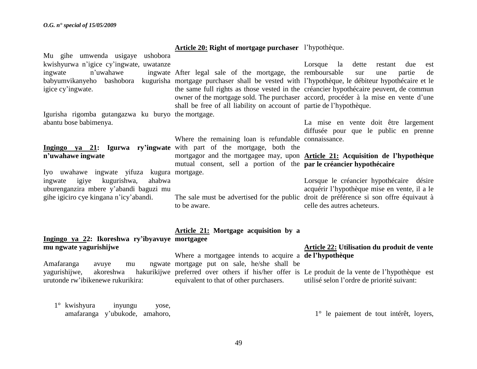|                                                                                          | Article 20: Right of mortgage purchaser l'hypothèque.                |                                                                                                  |
|------------------------------------------------------------------------------------------|----------------------------------------------------------------------|--------------------------------------------------------------------------------------------------|
| Mu gihe umwenda usigaye ushobora                                                         |                                                                      |                                                                                                  |
| kwishyurwa n'igice cy'ingwate, uwatanze                                                  |                                                                      | Lorsque la<br>dette<br>restant<br>due<br>est                                                     |
| n'uwahawe<br>ingwate                                                                     | ingwate After legal sale of the mortgage, the remboursable           | sur<br>partie<br>de<br>une                                                                       |
| babyumvikanyeho<br>bashobora                                                             |                                                                      | kugurisha mortgage purchaser shall be vested with l'hypothèque, le débiteur hypothécaire et le   |
| igice cy'ingwate.                                                                        |                                                                      | the same full rights as those vested in the créancier hypothécaire peuvent, de commun            |
|                                                                                          |                                                                      | owner of the mortgage sold. The purchaser accord, procéder à la mise en vente d'une              |
| Igurisha rigomba gutangazwa ku buryo the mortgage.                                       | shall be free of all liability on account of partie de l'hypothèque. |                                                                                                  |
| abantu bose babimenya.                                                                   |                                                                      | La mise en vente doit être largement                                                             |
|                                                                                          |                                                                      | diffusée pour que le public en prenne                                                            |
|                                                                                          | Where the remaining loan is refundable connaissance.                 |                                                                                                  |
| <b>Ingingo</b> ya 21: Igurwa ry'ingwate with part of the mortgage, both the              |                                                                      |                                                                                                  |
| n'uwahawe ingwate                                                                        |                                                                      | mortgagor and the mortgagee may, upon <b>Article 21:</b> Acquisition de l'hypothèque             |
|                                                                                          | mutual consent, sell a portion of the par le créancier hypothécaire  |                                                                                                  |
| Iyo uwahawe ingwate yifuza kugura mortgage.<br>kugurishwa,<br>igiye<br>ahabwa<br>ingwate |                                                                      |                                                                                                  |
| uburenganzira mbere y'abandi baguzi mu                                                   |                                                                      | Lorsque le créancier hypothécaire désire<br>acquérir l'hypothèque mise en vente, il a le         |
| gihe igiciro cye kingana n'icy'abandi.                                                   |                                                                      | The sale must be advertised for the public droit de préférence si son offre équivaut à           |
|                                                                                          | to be aware.                                                         | celle des autres acheteurs.                                                                      |
|                                                                                          |                                                                      |                                                                                                  |
|                                                                                          |                                                                      |                                                                                                  |
|                                                                                          | Article 21: Mortgage acquisition by a                                |                                                                                                  |
| Ingingo ya 22: Ikoreshwa ry'ibyavuye mortgagee                                           |                                                                      |                                                                                                  |
| mu ngwate yagurishijwe                                                                   | Where a mortgagee intends to acquire a del'hypothèque                | <b>Article 22: Utilisation du produit de vente</b>                                               |
| Amafaranga<br>avuye<br>mu                                                                | ngwate mortgage put on sale, he/she shall be                         |                                                                                                  |
| vagurishijwe,<br>akoreshwa                                                               |                                                                      | hakurikijwe preferred over others if his/her offer is Le produit de la vente de l'hypothèque est |
| urutonde rw'ibikenewe rukurikira:                                                        | equivalent to that of other purchasers.                              | utilisé selon l'ordre de priorité suivant:                                                       |

1° kwishyura inyungu yose, amafaranga y"ubukode, amahoro,

1° le paiement de tout intérêt, loyers,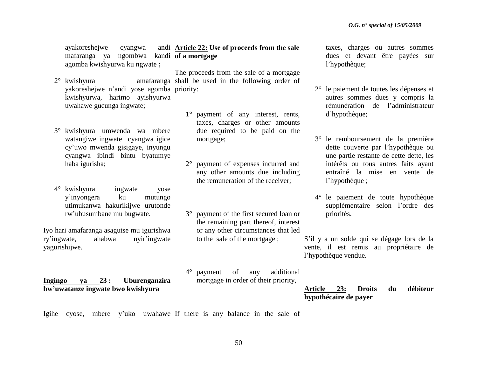ayakoreshejwe cyangwa mafaranga ya ngombwa kandi **of a mortgage**  agomba kwishyurwa ku ngwate **;**

- yakoreshejwe n"andi yose agomba priority: kwishyurwa, harimo ayishyurwa uwahawe gucunga ingwate;
- 3° kwishyura umwenda wa mbere watangiwe ingwate cyangwa igice cy"uwo mwenda gisigaye, inyungu cyangwa ibindi bintu byatumye haba igurisha;
- 4° kwishyura ingwate yose y"inyongera ku mutungo utimukanwa hakurikijwe urutonde rw"ubusumbane mu bugwate.

Iyo hari amafaranga asagutse mu igurishwa ry"ingwate, ahabwa nyir"ingwate yagurishijwe.

**Ingingo ya 23 : Uburenganzira bw'uwatanze ingwate bwo kwishyura** 

**Article 22: Use of proceeds from the sale** 

2° kwishyura amafaranga shall be used in the following order of The proceeds from the sale of a mortgage

- 1° payment of any interest, rents, taxes, charges or other amounts due required to be paid on the mortgage;
- 2° payment of expenses incurred and any other amounts due including the remuneration of the receiver;
- 3° payment of the first secured loan or the remaining part thereof, interest or any other circumstances that led to the sale of the mortgage ;
- 4° payment of any additional mortgage in order of their priority,

taxes, charges ou autres sommes dues et devant être payées sur l"hypothèque;

- 2° le paiement de toutes les dépenses et autres sommes dues y compris la rémunération de l"administrateur d"hypothèque;
- 3° le remboursement de la première dette couverte par l"hypothèque ou une partie restante de cette dette, les intérêts ou tous autres faits ayant entraîné la mise en vente de l"hypothèque ;
- 4° le paiement de toute hypothèque supplémentaire selon l"ordre des priorités.
- S"il y a un solde qui se dégage lors de la vente, il est remis au propriétaire de l"hypothèque vendue.

**Article 23: Droits du débiteur hypothécaire de payer** 

Igihe cyose, mbere y'uko uwahawe If there is any balance in the sale of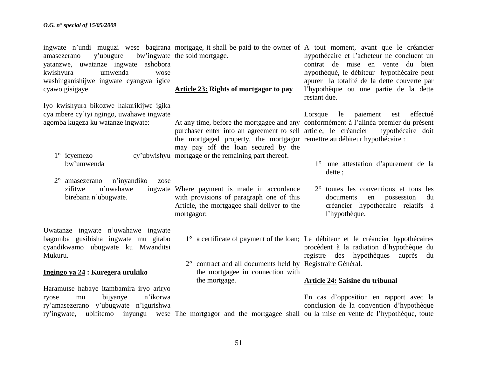| y'ubugure<br>amasezerano<br>yatanzwe, uwatanze ingwate ashobora<br>kwishyura<br>umwenda<br>wose<br>washinganishijwe ingwate cyangwa igice<br>cyawo gisigaye.                                       | bw'ingwate the sold mortgage.<br>Article 23: Rights of mortgagor to pay                                                                                                                                                                    | ingwate n'undi muguzi wese bagirana mortgage, it shall be paid to the owner of A tout moment, avant que le créancier<br>hypothécaire et l'acheteur ne concluent un<br>contrat de mise en vente du bien<br>hypothéqué, le débiteur hypothécaire peut<br>apurer la totalité de la dette couverte par<br>l'hypothèque ou une partie de la dette<br>restant due. |
|----------------------------------------------------------------------------------------------------------------------------------------------------------------------------------------------------|--------------------------------------------------------------------------------------------------------------------------------------------------------------------------------------------------------------------------------------------|--------------------------------------------------------------------------------------------------------------------------------------------------------------------------------------------------------------------------------------------------------------------------------------------------------------------------------------------------------------|
| Iyo kwishyura bikozwe hakurikijwe igika<br>cya mbere cy'iyi ngingo, uwahawe ingwate<br>agomba kugeza ku watanze ingwate:<br>$1^\circ$ icyemezo<br>bw'umwenda<br>amasezerano<br>n'inyandiko<br>zose | purchaser enter into an agreement to sell article, le créancier<br>the mortgaged property, the mortgagor remettre au débiteur hypothécaire :<br>may pay off the loan secured by the<br>cy'ubwishyu mortgage or the remaining part thereof. | paiement<br>effectué<br>Lorsque<br>le<br>est<br>At any time, before the mortgagee and any conformément à l'alinéa premier du présent<br>hypothécaire doit<br>une attestation d'apurement de la<br>$1^{\circ}$<br>dette;                                                                                                                                      |
| zifitwe<br>n'uwahawe<br>birebana n'ubugwate.                                                                                                                                                       | ingwate Where payment is made in accordance<br>with provisions of paragraph one of this<br>Article, the mortgagee shall deliver to the<br>mortgagor:                                                                                       | $2^{\circ}$ toutes les conventions et tous les<br>documents<br>possession<br>en<br>du<br>créancier hypothécaire relatifs à<br>l'hypothèque.                                                                                                                                                                                                                  |
| Uwatanze ingwate n'uwahawe ingwate<br>bagomba gusibisha ingwate mu gitabo<br>cyandikwamo ubugwate ku Mwanditsi<br>Mukuru.<br>Ingingo ya 24 : Kuregera urukiko                                      | 2° contract and all documents held by Registraire Général.<br>the mortgagee in connection with<br>the mortgage.                                                                                                                            | 1° a certificate of payment of the loan; Le débiteur et le créancier hypothécaires<br>procèdent à la radiation d'hypothèque du<br>registre des hypothèques<br>auprès du<br><b>Article 24: Saisine du tribunal</b>                                                                                                                                            |
| Haramutse habaye itambamira iryo ariryo<br>bijyanye<br>n'ikorwa<br>ryose<br>mu<br>ry'amasezerano y'ubugwate n'igurishwa<br>ry'ingwate,                                                             |                                                                                                                                                                                                                                            | En cas d'opposition en rapport avec la<br>conclusion de la convention d'hypothèque<br>ubifitemo inyungu wese The mortgagor and the mortgagee shall ou la mise en vente de l'hypothèque, toute                                                                                                                                                                |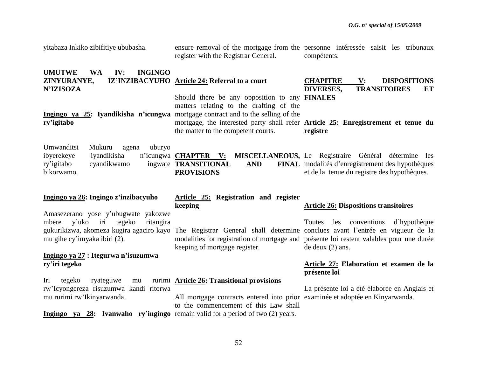| yitabaza Inkiko zibifitiye ububasha.                                                                                | register with the Registrar General.                                                                                                                                        | ensure removal of the mortgage from the personne interesse saisit les tribunaux<br>compétents.                                                                                                                                                                                        |
|---------------------------------------------------------------------------------------------------------------------|-----------------------------------------------------------------------------------------------------------------------------------------------------------------------------|---------------------------------------------------------------------------------------------------------------------------------------------------------------------------------------------------------------------------------------------------------------------------------------|
| <b>UMUTWE</b><br><b>WA</b><br>IV:<br><b>INGINGO</b><br>ZINYURANYE,<br><b>N'IZISOZA</b>                              | IZ'INZIBACYUHO Article 24: Referral to a court<br>Should there be any opposition to any <b>FINALES</b><br>matters relating to the drafting of the                           | <b>CHAPITRE</b><br>$\mathbf{V}$ :<br><b>DISPOSITIONS</b><br><b>TRANSITOIRES</b><br><b>DIVERSES,</b><br>ET                                                                                                                                                                             |
| Ingingo ya 25: Iyandikisha n'icungwa mortgage contract and to the selling of the<br>ry'igitabo                      | the matter to the competent courts.                                                                                                                                         | mortgage, the interested party shall refer <b>Article 25:</b> Enregistrement et tenue du<br>registre                                                                                                                                                                                  |
| Umwanditsi<br>Mukuru<br>agena<br>uburyo<br>ibyerekeye<br>iyandikisha<br>cyandikwamo<br>ry'igitabo<br>bikorwamo.     | n'icungwa <b>CHAPTER</b> V:<br>ingwate TRANSITIONAL<br><b>AND</b><br><b>PROVISIONS</b>                                                                                      | MISCELLANEOUS, Le Registraire Général détermine les<br>FINAL modalités d'enregistrement des hypothèques<br>et de la tenue du registre des hypothèques.                                                                                                                                |
| Ingingo ya 26: Ingingo z'inzibacyuho                                                                                | Article 25: Registration and register<br>keeping                                                                                                                            | <b>Article 26: Dispositions transitoires</b>                                                                                                                                                                                                                                          |
| Amasezerano yose y'ubugwate yakozwe<br>y'uko<br>iri<br>tegeko<br>ritangira<br>mbere<br>mu gihe cy'imyaka ibiri (2). | keeping of mortgage register.                                                                                                                                               | les conventions d'hypothèque<br>Toutes<br>gukurikizwa, akomeza kugira agaciro kayo The Registrar General shall determine conclues avant l'entrée en vigueur de la<br>modalities for registration of mortgage and présente loi restent valables pour une durée<br>$de$ deux $(2)$ ans. |
| Ingingo ya 27 : Itegurwa n'isuzumwa<br>ry'iri tegeko                                                                |                                                                                                                                                                             | Article 27: Elaboration et examen de la<br>présente loi                                                                                                                                                                                                                               |
| Iri<br>tegeko<br>ryateguwe<br>mu<br>rw'Icyongereza risuzumwa kandi ritorwa<br>mu rurimi rw'Ikinyarwanda.            | rurimi <b>Article 26:</b> Transitional provisions<br>All mortgage contracts entered into prior examinée et adoptée en Kinyarwanda.<br>to the commencement of this Law shall | La présente loi a été élaborée en Anglais et                                                                                                                                                                                                                                          |
| Ingingo ya 28: Ivanwaho ry'ingingo remain valid for a period of two (2) years.                                      |                                                                                                                                                                             |                                                                                                                                                                                                                                                                                       |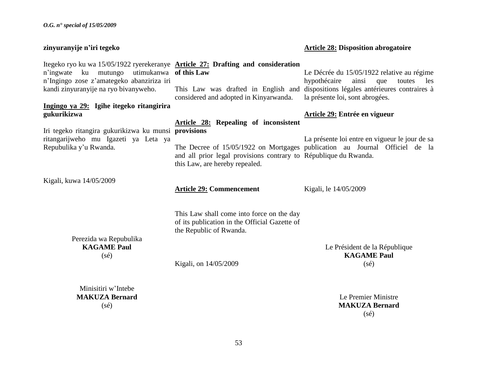| zinyuranyije n'iri tegeko                                                                                                                                                                                                          |                                                                                                                                                    | <b>Article 28: Disposition abrogatoire</b>                                                                                                                                                                          |
|------------------------------------------------------------------------------------------------------------------------------------------------------------------------------------------------------------------------------------|----------------------------------------------------------------------------------------------------------------------------------------------------|---------------------------------------------------------------------------------------------------------------------------------------------------------------------------------------------------------------------|
| Itegeko ryo ku wa 15/05/1922 ryerekeranye <b>Article 27: Drafting and consideration</b><br>mutungo utimukanwa of this Law<br>n'ingwate<br>ku<br>n'Ingingo zose z'amategeko abanziriza iri<br>kandi zinyuranyije na ryo bivanyweho. | considered and adopted in Kinyarwanda.                                                                                                             | Le Décrée du 15/05/1922 relative au régime<br>ainsi<br>hypothécaire<br>que<br>toutes<br>les<br>This Law was drafted in English and dispositions légales antérieures contraires à<br>la présente loi, sont abrogées. |
| Ingingo ya 29: Igihe itegeko ritangirira<br>gukurikizwa                                                                                                                                                                            |                                                                                                                                                    | Article 29: Entrée en vigueur                                                                                                                                                                                       |
| Iri tegeko ritangira gukurikizwa ku munsi provisions<br>ritangarijweho mu Igazeti ya Leta ya<br>Repubulika y'u Rwanda.                                                                                                             | <b>Article 28: Repealing of inconsistent</b><br>and all prior legal provisions contrary to République du Rwanda.<br>this Law, are hereby repealed. | La présente loi entre en vigueur le jour de sa<br>The Decree of 15/05/1922 on Mortgages publication au Journal Officiel de la                                                                                       |
| Kigali, kuwa 14/05/2009                                                                                                                                                                                                            | <b>Article 29: Commencement</b>                                                                                                                    | Kigali, le 14/05/2009                                                                                                                                                                                               |
| Perezida wa Repubulika<br><b>KAGAME Paul</b><br>$(s\acute{e})$                                                                                                                                                                     | This Law shall come into force on the day<br>of its publication in the Official Gazette of<br>the Republic of Rwanda.<br>Kigali, on 14/05/2009     | Le Président de la République<br><b>KAGAME Paul</b><br>$(s\acute{e})$                                                                                                                                               |
| Minisitiri w'Intebe<br><b>MAKUZA Bernard</b><br>$(s\acute{e})$                                                                                                                                                                     |                                                                                                                                                    | Le Premier Ministre<br><b>MAKUZA Bernard</b><br>$(s\acute{e})$                                                                                                                                                      |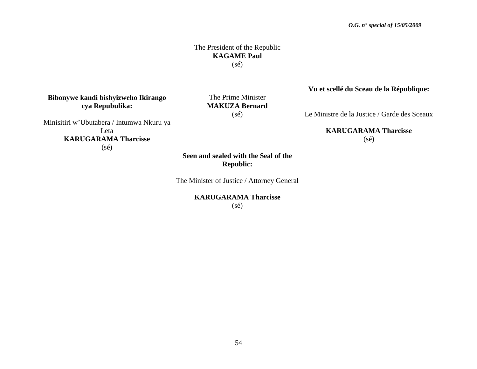### The President of the Republic **KAGAME Paul** (sé)

### **Bibonywe kandi bishyizweho Ikirango cya Repubulika:**

The Prime Minister **MAKUZA Bernard** (sé)

Minisitiri w"Ubutabera / Intumwa Nkuru ya Leta **KARUGARAMA Tharcisse** (sé)

**Seen and sealed with the Seal of the Republic:**

The Minister of Justice / Attorney General

**KARUGARAMA Tharcisse** (sé)

### **Vu et scellé du Sceau de la République:**

Le Ministre de la Justice / Garde des Sceaux

**KARUGARAMA Tharcisse**  $(s\acute{e})$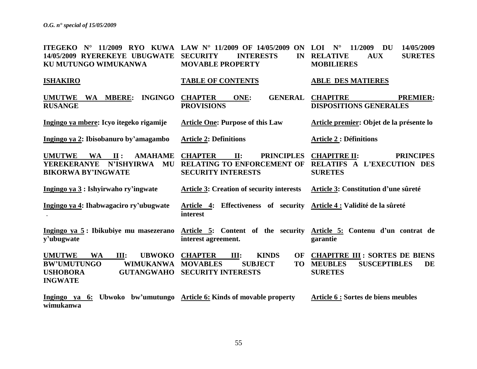| ITEGEKO N° 11/2009 RYO KUWA LAW N° 11/2009 OF 14/05/2009 ON<br>14/05/2009 RYEREKEYE UBUGWATE                                                            | <b>SECURITY</b><br><b>INTERESTS</b><br>IN                                                                                          | 11/2009<br><b>DU</b><br>14/05/2009<br>$N^{\circ}$<br><b>LOI</b><br><b>RELATIVE</b><br><b>SURETES</b><br><b>AUX</b> |
|---------------------------------------------------------------------------------------------------------------------------------------------------------|------------------------------------------------------------------------------------------------------------------------------------|--------------------------------------------------------------------------------------------------------------------|
| KU MUTUNGO WIMUKANWA                                                                                                                                    | <b>MOVABLE PROPERTY</b>                                                                                                            | <b>MOBILIERES</b>                                                                                                  |
| <b>ISHAKIRO</b>                                                                                                                                         | <b>TABLE OF CONTENTS</b>                                                                                                           | <b>ABLE DES MATIERES</b>                                                                                           |
| WA MBERE:<br><b>INGINGO</b><br><b>UMUTWE</b><br><b>RUSANGE</b>                                                                                          | <b>CHAPTER</b><br>ONE:<br><b>GENERAL</b><br><b>PROVISIONS</b>                                                                      | <b>CHAPITRE</b><br><b>PREMIER:</b><br><b>DISPOSITIONS GENERALES</b>                                                |
| Ingingo ya mbere: Icyo itegeko rigamije                                                                                                                 | <b>Article One: Purpose of this Law</b>                                                                                            | Article premier: Objet de la présente lo                                                                           |
| Ingingo ya 2: Ibisobanuro by'amagambo                                                                                                                   | <b>Article 2: Definitions</b>                                                                                                      | <b>Article 2 : Définitions</b>                                                                                     |
| <b>UMUTWE</b><br>$\mathbf{II}$ :<br>WA<br><b>AMAHAME</b><br>N'ISHYIRWA<br><b>YEREKERANYE</b><br>MU<br><b>BIKORWA BY'INGWATE</b>                         | <b>CHAPTER</b><br>$\Pi$ :<br><b>PRINCIPLES</b><br><b>RELATING TO ENFORCEMENT OF</b><br><b>SECURITY INTERESTS</b>                   | <b>CHAPITRE II:</b><br><b>PRINCIPES</b><br>RELATIFS A L'EXECUTION DES<br><b>SURETES</b>                            |
| Ingingo ya 3 : Ishyirwaho ry'ingwate                                                                                                                    | <b>Article 3: Creation of security interests</b>                                                                                   | Article 3: Constitution d'une sûreté                                                                               |
| Ingingo ya 4: Ihabwagaciro ry'ubugwate                                                                                                                  | Article 4: Effectiveness of security Article 4: Validité de la sûreté<br>interest                                                  |                                                                                                                    |
| Ingingo ya 5: Ibikubiye mu masezerano<br>v'ubugwate                                                                                                     | interest agreement.                                                                                                                | Article 5: Content of the security Article 5: Contenu d'un contrat de<br>garantie                                  |
| <b>WA</b><br><b>UMUTWE</b><br>III:<br><b>UBWOKO</b><br><b>BW'UMUTUNGO</b><br><b>WIMUKANWA</b><br><b>USHOBORA</b><br><b>GUTANGWAHO</b><br><b>INGWATE</b> | <b>CHAPTER</b><br>III:<br><b>KINDS</b><br><b>OF</b><br><b>MOVABLES</b><br><b>SUBJECT</b><br><b>TO</b><br><b>SECURITY INTERESTS</b> | <b>CHAPITRE III : SORTES DE BIENS</b><br><b>SUSCEPTIBLES</b><br><b>MEUBLES</b><br><b>DE</b><br><b>SURETES</b>      |
| Ingingo ya 6: Ubwoko bw'umutungo Article 6: Kinds of movable property<br>wimukanwa                                                                      |                                                                                                                                    | Article 6 : Sortes de biens meubles                                                                                |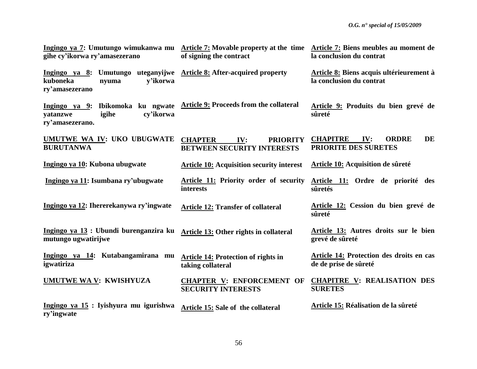| Ingingo ya 7: Umutungo wimukanwa mu Article 7: Movable property at the time<br>gihe cy'ikorwa ry'amasezerano                   | of signing the contract                                                       | Article 7: Biens meubles au moment de<br>la conclusion du contrat           |
|--------------------------------------------------------------------------------------------------------------------------------|-------------------------------------------------------------------------------|-----------------------------------------------------------------------------|
| Ingingo ya 8: Umutungo uteganyijwe Article 8: After-acquired property<br>kuboneka<br>v'ikorwa<br>nyuma<br>ry'amasezerano       |                                                                               | Article 8: Biens acquis ultérieurement à<br>la conclusion du contrat        |
| Ingingo ya 9: Ibikomoka ku ngwate Article 9: Proceeds from the collateral<br>cv'ikorwa<br>igihe<br>yatanzwe<br>ry'amasezerano. |                                                                               | Article 9: Produits du bien grevé de<br>sûreté                              |
| UMUTWE WA IV: UKO UBUGWATE<br><b>BURUTANWA</b>                                                                                 | <b>CHAPTER</b><br>IV:<br><b>PRIORITY</b><br><b>BETWEEN SECURITY INTERESTS</b> | <b>CHAPITRE</b><br><b>DE</b><br><b>ORDRE</b><br>IV:<br>PRIORITE DES SURETES |
| Ingingo ya 10: Kubona ubugwate                                                                                                 | <b>Article 10: Acquisition security interest</b>                              | Article 10: Acquisition de sûreté                                           |
| Ingingo ya 11: Isumbana ry'ubugwate                                                                                            | <b>Article 11: Priority order of security</b><br>interests                    | Article 11: Ordre de priorité des<br>sûretés                                |
| Ingingo ya 12: Ihererekanywa ry'ingwate                                                                                        | <b>Article 12: Transfer of collateral</b>                                     | Article 12: Cession du bien grevé de<br>sûreté                              |
| Ingingo ya 13 : Ubundi burenganzira ku<br>mutungo ugwatirijwe                                                                  | Article 13: Other rights in collateral                                        | Article 13: Autres droits sur le bien<br>grevé de sûreté                    |
| Ingingo ya 14: Kutabangamirana mu<br>igwatiriza                                                                                | <b>Article 14: Protection of rights in</b><br>taking collateral               | Article 14: Protection des droits en cas<br>de de prise de sûreté           |
| <b>UMUTWE WA V: KWISHYUZA</b>                                                                                                  | <b>CHAPTER V: ENFORCEMENT OF</b><br><b>SECURITY INTERESTS</b>                 | <b>CHAPITRE V: REALISATION DES</b><br><b>SURETES</b>                        |
| Ingingo ya 15 : Iyishyura mu igurishwa<br>ry'ingwate                                                                           | <b>Article 15: Sale of the collateral</b>                                     | Article 15: Réalisation de la sûreté                                        |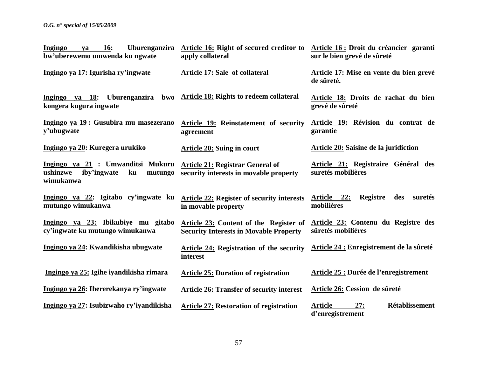| <b>Ingingo</b><br><b>16:</b><br>ya<br>bw'uberewemo umwenda ku ngwate                       | Uburenganzira Article 16: Right of secured creditor to Article 16: Droit du créancier garanti<br>apply collateral | sur le bien grevé de sûreté                                        |
|--------------------------------------------------------------------------------------------|-------------------------------------------------------------------------------------------------------------------|--------------------------------------------------------------------|
| Ingingo ya 17: Igurisha ry'ingwate                                                         | <b>Article 17: Sale of collateral</b>                                                                             | Article 17: Mise en vente du bien grevé<br>de sûreté.              |
| Uburenganzira bwo<br>Ingingo ya 18:<br>kongera kugura ingwate                              | <b>Article 18: Rights to redeem collateral</b>                                                                    | Article 18: Droits de rachat du bien<br>grevé de sûreté            |
| Ingingo ya 19 : Gusubira mu masezerano<br>y'ubugwate                                       | Article 19: Reinstatement of security<br>agreement                                                                | Article 19: Révision du contrat de<br>garantie                     |
| Ingingo ya 20: Kuregera urukiko                                                            | <b>Article 20: Suing in court</b>                                                                                 | <b>Article 20: Saisine de la juridiction</b>                       |
| Ingingo ya 21 : Umwanditsi Mukuru<br>ushinzwe<br>iby'ingwate<br>ku<br>mutungo<br>wimukanwa | <b>Article 21: Registrar General of</b><br>security interests in movable property                                 | Article 21: Registraire Général des<br>suretés mobilières          |
| Ingingo ya 22: Igitabo cy'ingwate ku<br>mutungo wimukanwa                                  | <b>Article 22: Register of security interests</b><br>in movable property                                          | Article 22:<br>Registre<br>des<br>suretés<br>mobilières            |
| Ingingo ya 23: Ibikubiye mu gitabo<br>cy'ingwate ku mutungo wimukanwa                      | Article 23: Content of the Register of<br><b>Security Interests in Movable Property</b>                           | Article 23: Contenu du Registre des<br>sûretés mobilières          |
| Ingingo ya 24: Kwandikisha ubugwate                                                        | Article 24: Registration of the security<br>interest                                                              | Article 24 : Enregistrement de la sûreté                           |
| Ingingo ya 25: Igihe iyandikisha rimara                                                    | <b>Article 25: Duration of registration</b>                                                                       | Article 25 : Durée de l'enregistrement                             |
| Ingingo ya 26: Ihererekanya ry'ingwate                                                     | <b>Article 26: Transfer of security interest</b>                                                                  | Article 26: Cession de sûreté                                      |
| Ingingo ya 27: Isubizwaho ry'iyandikisha                                                   | <b>Article 27: Restoration of registration</b>                                                                    | <b>Rétablissement</b><br><b>Article</b><br>27:<br>d'enregistrement |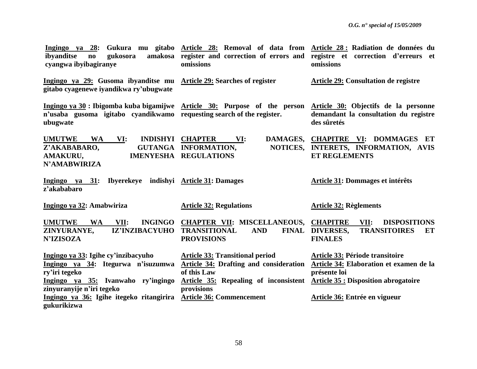| Ingingo ya 28:<br>ibyanditse<br>gukosora<br>$\mathbf{n}\mathbf{o}$<br>cyangwa ibyibagiranye                                                                         | Gukura mu gitabo Article 28: Removal of data from Article 28: Radiation de données du<br>amakosa register and correction of errors and registre et correction d'erreurs et<br>omissions | omissions                                                                                                                                 |
|---------------------------------------------------------------------------------------------------------------------------------------------------------------------|-----------------------------------------------------------------------------------------------------------------------------------------------------------------------------------------|-------------------------------------------------------------------------------------------------------------------------------------------|
| Ingingo ya 29: Gusoma ibyanditse mu Article 29: Searches of register<br>gitabo cyagenewe iyandikwa ry'ubugwate                                                      |                                                                                                                                                                                         | <b>Article 29: Consultation de registre</b>                                                                                               |
| Ingingo ya $30$ : Ibigomba kuba bigamijwe Article $30$ : Purpose of the person<br>n'usaba gusoma igitabo cyandikwamo requesting search of the register.<br>ubugwate |                                                                                                                                                                                         | Article 30: Objectifs de la personne<br>demandant la consultation du registre<br>des sûretés                                              |
| <b>UMUTWE</b><br><b>WA</b><br>VI:<br>Z'AKABABARO,<br>AMAKURU,<br><b>N'AMABWIRIZA</b>                                                                                | <b>INDISHYI CHAPTER</b><br>DAMAGES,<br>VI:<br>NOTICES,<br>GUTANGA INFORMATION,<br><b>IMENYESHA REGULATIONS</b>                                                                          | <b>CHAPITRE VI: DOMMAGES ET</b><br>INTERETS, INFORMATION, AVIS<br><b>ET REGLEMENTS</b>                                                    |
| Ingingo ya 31: Ibyerekeye indishyi Article 31: Damages<br>z'akababaro                                                                                               |                                                                                                                                                                                         | Article 31: Dommages et intérêts                                                                                                          |
| Ingingo ya 32: Amabwiriza                                                                                                                                           | <b>Article 32: Regulations</b>                                                                                                                                                          | <b>Article 32: Règlements</b>                                                                                                             |
| <b>UMUTWE</b><br><b>WA</b><br><b>INGINGO</b><br>VII:<br>ZINYURANYE,<br>IZ'INZIBACYUHO<br><b>N'IZISOZA</b>                                                           | <b>CHAPTER VII: MISCELLANEOUS,</b><br><b>TRANSITIONAL</b><br><b>AND</b><br><b>FINAL</b><br><b>PROVISIONS</b>                                                                            | <b>CHAPITRE</b><br>VII:<br><b>DISPOSITIONS</b><br>DIVERSES,<br><b>TRANSITOIRES</b><br>ET<br><b>FINALES</b>                                |
| Ingingo ya 33: Igihe cy'inzibacyuho<br>Ingingo ya 34: Itegurwa n'isuzumwa<br>ry'iri tegeko<br>Ingingo ya 35: Ivanwaho ry'ingingo<br>zinyuranyije n'iri tegeko       | <b>Article 33: Transitional period</b><br><b>Article 34: Drafting and consideration</b><br>of this Law<br><b>Article 35: Repealing of inconsistent</b><br>provisions                    | Article 33: Période transitoire<br>Article 34: Elaboration et examen de la<br>présente loi<br><b>Article 35 : Disposition abrogatoire</b> |
| Ingingo ya 36: Igihe itegeko ritangirira<br>gukurikizwa                                                                                                             | <b>Article 36: Commencement</b>                                                                                                                                                         | Article 36: Entrée en vigueur                                                                                                             |

58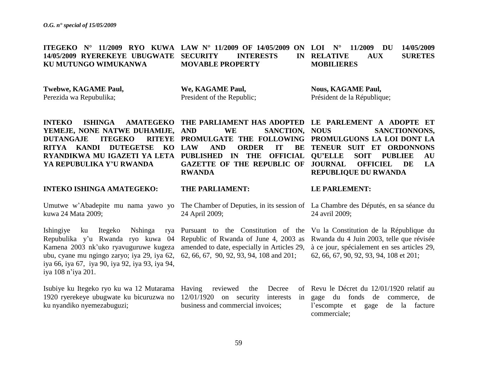**ITEGEKO N° 11/2009 RYO KUWA LAW N° 11/2009 OF 14/05/2009 ON LOI N° 11/2009 DU 14/05/2009 14/05/2009 RYEREKEYE UBUGWATE KU MUTUNGO WIMUKANWA INTERESTS MOVABLE PROPERTY RELATIVE AUX SURETES MOBILIERES**

**Twebwe, KAGAME Paul,**

Perezida wa Repubulika;

**We, KAGAME Paul,** President of the Republic;

**THE PARLIAMENT:**

24 April 2009;

**Nous, KAGAME Paul,** Président de la République;

**INTEKO ISHINGA AMATEGEKO THE PARLIAMENT HAS ADOPTED LE PARLEMENT A ADOPTE ET YEMEJE, NONE NATWE DUHAMIJE, DUTANGAJE ITEGEKO RITYA KANDI DUTEGETSE KO RYANDIKWA MU IGAZETI YA LETA PUBLISHED IN THE OFFICIAL YA REPUBULIKA Y'U RWANDA**

### **INTEKO ISHINGA AMATEGEKO:**

Umutwe w"Abadepite mu nama yawo yo The Chamber of Deputies, in its session of La Chambre des Députés, en sa séance du kuwa 24 Mata 2009;

Ishingiye ku Itegeko Nshinga Repubulika y'u Rwanda ryo kuwa 04 Republic of Rwanda of June 4, 2003 as Rwanda du 4 Juin 2003, telle que révisée Kamena 2003 nk'uko ryavuguruwe kugeza amended to date, especially in Articles 29, ubu, cyane mu ngingo zaryo; iya 29, iya 62, 62, 66, 67, 90, 92, 93, 94, 108 and 201; iya 66, iya 67, iya 90, iya 92, iya 93, iya 94, iya 108 n"iya 201.

Isubiye ku Itegeko ryo ku wa 12 Mutarama Having reviewed the Decree of 1920 ryerekeye ubugwate ku bicuruzwa no 12/01/1920 on security interests in ku nyandiko nyemezabuguzi;

WE SANCTION, NOUS **PROMULGATE THE FOLLOWING PROMULGUONS LA LOI DONT LA LAND ORDER IT GAZETTE OF THE REPUBLIC OF RWANDA TENEUR SUIT ET ORDONNONS** 

**LE PARLEMENT:**

24 avril 2009;

**QU'ELLE SOIT PUBLIEE AU** 

**REPUBLIQUE DU RWANDA**

SANCTIONNONS.

**OFFICIEL DE LA** 

Pursuant to the Constitution of the Vu la Constitution de la République du à ce jour, spécialement en ses articles 29, 62, 66, 67, 90, 92, 93, 94, 108 et 201;

business and commercial invoices;

Revu le Décret du 12/01/1920 relatif au gage du fonds de commerce, de l"escompte et gage de la facture commerciale;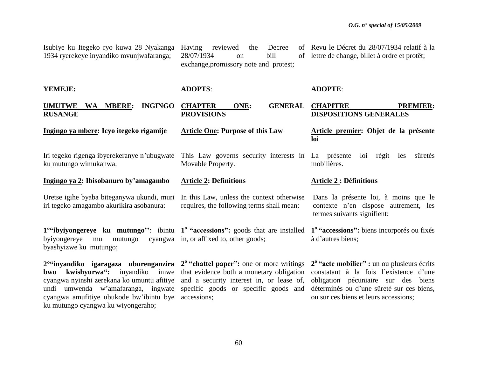| Isubiye ku Itegeko ryo kuwa 28 Nyakanga<br>1934 ryerekeye inyandiko mvunjwafaranga; | the<br>Decree<br>Having<br>reviewed<br>28/07/1934<br>bill<br>$\alpha$<br>exchange, promissory note and protest; | of Revu le Décret du 28/07/1934 relatif à la<br>of lettre de change, billet à ordre et protêt; |  |  |
|-------------------------------------------------------------------------------------|-----------------------------------------------------------------------------------------------------------------|------------------------------------------------------------------------------------------------|--|--|
| YEMEJE:                                                                             | <b>ADOPTS:</b>                                                                                                  | <b>ADOPTE:</b>                                                                                 |  |  |
| <b>INGINGO</b><br><b>UMUTWE</b><br>WA MBERE:<br><b>RUSANGE</b>                      | ONE:<br><b>GENERAL</b><br><b>CHAPTER</b><br><b>PROVISIONS</b>                                                   | <b>PREMIER:</b><br><b>CHAPITRE</b><br><b>DISPOSITIONS GENERALES</b>                            |  |  |
| Ingingo ya mbere: Icyo itegeko rigamije                                             | <b>Article One: Purpose of this Law</b>                                                                         | Article premier: Objet de la présente<br>loi                                                   |  |  |
| Iri tegeko rigenga ibyerekeranye n'ubugwate<br>ku mutungo wimukanwa.                | This Law governs security interests in La présente<br>Movable Property.                                         | sûretés<br>régit<br>loi<br>les<br>mobilières.                                                  |  |  |

**Ingingo ya 2: Ibisobanuro by'amagambo Article 2: Definitions**

Uretse igihe byaba biteganywa ukundi, muri iri tegeko amagambo akurikira asobanura: In this Law, unless the context otherwise requires, the following terms shall mean:

**1**<sup>o</sup>"ibyiyongereye ku mutungo": ibintu 1<sup>o</sup> "accessions": goods that are installed byiyongereye mu mutungo byashyizwe ku mutungo; cyangwa in, or affixed to, other goods; **1 <sup>o</sup>"accessions":** biens incorporés ou fixés à d"autres biens;

**2°"inyandiko igaragaza uburenganzira 2 <sup>o</sup>"chattel paper":** one or more writings **bwo kwishyurwa":** inyandiko imwe that evidence both a monetary obligation cyangwa nyinshi zerekana ko umuntu afitiye and a security interest in, or lease of, undi umwenda w"amafaranga, ingwate specific goods or specific goods and cyangwa amufitiye ubukode bw"ibintu bye accessions; ku mutungo cyangwa ku wiyongeraho;

**2 <sup>o</sup>"acte mobilier" :** un ou plusieurs écrits constatant à la fois l"existence d"une obligation pécuniaire sur des biens déterminés ou d"une sûreté sur ces biens, ou sur ces biens et leurs accessions;

Dans la présente loi, à moins que le contexte n"en dispose autrement, les

**Article 2 : Définitions**

termes suivants signifient: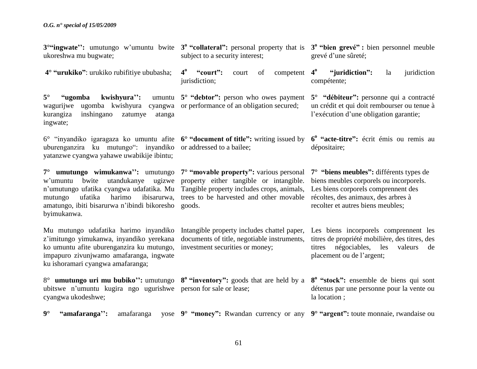ukoreshwa mu bugwate; **4° "urukiko"**: urukiko rubifitiye ububasha; 5° **"ugomba kwishyura":** wagurijwe ugomba kwishyura cyangwa or performance of an obligation secured; kurangiza inshingano zatumye atanga ingwate; 6° "inyandiko igaragaza ko umuntu afite **6° "document of title":** writing issued by **6 o "acte-titre":** écrit émis ou remis au uburenganzira ku mutungo": inyandiko or addressed to a bailee; yatanzwe cyangwa yahawe uwabikije ibintu; **7° umutungo wimukanwa'':** umutungo **7° "movable property":** various personal **7° "biens meubles":** différents types de w"umuntu bwite utandukanye ugizwe property either tangible or intangible. biens meubles corporels ou incorporels. n'umutungo ufatika cyangwa udafatika. Mu Tangible property includes crops, animals, Les biens corporels comprennent des mutungo ufatika harimo ibisarurwa, trees to be harvested and other movable récoltes, des animaux, des arbres à amatungo, ibiti bisarurwa n"ibindi bikoresho goods. byimukanwa. Mu mutungo udafatika harimo inyandiko Intangible property includes chattel paper, z"imitungo yimukanwa, inyandiko yerekana documents of title, negotiable instruments, ko umuntu afite uburenganzira ku mutungo, investment securities or money; impapuro zivunjwamo amafaranga, ingwate ku ishoramari cyangwa amafaranga; 8° **umutungo uri mu bubiko'':** umutungo **8 <sup>o</sup>"inventory":** goods that are held by a ubitswe n"umuntu kugira ngo ugurishwe person for sale or lease; cyangwa ukodeshwe; **9° "amafaranga'':** amafaranga yose **9° "money":** Rwandan currency or any **9° "argent":** toute monnaie, rwandaise ou subject to a security interest; **4 <sup>o</sup>"court":** court of competent jurisdiction: **5° "debtor":** person who owes payment grevé d"une sûreté; **4 <sup>o</sup>"juridiction":** la juridiction compétente; **5° "débiteur":** personne qui a contracté un crédit et qui doit rembourser ou tenue à l'exécution d'une obligation garantie; dépositaire; recolter et autres biens meubles; Les biens incorporels comprennent les titres de propriété mobilière, des titres, des titres négociables, les valeurs de placement ou de l"argent; **8 <sup>o</sup>"stock":** ensemble de biens qui sont détenus par une personne pour la vente ou la location ;

**3**<sup>o</sup>**"ingwate**": umutungo w'umuntu bwite **3<sup>°</sup> "collateral**": personal property that is **3<sup>°</sup> "bien grevé"**: bien personnel meuble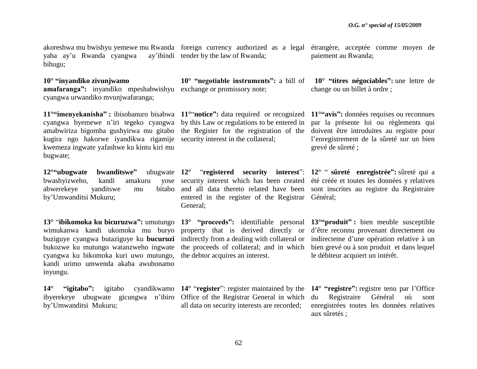yaba ay'u Rwanda cyangwa bihugu; ay'ibindi tender by the law of Rwanda:

### **10° "inyandiko zivunjwamo**

**amafaranga":** inyandiko mpeshabwishyu exchange or promissory note; cyangwa urwandiko mvunjwafaranga;

cyangwa byemewe n"iri tegeko cyangwa by this Law or regulations to be entered in amabwiriza bigomba gushyirwa mu gitabo the Register for the registration of the kugira ngo hakorwe iyandikwa rigamije security interest in the collateral; kwemeza ingwate yafashwe ku kintu kiri mu bugwate;

12<sup>o</sup>"ubugwate bwanditswe" bwashyizweho, kandi amakuru abwerekeye yanditswe mu by"Umwanditsi Mukuru;

**13°** "**ibikomoka ku bicuruzwa":** umutungo **13° "proceeds":** identifiable personal **13°"produit" :** bien meuble susceptible wimukanwa kandi ukomoka mu buryo property that is derived directly or d"être reconnu provenant directement ou buziguye cyangwa butaziguye ku **bucuruzi** indirectly from a dealing with collateral or indirecteme d'une opération relative à un bukozwe ku mutungo watanzweho ingwate cyangwa ku bikomoka kuri uwo mutungo, the debtor acquires an interest. kandi urimo umwenda akaba awubonamo inyungu.

**14° "igitabo":** igitabo ibyerekeye ubugwate gicungwa n"ibiro Office of the Registrar General in which by"Umwanditsi Mukuru;

yose security interest which has been created bitabo and all data thereto related have been entered in the register of the Registrar General;

the proceeds of collateral; and in which

akoreshwa mu bwishyu yemewe mu Rwanda foreign currency authorized as a legal étrangère, acceptée comme moyen de paiement au Rwanda;

> **10° "negotiable instruments":** a bill of **10° "titres négociables":** une lettre de change ou un billet à ordre ;

**11°"imenyekanisha" :** ibisobanuro bisabwa **11°**"**notice":** data required or recognized **11°"avis":** données requises ou reconnues par la présente loi ou règlements qui doivent être introduites au registre pour l"enregistrement de la sûreté sur un bien grevé de sûreté ;

> **12°** "**registered security interest**": **12°** " **sûreté enregistrée":** sûreté qui a été créée et toutes les données y relatives sont inscrites au registre du Registraire Général;

> > bien grevé ou à son produit et dans lequel le débiteur acquiert un intérêt.

all data on security interests are recorded;

**14°** "**register**": register maintained by the **14° "registre":** registre tenu par l"Office du Registraire Général où sont enregistrées toutes les données relatives aux sûretés ;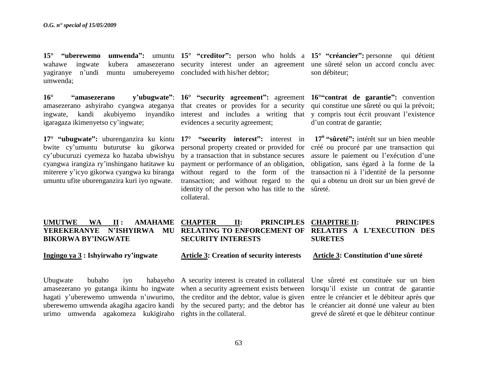wahawe ingwate kubera amasezerano security interest under an agreement une sûreté selon un accord conclu avec yagiranye n"undi muntu umubereyemo concluded with his/her debtor; umwenda;

amasezerano ashyiraho cyangwa ateganya that creates or provides for a security ingwate, kandi akubiyemo inyandiko interest and includes a writing that igaragaza ikimenyetso cy"ingwate;

**17° "ubugwate":** uburenganzira ku kintu **17° "security interest":** interest in bwite cy"umuntu buturutse ku gikorwa cy"ubucuruzi cyemeza ko hazaba ubwishyu cyangwa irangiza ry"inshingano hatitawe ku miterere y"icyo gikorwa cyangwa ku biranga umuntu ufite uburenganzira kuri iyo ngwate.

**15° "uberewemo umwenda":** umuntu **15° "creditor":** person who holds a **15° "créancier":** personne qui détient

evidences a security agreement;

personal property created or provided for by a transaction that in substance secures payment or performance of an obligation, without regard to the form of the transaction; and without regard to the identity of the person who has title to the sûreté. collateral.

son débiteur;

**16° "amasezerano y'ubugwate"**: **16° "security agreement":** agreement **16°"contrat de garantie":** convention qui constitue une sûreté ou qui la prévoit; y compris tout écrit prouvant l"existence d"un contrat de garantie;

> **17<sup>o</sup>"sûreté":** intérêt sur un bien meuble créé ou procuré par une transaction qui assure le paiement ou l"exécution d"une obligation, sans égard à la forme de la transaction ni à l"identité de la personne qui a obtenu un droit sur un bien grevé de

| <b>UMUTWE</b>             | <b>WA</b> | $\mathbf{II}$ : |  | <b>AMAHAME CHAPTER</b>    | $\Pi$ : | PRINCIPLES CHAPITRE II: |                | <b>PRINCIPES</b>                                                                |  |
|---------------------------|-----------|-----------------|--|---------------------------|---------|-------------------------|----------------|---------------------------------------------------------------------------------|--|
|                           |           |                 |  |                           |         |                         |                | YEREKERANYE N'ISHYIRWA MU RELATING TO ENFORCEMENT OF RELATIFS A L'EXECUTION DES |  |
| <b>BIKORWA BY'INGWATE</b> |           |                 |  | <b>SECURITY INTERESTS</b> |         |                         | <b>SURETES</b> |                                                                                 |  |
|                           |           |                 |  |                           |         |                         |                |                                                                                 |  |

### **Ingingo ya 3 : Ishyirwaho ry'ingwate**

**Article 3: Creation of security interests**

### **Article 3: Constitution d'une sûreté**

Ubugwate bubaho iyo habayeho A security interest is created in collateral amasezerano yo gutanga ikintu ho ingwate when a security agreement exists between hagati y"uberewemo umwenda n"uwurimo, the creditor and the debtor, value is given uberewemo umwenda akagiha agaciro kandi by the secured party; and the debtor has urimo umwenda agakomeza kukigiraho rights in the collateral.

Une sûreté est constituée sur un bien lorsqu"il existe un contrat de garantie entre le créancier et le débiteur après que le créancier ait donné une valeur au bien grevé de sûreté et que le débiteur continue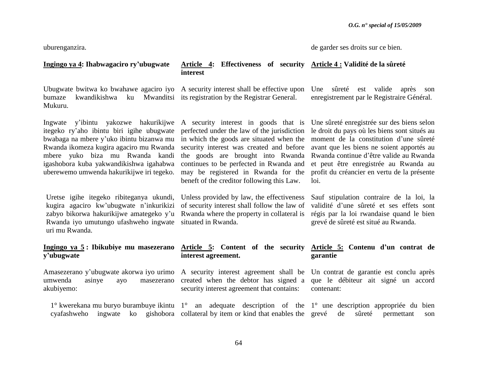uburenganzira.

|  | de garder ses droits sur ce bien. |  |  |  |  |  |
|--|-----------------------------------|--|--|--|--|--|
|--|-----------------------------------|--|--|--|--|--|

### **Ingingo ya 4: Ihabwagaciro ry'ubugwate**

### **Article 4: Effectiveness of security Article 4 : Validité de la sûreté interest**

Ubugwate bwitwa ko bwahawe agaciro iyo A security interest shall be effective upon Une sûreté est valide après son bumaze kwandikishwa ku Mwanditsi its registration by the Registrar General. Mukuru.

Ingwate y"ibintu yakozwe hakurikijwe A security interest in goods that is itegeko ry"aho ibintu biri igihe ubugwate perfected under the law of the jurisdiction bwabaga na mbere y"uko ibintu bizanwa mu in which the goods are situated when the Rwanda ikomeza kugira agaciro mu Rwanda security interest was created and before mbere yuko biza mu Rwanda kandi the goods are brought into Rwanda igashobora kuba yakwandikishwa igahabwa uberewemo umwenda hakurikijwe iri tegeko. may be registered in Rwanda for the

Uretse igihe itegeko ribiteganya ukundi, Unless provided by law, the effectiveness kugira agaciro kw"ubugwate n"inkurikizi of security interest shall follow the law of zabyo bikorwa hakurikijwe amategeko y'u Rwanda where the property in collateral is Rwanda iyo umutungo ufashweho ingwate situated in Rwanda. uri mu Rwanda.

## **y'ubugwate**

Amasezerano y"ubugwate akorwa iyo urimo A security interest agreement shall be Un contrat de garantie est conclu après umwenda asinye ayo masezerano created when the debtor has signed a que le débiteur ait signé un accord akubiyemo:

continues to be perfected in Rwanda and beneft of the creditor following this Law.

Une sûreté enregistrée sur des biens selon le droit du pays où les biens sont situés au moment de la constitution d"une sûreté avant que les biens ne soient apportés au Rwanda continue d"être valide au Rwanda et peut être enregistrée au Rwanda au profit du créancier en vertu de la présente loi.

enregistrement par le Registraire Général.

Sauf stipulation contraire de la loi, la validité d"une sûreté et ses effets sont régis par la loi rwandaise quand le bien grevé de sûreté est situé au Rwanda.

#### **Ingingo ya 5 : Ibikubiye mu masezerano Article 5: Content of the security Article 5: Contenu d'un contrat de interest agreement. garantie**

security interest agreement that contains:

contenant:

1° kwerekana mu buryo burambuye ikintu 1° an adequate description of the 1° une description appropriée du bien cyafashweho ingwate ko gishobora collateral by item or kind that enables the grevé de sûreté permettant son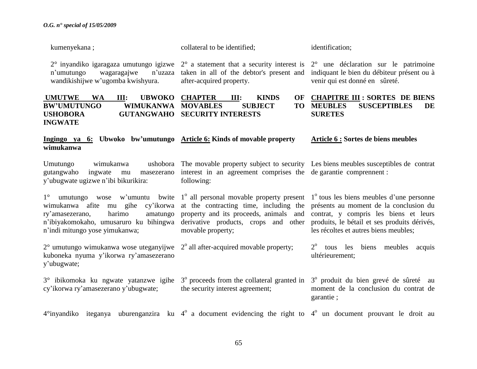| kumenyekana;                                                                                                                                                          | collateral to be identified;                                                                                                                                                                                                                                                      | identification;                                                                                                                                                          |  |  |
|-----------------------------------------------------------------------------------------------------------------------------------------------------------------------|-----------------------------------------------------------------------------------------------------------------------------------------------------------------------------------------------------------------------------------------------------------------------------------|--------------------------------------------------------------------------------------------------------------------------------------------------------------------------|--|--|
| $2^{\circ}$ inyandiko igaragaza umutungo igizwe<br>n'umutungo<br>wagaragajwe<br>n'uzaza<br>wandikishijwe w'ugomba kwishyura.                                          | $2^{\circ}$ a statement that a security interest is $2^{\circ}$ une déclaration sur le patrimoine<br>taken in all of the debtor's present and<br>after-acquired property.                                                                                                         | indiquant le bien du débiteur présent ou à<br>venir qui est donné en sûreté.                                                                                             |  |  |
| <b>UMUTWE</b><br><b>WA</b><br><b>UBWOKO</b><br>III:<br><b>BW'UMUTUNGO</b><br><b>WIMUKANWA</b><br><b>USHOBORA</b><br><b>GUTANGWAHO</b><br><b>INGWATE</b>               | <b>CHAPTER</b><br><b>OF</b><br>III:<br><b>KINDS</b><br><b>SUBJECT</b><br><b>MOVABLES</b><br><b>TO</b><br><b>SECURITY INTERESTS</b>                                                                                                                                                | <b>CHAPITRE III : SORTES DE BIENS</b><br><b>SUSCEPTIBLES</b><br><b>MEUBLES</b><br>DE<br><b>SURETES</b>                                                                   |  |  |
| Ingingo ya 6: Ubwoko bw'umutungo Article 6: Kinds of movable property<br>wimukanwa                                                                                    |                                                                                                                                                                                                                                                                                   | Article 6 : Sortes de biens meubles                                                                                                                                      |  |  |
| Umutungo<br>wimukanwa<br>gutangwaho<br>ingwate<br>masezerano<br>mu<br>y'ubugwate ugizwe n'ibi bikurikira:                                                             | ushobora. The movable property subject to security. Les biens meubles susceptibles de contrat<br>interest in an agreement comprises the de garantie comprennent:<br>following:                                                                                                    |                                                                                                                                                                          |  |  |
| $1^{\circ}$<br>wimukanwa afite mu gihe cy'ikorwa<br>harimo<br>ry'amasezerano,<br>amatungo<br>n'ibiyakomokaho, umusaruro ku bihingwa<br>n'indi mitungo yose yimukanwa; | umutungo wose w'umuntu bwite $1^{\circ}$ all personal movable property present $1^{\circ}$ tous les biens meubles d'une personne<br>at the contracting time, including the<br>property and its proceeds, animals and<br>derivative products, crops and other<br>movable property; | présents au moment de la conclusion du<br>contrat, y compris les biens et leurs<br>produits, le bétail et ses produits dérivés,<br>les récoltes et autres biens meubles; |  |  |
| $2^{\circ}$ umutungo wimukanwa wose uteganyijwe<br>kuboneka nyuma y'ikorwa ry'amasezerano<br>y'ubugwate;                                                              | $2^{\circ}$ all after-acquired movable property;                                                                                                                                                                                                                                  | $2^{\circ}$ tous les biens meubles acquis<br>ultérieurement;                                                                                                             |  |  |
| 3° ibikomoka ku ngwate yatanzwe igihe<br>cy'ikorwa ry'amasezerano y'ubugwate;                                                                                         | 3 <sup>°</sup> proceeds from the collateral granted in<br>the security interest agreement;                                                                                                                                                                                        | 3 <sup>°</sup> produit du bien grevé de sûreté au<br>moment de la conclusion du contrat de<br>garantie;                                                                  |  |  |
| $4^{\circ}$ inyandiko iteganya uburenganzira ku $4^{\circ}$ a document evidencing the right to $4^{\circ}$ un document prouvant le droit au                           |                                                                                                                                                                                                                                                                                   |                                                                                                                                                                          |  |  |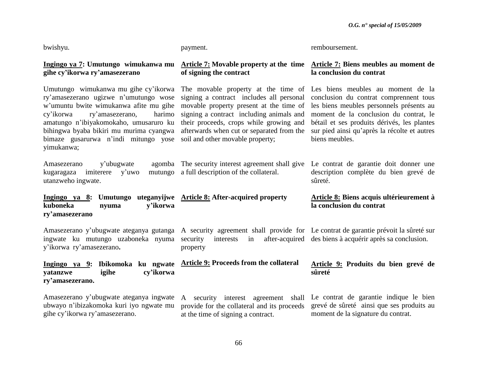| bwishyu.                                                                                                                                                                                                                                                                                                     | payment.                                                                                                                                                                                                                                                                                                                             | remboursement.                                                                                                                                                                                                                                |  |
|--------------------------------------------------------------------------------------------------------------------------------------------------------------------------------------------------------------------------------------------------------------------------------------------------------------|--------------------------------------------------------------------------------------------------------------------------------------------------------------------------------------------------------------------------------------------------------------------------------------------------------------------------------------|-----------------------------------------------------------------------------------------------------------------------------------------------------------------------------------------------------------------------------------------------|--|
| Ingingo ya 7: Umutungo wimukanwa mu<br>gihe cy'ikorwa ry'amasezerano                                                                                                                                                                                                                                         | Article 7: Movable property at the time Article 7: Biens meubles au moment de<br>of signing the contract                                                                                                                                                                                                                             | la conclusion du contrat                                                                                                                                                                                                                      |  |
| Umutungo wimukanwa mu gihe cy'ikorwa<br>ry'amasezerano ugizwe n'umutungo wose<br>w'umuntu bwite wimukanwa afite mu gihe<br>ry'amasezerano,<br>cy'ikorwa<br>harimo<br>amatungo n'ibiyakomokaho, umusaruro ku<br>bihingwa byaba bikiri mu murima cyangwa<br>bimaze gusarurwa n'indi mitungo yose<br>yimukanwa; | The movable property at the time of Les biens meubles au moment de la<br>signing a contract includes all personal<br>movable property present at the time of<br>signing a contract including animals and<br>their proceeds, crops while growing and<br>afterwards when cut or separated from the<br>soil and other movable property; | conclusion du contrat comprennent tous<br>les biens meubles personnels présents au<br>moment de la conclusion du contrat, le<br>bétail et ses produits dérivés, les plantes<br>sur pied ainsi qu'après la récolte et autres<br>biens meubles. |  |
| Amasezerano<br>y'ubugwate<br>kugaragaza<br>imiterere<br>y'uwo<br>mutungo<br>utanzweho ingwate.                                                                                                                                                                                                               | agomba The security interest agreement shall give<br>a full description of the collateral.                                                                                                                                                                                                                                           | Le contrat de garantie doit donner une<br>description complète du bien grevé de<br>sûreté.                                                                                                                                                    |  |
| Ingingo ya 8: Umutungo uteganyijwe Article 8: After-acquired property<br>kuboneka<br>y'ikorwa<br>nyuma<br>ry'amasezerano                                                                                                                                                                                     |                                                                                                                                                                                                                                                                                                                                      | Article 8: Biens acquis ultérieurement à<br>la conclusion du contrat                                                                                                                                                                          |  |
| Amasezerano y'ubugwate ateganya gutanga A security agreement shall provide for Le contrat de garantie prévoit la sûreté sur<br>ingwate ku mutungo uzaboneka nyuma<br>y'ikorwa ry'amasezerano.                                                                                                                | interests<br>security<br>in<br>property                                                                                                                                                                                                                                                                                              | after-acquired des biens à acquérir après sa conclusion.                                                                                                                                                                                      |  |
| Ingingo ya 9: Ibikomoka ku ngwate Article 9: Proceeds from the collateral<br>cy'ikorwa<br>yatanzwe<br>igihe<br>ry'amasezerano.                                                                                                                                                                               |                                                                                                                                                                                                                                                                                                                                      | Article 9: Produits du bien grevé de<br>sûreté                                                                                                                                                                                                |  |
| Amasezerano y'ubugwate ateganya ingwate<br>ubwayo n'ibizakomoka kuri iyo ngwate mu<br>gihe cy'ikorwa ry'amasezerano.                                                                                                                                                                                         | A security interest agreement<br>shall<br>provide for the collateral and its proceeds<br>at the time of signing a contract.                                                                                                                                                                                                          | Le contrat de garantie indique le bien<br>grevé de sûreté ainsi que ses produits au<br>moment de la signature du contrat.                                                                                                                     |  |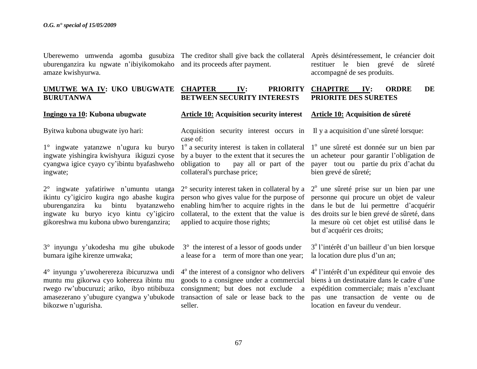Uberewemo umwenda agomba gusubiza The creditor shall give back the collateral uburenganzira ku ngwate n"ibiyikomokaho and its proceeds after payment. amaze kwishyurwa.

### UMUTWE WA IV: UKO UBUGWATE CHAPTER IV: PRIORITY **BURUTANWA**

### **Ingingo ya 10: Kubona ubugwate**

Byitwa kubona ubugwate iyo hari:

1° ingwate yatanzwe n"ugura ku buryo ingwate yishingira kwishyura ikiguzi cyose cyangwa igice cyayo cy"ibintu byafashweho ingwate;

2° ingwate yafatiriwe n"umuntu utanga ikintu cy"igiciro kugira ngo abashe kugira uburenganzira ku bintu byatanzweho ingwate ku buryo icyo kintu cy"igiciro gikoreshwa mu kubona ubwo burenganzira;

3° inyungu y"ukodesha mu gihe ubukode bumara igihe kirenze umwaka;

4° inyungu y"uwoherereza ibicuruzwa undi muntu mu gikorwa cyo kohereza ibintu mu rwego rw"ubucuruzi; ariko, ibyo ntibibuza amasezerano y"ubugure cyangwa y"ubukode transaction of sale or lease back to the bikozwe n"ugurisha.

**Article 10: Acquisition security interest** 

Acquisition security interest occurs in

2° security interest taken in collateral by a person who gives value for the purpose of enabling him/her to acquire rights in the collateral, to the extent that the value is

collateral's purchase price;

applied to acquire those rights;

case of:

seller.

Après désintéressement, le créancier doit restituer le bien grevé de sûreté accompagné de ses produits.

#### **BETWEEN SECURITY INTERESTS CHAPITRE IV: ORDRE DE PRIORITE DES SURETES**

### **Article 10: Acquisition de sûreté**

Il y a acquisition d"une sûreté lorsque:

1<sup>°</sup> a security interest is taken in collateral by a buyer to the extent that it secures the obligation to pay all or part of the 1<sup>°</sup> une sûreté est donnée sur un bien par un acheteur pour garantir l"obligation de payer tout ou partie du prix d"achat du bien grevé de sûreté;

> 2<sup>°</sup> une sûreté prise sur un bien par une personne qui procure un objet de valeur dans le but de lui permettre d"acquérir des droits sur le bien grevé de sûreté, dans la mesure où cet objet est utilisé dans le but d"acquérir ces droits;

3° the interest of a lessor of goods under a lease for a term of more than one year; 3<sup>°</sup> l'intérêt d'un bailleur d'un bien lorsque la location dure plus d'un an;

4<sup>°</sup> the interest of a consignor who delivers goods to a consignee under a commercial consignment; but does not exclude a 4 o l"intérêt d"un expéditeur qui envoie des biens à un destinataire dans le cadre d"une expédition commerciale; mais n"excluant pas une transaction de vente ou de location en faveur du vendeur.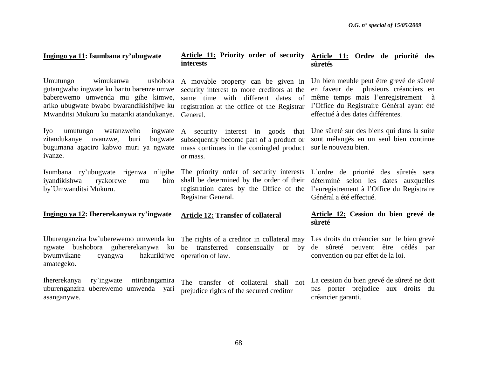**Article 11: Ordre de priorité des** 

**sûretés**

#### Umutungo wimukanwa ushobora gutangwaho ingwate ku bantu barenze umwe baberewemo umwenda mu gihe kimwe, ariko ubugwate bwabo bwarandikishijwe ku Mwanditsi Mukuru ku matariki atandukanye. General. Iyo umutungo watanzweho zitandukanye uvanzwe, buri bugwate bugumana agaciro kabwo muri ya ngwate mass continues in the comingled product ivanze. Isumbana ry'ubugwate rigenwa n'igihe The priority order of security interests L'ordre de priorité des sûretés sera iyandikishwa ryakorewe mu by"Umwanditsi Mukuru. A movable property can be given in security interest to more creditors at the same time with different dates of registration at the office of the Registrar A security interest in goods that subsequently become part of a product or or mass. shall be determined by the order of their déterminé selon les dates auxquelles registration dates by the Office of the l"enregistrement à l"Office du Registraire Registrar General. Un bien meuble peut être grevé de sûreté en faveur de plusieurs créanciers en même temps mais l"enregistrement à l"Office du Registraire Général ayant été effectué à des dates différentes. Une sûreté sur des biens qui dans la suite sont mélangés en un seul bien continue sur le nouveau bien. Général a été effectué.

**interests**

#### **Ingingo ya 12: Ihererekanywa ry'ingwate Article 12: Transfer of collateral**

**Ingingo ya 11: Isumbana ry'ubugwate**

Uburenganzira bw'uberewemo umwenda ku The rights of a creditor in collateral may ngwate bushobora guhererekanywa ku be transferred consensually or by bwumvikane cyangwa hakurikijwe operation of law. amategeko.

Ihererekanya ry"ingwate ntiribangamira uburenganzira uberewemo umwenda yari asanganywe.

**Article 11: Priority order of security** 

The transfer of collateral shall not prejudice rights of the secured creditor

### **Article 12: Cession du bien grevé de sûreté**

Les droits du créancier sur le bien grevé de sûreté peuvent être cédés par convention ou par effet de la loi.

La cession du bien grevé de sûreté ne doit pas porter préjudice aux droits du créancier garanti.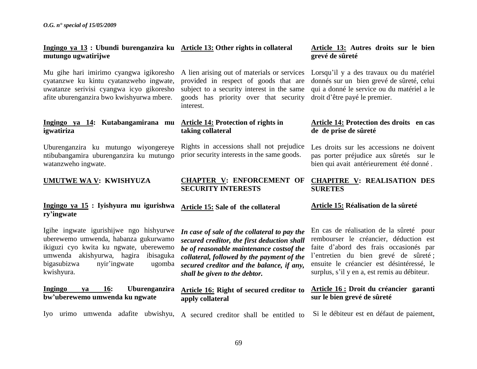### **Ingingo ya 13 : Ubundi burenganzira ku Article 13: Other rights in collateral mutungo ugwatirijwe**

Mu gihe hari imirimo cyangwa igikoresho cyatanzwe ku kintu cyatanzweho ingwate, uwatanze serivisi cyangwa icyo gikoresho afite uburenganzira bwo kwishyurwa mbere.

### **Ingingo ya 14: Kutabangamirana mu Article 14: Protection of rights in igwatiriza**

Uburenganzira ku mutungo wiyongereye ntibubangamira uburenganzira ku mutungo watanzweho ingwate.

### **UMUTWE WA V: KWISHYUZA**

### **Ingingo ya 15 : Iyishyura mu igurishwa ry'ingwate**

Igihe ingwate igurishijwe ngo hishyurwe uberewemo umwenda, habanza gukurwamo ikiguzi cyo kwita ku ngwate, uberewemo umwenda akishyurwa, hagira ibisaguka bigasubizwa nyir"ingwate ugomba kwishyura.

### **Ingingo ya 16: Uburenganzira bw'uberewemo umwenda ku ngwate**

A lien arising out of materials or services provided in respect of goods that are subject to a security interest in the same goods has priority over that security interest.

## **taking collateral**

**Article 15: Sale of the collateral** 

Rights in accessions shall not prejudice prior security interests in the same goods.

### **Article 13: Autres droits sur le bien grevé de sûreté**

Lorsqu"il y a des travaux ou du matériel donnés sur un bien grevé de sûreté, celui qui a donné le service ou du matériel a le droit d"être payé le premier.

### **Article 14: Protection des droits en cas de de prise de sûreté**

Les droits sur les accessions ne doivent pas porter préjudice aux sûretés sur le bien qui avait antérieurement été donné .

#### **CHAPTER V: ENFORCEMENT OF SECURITY INTERESTS CHAPITRE V: REALISATION DES SURETES**

### **Article 15: Réalisation de la sûreté**

*In case of sale of the collateral to pay the secured creditor, the first deduction shall be of reasonable maintenance costsof the collateral, followed by the payment of the secured creditor and the balance, if any, shall be given to the debtor.* 

### **Article 16: Right of secured creditor to apply collateral**

Iyo urimo umwenda adafite ubwishyu, A secured creditor shall be entitled to

En cas de réalisation de la sûreté pour rembourser le créancier, déduction est faite d"abord des frais occasionés par l"entretien du bien grevé de sûreté ; ensuite le créancier est désintéressé, le surplus, s"il y en a, est remis au débiteur.

### **Article 16 : Droit du créancier garanti sur le bien grevé de sûreté**

Si le débiteur est en défaut de paiement,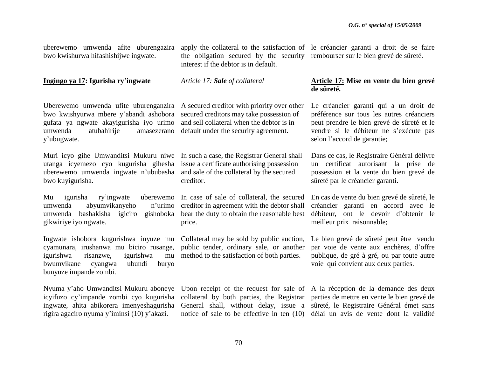uberewemo umwenda afite uburengazira bwo kwishurwa hifashishijwe ingwate.

**Ingingo ya 17: Igurisha ry'ingwate**

the obligation secured by the security rembourser sur le bien grevé de sûreté. interest if the debtor is in default.

*Article 17: Sale of collateral*

bwo kwishyurwa mbere y"abandi ashobora secured creditors may take possession of gufata ya ngwate akayigurisha iyo urimo and sell collateral when the debtor is in umwenda atubahirije amasezerano default under the security agreement. y"ubugwate.

Muri icyo gihe Umwanditsi Mukuru niwe In such a case, the Registrar General shall utanga icyemezo cyo kugurisha gihesha issue a certificate authorising possession uberewemo umwenda ingwate n"ububasha and sale of the collateral by the secured bwo kuyigurisha.

Mu igurisha ry'ingwate umwenda abyumvikanyeho umwenda bashakisha igiciro gishoboka bear the duty to obtain the reasonable best gikwiriye iyo ngwate.

Ingwate ishobora kugurishwa inyuze mu Collateral may be sold by public auction, cyamunara, irushanwa mu biciro rusange, public tender, ordinary sale, or another igurishwa risanzwe, igurishwa bwumvikane cyangwa ubundi buryo bunyuze impande zombi.

Nyuma y"aho Umwanditsi Mukuru aboneye Upon receipt of the request for sale of A la réception de la demande des deux icyifuzo cy"impande zombi cyo kugurisha collateral by both parties, the Registrar parties de mettre en vente le bien grevé de ingwate, ahita abikorera imenyeshagurisha General shall, without delay, issue a sûreté, le Registraire Général émet sans rigira agaciro nyuma y"iminsi (10) y"akazi.

Uberewemo umwenda ufite uburenganzira A secured creditor with priority over other

creditor.

uberewemo In case of sale of collateral, the secured n'urimo creditor in agreement with the debtor shall price.

mu method to the satisfaction of both parties.

apply the collateral to the satisfaction of le créancier garanti a droit de se faire

### **Article 17: Mise en vente du bien grevé de sûreté.**

Le créancier garanti qui a un droit de préférence sur tous les autres créanciers peut prendre le bien grevé de sûreté et le vendre si le débiteur ne s"exécute pas selon l"accord de garantie;

Dans ce cas, le Registraire Général délivre un certificat autorisant la prise de possession et la vente du bien grevé de sûreté par le créancier garanti.

En cas de vente du bien grevé de sûreté, le créancier garanti en accord avec le débiteur, ont le devoir d"obtenir le meilleur prix raisonnable;

Le bien grevé de sûreté peut être vendu par voie de vente aux enchères, d"offre publique, de gré à gré, ou par toute autre voie qui convient aux deux parties.

notice of sale to be effective in ten (10) délai un avis de vente dont la validité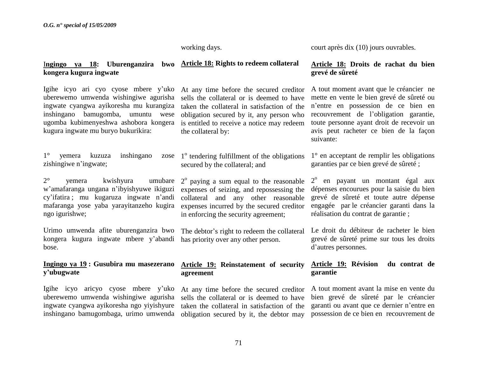working days.

### I**ngingo ya 18: Uburenganzira bwo Article 18: Rights to redeem collateral kongera kugura ingwate**

Igihe icyo ari cyo cyose mbere y"uko uberewemo umwenda wishingiwe agurisha sells the collateral or is deemed to have ingwate cyangwa ayikoresha mu kurangiza inshingano bamugomba, umuntu wese ugomba kubimenyeshwa ashobora kongera kugura ingwate mu buryo bukurikira:

1° yemera kuzuza inshingano zose zishingiwe n"ingwate;

2° yemera kwishyura umubare w"amafaranga ungana n"ibyishyuwe ikiguzi cy"ifatira ; mu kugaruza ingwate n"andi mafaranga yose yaba yarayitanzeho kugira ngo igurishwe;

Urimo umwenda afite uburenganzira bwo kongera kugura ingwate mbere y"abandi has priority over any other person. bose.

### **Ingingo ya 19 : Gusubira mu masezerano y'ubugwate**

Igihe icyo aricyo cyose mbere y"uko uberewemo umwenda wishingiwe agurisha ingwate cyangwa ayikoresha ngo yiyishyure inshingano bamugombaga, urimo umwenda obligation secured by it, the debtor may

At any time before the secured creditor taken the collateral in satisfaction of the obligation secured by it, any person who is entitled to receive a notice may redeem the collateral by:

1<sup>°</sup> tendering fulfillment of the obligations secured by the collateral; and

 $2^{\circ}$  paying a sum equal to the reasonable expenses of seizing, and repossessing the collateral and any other reasonable expenses incurred by the secured creditor in enforcing the security agreement;

The debtor's right to redeem the collateral

### **Article 19: Reinstatement of security agreement**

At any time before the secured creditor sells the collateral or is deemed to have taken the collateral in satisfaction of the court après dix (10) jours ouvrables.

### **Article 18: Droits de rachat du bien grevé de sûreté**

A tout moment avant que le créancier ne mette en vente le bien grevé de sûreté ou n"entre en possession de ce bien en recouvrement de l"obligation garantie, toute personne ayant droit de recevoir un avis peut racheter ce bien de la façon suivante:

1° en acceptant de remplir les obligations garanties par ce bien grevé de sûreté ;

2<sup>°</sup> en payant un montant égal aux dépenses encourues pour la saisie du bien grevé de sûreté et toute autre dépense engagée par le créancier garanti dans la réalisation du contrat de garantie ;

Le droit du débiteur de racheter le bien grevé de sûreté prime sur tous les droits d"autres personnes.

### **Article 19: Révision du contrat de garantie**

A tout moment avant la mise en vente du bien grevé de sûreté par le créancier garanti ou avant que ce dernier n"entre en possession de ce bien en recouvrement de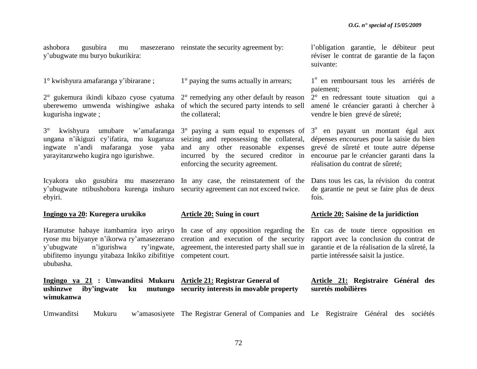ashobora gusubira mu masezerano reinstate the security agreement by: y"ubugwate mu buryo bukurikira:

**Ingingo ya 21 : Umwanditsi Mukuru Article 21: Registrar General of** 

1° kwishyura amafaranga y"ibirarane ;

2° gukemura ikindi kibazo cyose cyatuma 2° remedying any other default by reason uberewemo umwenda wishingiwe ashaka of which the secured party intends to sell kugurisha ingwate ;

 $3^{\circ}$  kwishyura umubare w'amafaranga  $3^{\circ}$  paying a sum equal to expenses of  $3^{\circ}$  en payant un montant égal aux ungana n"ikiguzi cy"ifatira, mu kugaruza seizing and repossessing the collateral, ingwate n"andi mafaranga yose yaba and any other reasonable expenses yarayitanzweho kugira ngo igurishwe.

Icyakora uko gusubira mu masezerano In any case, the reinstatement of the y"ubugwate ntibushobora kurenga inshuro security agreement can not exceed twice. ebyiri.

### **Ingingo ya 20: Kuregera urukiko**

**ushinzwe** iby'ingwate ku

**wimukanwa**

ryose mu bijyanye n'ikorwa ry'amasezerano creation and execution of the security y"ubugwate n"igurishwa ry"ingwate, agreement, the interested party shall sue in ubifitemo inyungu yitabaza Inkiko zibifitiye competent court. ububasha.

1° paying the sums actually in arrears;

the collateral;

incurred by the secured creditor in enforcing the security agreement.

### **Article 20: Suing in court**

**security interests in movable property**

l"obligation garantie, le débiteur peut réviser le contrat de garantie de la façon suivante:

1<sup>°</sup> en remboursant tous les arriérés de paiement;

2° en redressant toute situation qui a amené le créancier garanti à chercher à vendre le bien grevé de sûreté;

dépenses encourues pour la saisie du bien grevé de sûreté et toute autre dépense encourue par le créancier garanti dans la réalisation du contrat de sûreté;

Dans tous les cas, la révision du contrat de garantie ne peut se faire plus de deux fois.

### **Article 20: Saisine de la juridiction**

Haramutse habaye itambamira iryo ariryo In case of any opposition regarding the En cas de toute tierce opposition en rapport avec la conclusion du contrat de garantie et de la réalisation de la sûreté, la partie intéressée saisit la justice.

> **Article 21: Registraire Général des suretés mobilières**

Umwanditsi Mukuru w'amasosiyete The Registrar General of Companies and Le Registraire Général des sociétés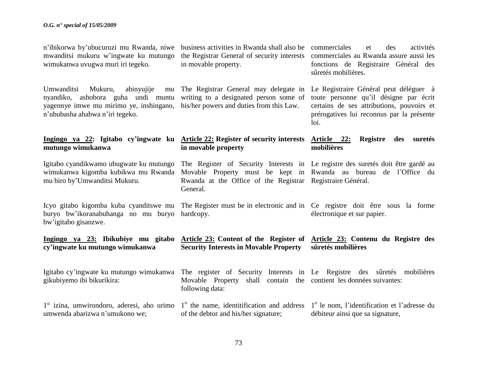| n'ibikorwa by'ubucuruzi mu Rwanda, niwe |  |  |  |  |  |  |
|-----------------------------------------|--|--|--|--|--|--|
| mwanditsi mukuru w'ingwate ku mutungo   |  |  |  |  |  |  |
| wimukanwa uvugwa muri iri tegeko.       |  |  |  |  |  |  |

Umwanditsi Mukuru, abinyujije nyandiko, ashobora guha undi muntu writing to a designated person some of yagennye imwe mu mirimo ye, inshingano, his/her powers and duties from this Law. n"ububasha ahabwa n"iri tegeko.

### **Ingingo ya 22: Igitabo cy'ingwate ku Article 22: Register of security interests mutungo wimukanwa**

mu biro by"Umwanditsi Mukuru.

buryo bw"ikoranabuhanga no mu buryo hardcopy. bw"igitabo gisanzwe.

### **Ingingo ya 23: Ibikubiye mu gitabo Article 23: Content of the Register of Article 23: Contenu du Registre des cy'ingwate ku mutungo wimukanwa Security Interests in Movable Property sûretés mobilières**

**in movable property**

General.

| Igitabo cy'ingwate ku mutungo wimukanwa The register of Security Interests in Le Registre des sûretés mobilières                                     |                                                                    |                                  |
|------------------------------------------------------------------------------------------------------------------------------------------------------|--------------------------------------------------------------------|----------------------------------|
| gikubiyemo ibi bikurikira:                                                                                                                           | Movable Property shall contain the contient les données suivantes: |                                  |
|                                                                                                                                                      | following data:                                                    |                                  |
| $1^\circ$ izina, umwirondoro, aderesi, aho urimo $1^\circ$ the name, identitification and address $1^\circ$ le nom, l'identification et l'adresse du |                                                                    |                                  |
| umwenda abarizwa n'umukono we;                                                                                                                       | of the debtor and his/her signature;                               | débiteur ainsi que sa signature, |

business activities in Rwanda shall also be commerciales et des activités the Registrar General of security interests in movable property.

commerciales au Rwanda assure aussi les fonctions de Registraire Général des sûretés mobilières.

The Registrar General may delegate in Le Registraire Général peut déléguer à toute personne qu"il désigne par écrit certains de ses attributions, pouvoirs et prérogatives lui reconnus par la présente loi.

### **Article 22: Registre des suretés mobilières**

Igitabo cyandikwamo ubugwate ku mutungo The Register of Security Interests in Le registre des suretés doit être gardé au wimukanwa kigomba kubikwa mu Rwanda Movable Property must be kept in Rwanda au bureau de l"Office du Rwanda at the Office of the Registrar Registraire Général.

Icyo gitabo kigomba kuba cyanditswe mu The Register must be in electronic and in Ce registre doit être sous la forme électronique et sur papier.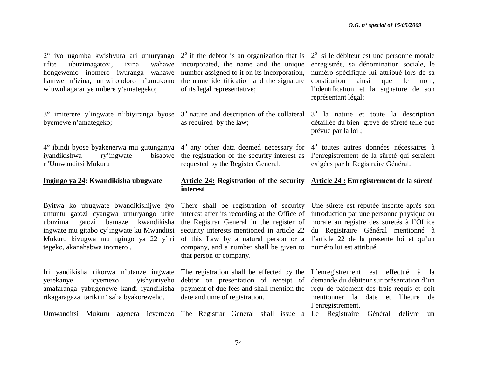$2^{\circ}$  si le débiteur est une personne morale enregistrée, sa dénomination sociale, le numéro spécifique lui attribué lors de sa constitution ainsi que le nom, l"identification et la signature de son

3<sup>°</sup> la nature et toute la description détaillée du bien grevé de sûreté telle que

l"enregistrement de la sûreté qui seraient

exigées par le Registraire Général.

représentant légal;

prévue par la loi ;

2° iyo ugomba kwishyura ari umuryango ufite ubuzimagatozi, izina hongewemo inomero iwuranga wahawe number assigned to it on its incorporation, hamwe n'izina, umwirondoro n'umukono the name identification and the signature w"uwuhagarariye imbere y"amategeko;

 $3^\circ$  imiterere y'ingwate n'ibiyiranga byose  $3^\circ$  nature and description of the collateral byemewe n"amategeko;

 $4^{\circ}$  ibindi byose byakenerwa mu gutunganya  $4^{\circ}$  any other data deemed necessary for  $4^{\circ}$  toutes autres données nécessaires à iyandikishwa ry'ingwate n"Umwanditsi Mukuru

### **Ingingo ya 24: Kwandikisha ubugwate**

Byitwa ko ubugwate bwandikishijwe iyo umuntu gatozi cyangwa umuryango ufite ubuzima gatozi bamaze kwandikisha ingwate mu gitabo cy"ingwate ku Mwanditsi Mukuru kivugwa mu ngingo ya 22 y"iri tegeko, akanahabwa inomero .

Iri yandikisha rikorwa n"utanze ingwate yerekanye icyemezo yishyuriyeho amafaranga yabugenewe kandi iyandikisha rikagaragaza itariki n"isaha byakoreweho.

 $2^{\circ}$  if the debtor is an organization that is wahawe incorporated, the name and the unique of its legal representative;

as required by the law;

bisabwe the registration of the security interest as requested by the Register General.

### **Article 24: Registration of the security Article 24 : Enregistrement de la sûreté interest**

company, and a number shall be given to numéro lui est attribué. that person or company.

There shall be registration of security Une sûreté est réputée inscrite après son interest after its recording at the Office of introduction par une personne physique ou the Registrar General in the register of morale au registre des suretés à l"Office security interests mentioned in article 22 du Registraire Général mentionné à of this Law by a natural person or a l"article 22 de la présente loi et qu"un

The registration shall be effected by the L"enregistrement est effectué à la date and time of registration.

debtor on presentation of receipt of demande du débiteur sur présentation d'un payment of due fees and shall mention the reçu de paiement des frais requis et doit mentionner la date et l"heure de l"enregistrement.

Umwanditsi Mukuru agenera icyemezo The Registrar General shall issue a Le Registraire Général délivre un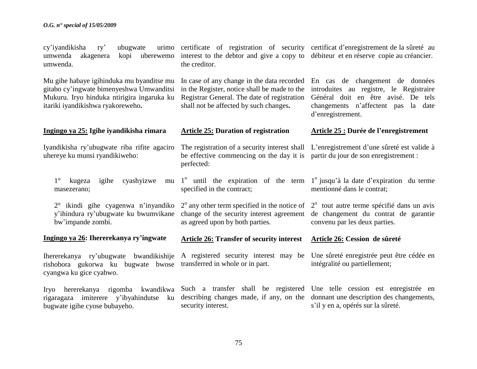| cy'iyandikisha<br>ubugwate<br>ry'<br>umwenda<br>akagenera<br>uberewemo<br>kopi<br>umwenda.                                                                               | urimo certificate of registration of security certificat d'enregistrement de la sûreté au<br>interest to the debtor and give a copy to débiteur et en réserve copie au créancier.<br>the creditor. |                                                                                                                                                                                  |  |
|--------------------------------------------------------------------------------------------------------------------------------------------------------------------------|----------------------------------------------------------------------------------------------------------------------------------------------------------------------------------------------------|----------------------------------------------------------------------------------------------------------------------------------------------------------------------------------|--|
| Mu gihe habaye igihinduka mu byanditse mu<br>gitabo cy'ingwate bimenyeshwa Umwanditsi<br>Mukuru. Iryo hinduka ntirigira ingaruka ku<br>itariki iyandikishwa ryakoreweho. | In case of any change in the data recorded<br>in the Register, notice shall be made to the<br>Registrar General. The date of registration<br>shall not be affected by such changes.                | En cas de changement de données<br>introduites au registre, le Registraire<br>Général doit en être avisé. De tels<br>changements n'affectent pas<br>la date<br>d'enregistrement. |  |
| Ingingo ya 25: Igihe iyandikisha rimara                                                                                                                                  | <b>Article 25: Duration of registration</b>                                                                                                                                                        | Article 25 : Durée de l'enregistrement                                                                                                                                           |  |
| Iyandikisha ry'ubugwate riba rifite agaciro<br>uhereye ku munsi ryandikiweho:                                                                                            | The registration of a security interest shall L'enregistrement d'une sûreté est valide à<br>be effective commencing on the day it is<br>perfected:                                                 | partir du jour de son enregistrement :                                                                                                                                           |  |
| cyashyizwe<br>$1^{\circ}$<br>igihe<br>kugeza<br>mu<br>masezerano;                                                                                                        | $1^{\circ}$ until the expiration of the term $1^{\circ}$ jusqu'à la date d'expiration du terme<br>specified in the contract;                                                                       | mentionné dans le contrat;                                                                                                                                                       |  |
| $2^{\circ}$ ikindi gihe cyagenwa n'inyandiko<br>y'ihindura ry'ubugwate ku bwumvikane<br>bw'impande zombi.                                                                | $2^{\circ}$ any other term specified in the notice of<br>change of the security interest agreement<br>as agreed upon by both parties.                                                              | 2 <sup>°</sup> tout autre terme spécifié dans un avis<br>de changement du contrat de garantie<br>convenu par les deux parties.                                                   |  |
| Ingingo ya 26: Ihererekanya ry'ingwate                                                                                                                                   | <b>Article 26: Transfer of security interest</b>                                                                                                                                                   | Article 26: Cession de sûreté                                                                                                                                                    |  |
| Ihererekanya ry'ubugwate bwandikishije<br>rishobora gukorwa ku bugwate bwose<br>cyangwa ku gice cyabwo.                                                                  | A registered security interest may be<br>transferred in whole or in part.                                                                                                                          | Une sûreté enregistrée peut être cédée en<br>intégralité ou partiellement;                                                                                                       |  |
| hererekanya rigomba kwandikwa<br><b>Iryo</b><br>rigaragaza imiterere y'ibyahindutse<br>ku<br>bugwate igihe cyose bubayeho.                                               | Such a transfer shall be registered Une telle cession est enregistrée en<br>describing changes made, if any, on the donnant une description des changements,<br>security interest.                 | s'il y en a, opérés sur la sûreté.                                                                                                                                               |  |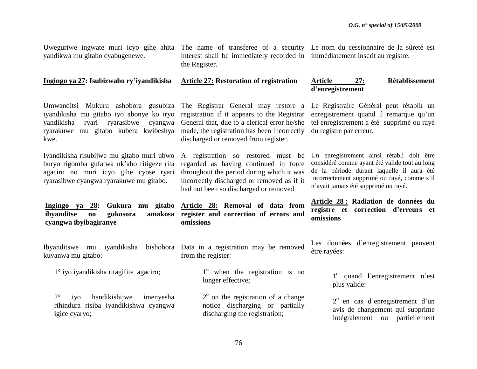Uweguriwe ingwate muri icyo gihe ahita The name of transferee of a security Le nom du cessionnaire de la sûreté est yandikwa mu gitabo cyabugenewe.

**Ingingo ya 27: Isubizwaho ry'iyandikisha**

interest shall be immediately recorded in immédiatement inscrit au registre. the Register.

**Article 27: Restoration of registration**

### **Article 27: Rétablissement d'enregistrement**

Umwanditsi Mukuru ashobora gusubiza The Registrar General may restore a iyandikisha mu gitabo iyo abonye ko iryo registration if it appears to the Registrar yandikisha ryari ryarasibwe cyangwa General that, due to a clerical error he/she ryarakuwe mu gitabo kubera kwibeshya made, the registration has been incorrectly kwe.

Iyandikisha risubijwe mu gitabo muri ubwo buryo rigomba gufatwa nk"aho ritigeze rita agaciro no muri icyo gihe cyose ryari ryarasibwe cyangwa ryarakuwe mu gitabo.

**Ingingo ya 28: Gukura mu gitabo Article 28: Removal of data from ibyanditse no gukosora cyangwa ibyibagiranye** amakosa register and correction of errors and

Ibyanditswe mu iyandikisha kuvanwa mu gitabo:

1° iyo iyandikisha ritagifite agaciro;

2° iyo handikishijwe imenyesha rihindura risiba iyandikishwa cyangwa igice cyaryo;

discharged or removed from register.

A registration so restored must be regarded as having continued in force throughout the period during which it was incorrectly discharged or removed as if it had not been so discharged or removed.

Le Registraire Général peut rétablir un enregistrement quand il remarque qu'un tel enregistrement a été supprimé ou rayé du registre par erreur.

Un enregistrement ainsi rétabli doit être considéré comme ayant été valide tout au long de la période durant laquelle il aura été incorrectement supprimé ou rayé, comme s"il n"avait jamais été supprimé ou rayé.

**Article 28 : Radiation de données du registre et correction d'erreurs et omissions**

bishobora Data in a registration may be removed from the register:

**omissions**

1<sup>°</sup> when the registration is no longer effective;

 $2^{\circ}$  on the registration of a change notice discharging or partially discharging the registration;

Les données d'enregistrement peuvent être rayées:

> 1<sup>°</sup> quand l'enregistrement n'est plus valide:

> 2<sup>°</sup> en cas d'enregistrement d'un avis de changement qui supprime intégralement ou partiellement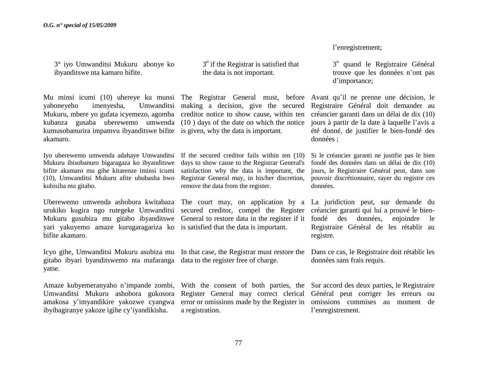3° iyo Umwanditsi Mukuru abonye ko ibyanditswe nta kamaro bifite.

Mu minsi icumi (10) uhereye ku munsi The Registrar General must, before Avant qu"il ne prenne une décision, le yaboneyeho imenyesha, Umwanditsi making a decision, give the secured Mukuru, mbere yo gufata icyemezo, agomba creditor notice to show cause, within ten kubanza gusaba uberewemo umwenda (10 ) days of the date on which the notice kumusobanurira impamvu ibyanditswe bifite is given, why the data is important. akamaro.

Mukuru ibisobanuro bigaragaza ko ibyanditswe bifite akamaro mu gihe kitarenze iminsi icumi satisfaction why the data is important, the (10), Umwanditsi Mukuru afite ububasha bwo kubisiba mu gitabo.

Uberewemo umwenda ashobora kwitabaza The court may, on application by a La juridiction peut, sur demande du urukiko kugira ngo rutegeke Umwanditsi secured creditor, compel the Register Mukuru gusubiza mu gitabo ibyanditswe General to restore data in the register if it yari yakuyemo amaze kurugaragariza ko is satisfied that the data is important. bifite akamaro.

Icyo gihe, Umwanditsi Mukuru asubiza mu In that case, the Registrar must restore the gitabo ibyari byanditswemo nta mafaranga data to the register free of charge. yatse.

Umwanditsi Mukuru ashobora gukosora amakosa y"imyandikire yakozwe cyangwa ibyibagiranye yakoze igihe cy"iyandikisha.

3<sup>°</sup> if the Registrar is satisfied that the data is not important.

Iyo uberewemo umwenda adahaye Umwanditsi If the secured creditor fails within ten (10) days to show cause to the Registrar General's Registrar General may, in his/her discretion, remove the data from the register.

Register General may correct clerical a registration.

l"enregistrement;

3º quand le Registraire Général trouve que les données n"ont pas d'importance:

Registraire Général doit demander au créancier garanti dans un délai de dix (10) jours à partir de la date à laquelle l"avis a été donné, de justifier le bien-fondé des données ;

Si le créancier garanti ne justifie pas le bien fondé des données dans un délai de dix (10) jours, le Registraire Général peut, dans son pouvoir discrétionnaire, rayer du registre ces données.

créancier garanti qui lui a prouvé le bienfondé des données, enjoindre le Registraire Général de les rétablir au registre.

Dans ce cas, le Registraire doit rétablir les données sans frais requis.

Amaze kubyemeranyaho n"impande zombi, With the consent of both parties, the Sur accord des deux parties, le Registraire error or omissions made by the Register in omissions commises au moment de Général peut corriger les erreurs ou l"enregistrement.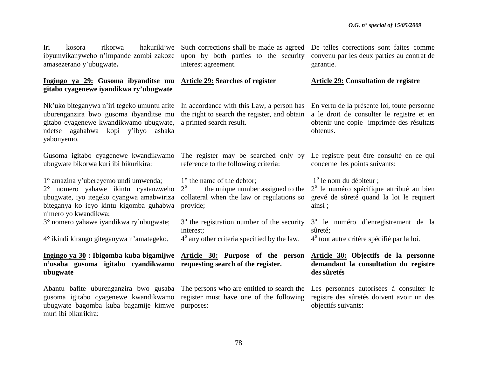ibyumvikanyweho n"impande zombi zakoze upon by both parties to the security amasezerano y"ubugwate**.** 

### **Ingingo ya 29: Gusoma ibyanditse mu Article 29: Searches of register gitabo cyagenewe iyandikwa ry'ubugwate**

Nk'uko biteganywa n'iri tegeko umuntu afite In accordance with this Law, a person has uburenganzira bwo gusoma ibyanditse mu gitabo cyagenewe kwandikwamo ubugwate, a printed search result. ndetse agahabwa kopi y"ibyo ashaka yabonyemo.

Gusoma igitabo cyagenewe kwandikwamo ubugwate bikorwa kuri ibi bikurikira:

1° amazina y"ubereyemo undi umwenda;

2° nomero yahawe ikintu cyatanzweho ubugwate, iyo itegeko cyangwa amabwiriza biteganya ko icyo kintu kigomba guhabwa provide; nimero yo kwandikwa;

3° nomero yahawe iyandikwa ry"ubugwate;

4° ikindi kirango giteganywa n"amategeko.

### **Ingingo ya 30 : Ibigomba kuba bigamijwe Article 30: Purpose of the person n'usaba gusoma igitabo cyandikwamo requesting search of the register. ubugwate**

Abantu bafite uburenganzira bwo gusaba The persons who are entitled to search the gusoma igitabo cyagenewe kwandikwamo register must have one of the following ubugwate bagomba kuba bagamije kimwe purposes: muri ibi bikurikira:

Iri kosora rikorwa hakurikijwe Such corrections shall be made as agreed De telles corrections sont faites comme interest agreement.

the right to search the register, and obtain

The register may be searched only by reference to the following criteria:

1**°** the name of the debtor;

 $2^{\circ}$ the unique number assigned to the collateral when the law or regulations so

3<sup>°</sup> the registration number of the security interest; 4<sup>°</sup> any other criteria specified by the law.

convenu par les deux parties au contrat de garantie.

### **Article 29: Consultation de registre**

En vertu de la présente loi, toute personne a le droit de consulter le registre et en obtenir une copie imprimée des résultats obtenus.

Le registre peut être consulté en ce qui concerne les points suivants:

1<sup>°</sup> le nom du débiteur ;

2<sup>°</sup> le numéro spécifique attribué au bien grevé de sûreté quand la loi le requiert ainsi ;

3<sup>°</sup> le numéro d'enregistrement de la sûreté;

4<sup>°</sup> tout autre critère spécifié par la loi.

### **Article 30: Objectifs de la personne demandant la consultation du registre des sûretés**

Les personnes autorisées à consulter le registre des sûretés doivent avoir un des objectifs suivants: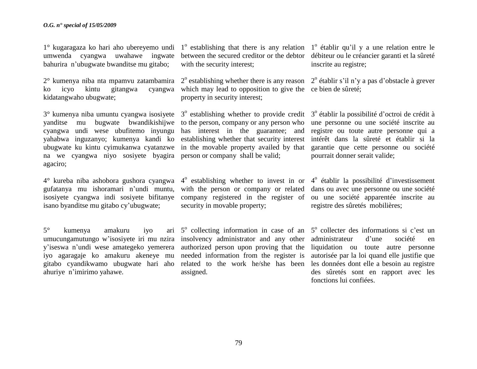1° kugaragaza ko hari aho ubereyemo undi 1° establishing that there is any relation 1° établir qu'il y a une relation entre le umwenda cyangwa uwahawe ingwate bahurira n"ubugwate bwanditse mu gitabo;

 $2^{\circ}$  kumenya niba nta mpamvu zatambamira  $2^{\circ}$  establishing whether there is any reason  $2^{\circ}$  établir s'il n'y a pas d'obstacle à grever ko icyo kintu gitangwa kidatangwaho ubugwate;

 $3^\circ$  kumenya niba umuntu cyangwa isosiyete  $3^\circ$  establishing whether to provide credit  $3^\circ$  établir la possibilité d'octroi de crédit à yanditse mu bugwate bwandikishijwe to the person, company or any person who cyangwa undi wese ubufitemo inyungu has interest in the guarantee; and yahabwa inguzanyo; kumenya kandi ko establishing whether that security interest ubugwate ku kintu cyimukanwa cyatanzwe in the movable property availed by that na we cyangwa niyo sosiyete byagira person or company shall be valid; agaciro;

 $4^{\circ}$  kureba niba ashobora gushora cyangwa  $4^{\circ}$  establishing whether to invest in or  $4^{\circ}$  établir la possibilité d'investissement gufatanya mu ishoramari n"undi muntu, isosiyete cyangwa indi sosiyete bifitanye company registered in the register of ou une société apparentée inscrite au isano byanditse mu gitabo cy"ubugwate;

 $5^\circ$  kumenya amakuru iyo umucungamutungo w"isosiyete iri mu nzira insolvency administrator and any other y"iseswa n"undi wese amategeko yemerera authorized person upon proving that the iyo agaragaje ko amakuru akeneye mu needed information from the register is gitabo cyandikwamo ubugwate hari aho related to the work he/she has been ahuriye n"imirimo yahawe.

between the secured creditor or the debtor débiteur ou le créancier garanti et la sûreté with the security interest;

which may lead to opposition to give the ce bien de sûreté; property in security interest;

with the person or company or related security in movable property;

 $5^\circ$  collecting information in case of an  $5^\circ$  collecter des informations si c'est un assigned.

inscrite au registre;

une personne ou une société inscrite au registre ou toute autre personne qui a intérêt dans la sûreté et établir si la garantie que cette personne ou société pourrait donner serait valide;

dans ou avec une personne ou une société registre des sûretés mobilières;

administrateur d"une société en liquidation ou toute autre personne autorisée par la loi quand elle justifie que les données dont elle a besoin au registre des sûretés sont en rapport avec les fonctions lui confiées.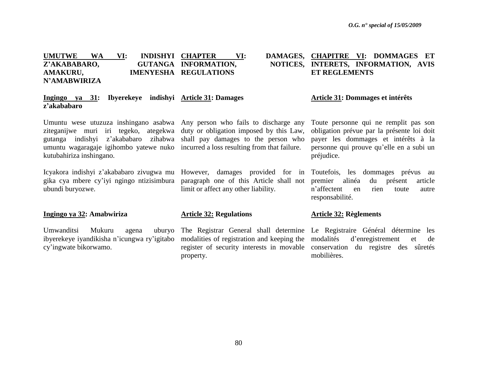### **UMUTWE WA VI: INDISHYI CHAPTER** Z'AKABABARO, **AMAKURU, IMENYESHA REGULATIONS N'AMABWIRIZA CHAPTER VI: DAMAGES, CHAPITRE VI: DOMMAGES ET GUTANGA INFORMATION, NOTICES, INTERETS, INFORMATION, AVIS ET REGLEMENTS**

### **Ingingo ya 31: Ibyerekeye indishyi Article 31: Damages z'akababaro**

Umuntu wese utuzuza inshingano asabwa Any person who fails to discharge any ziteganijwe muri iri tegeko, ategekwa duty or obligation imposed by this Law, gutanga indishyi z"akababaro zihabwa shall pay damages to the person who umuntu wagaragaje igihombo yatewe nuko incurred a loss resulting from that failure. kutubahiriza inshingano.

Icyakora indishyi z'akababaro zivugwa mu However, damages provided for in Toutefois, les dommages prévus au gika cya mbere cy"iyi ngingo ntizisimbura paragraph one of this Article shall not ubundi buryozwe.

### **Ingingo ya 32: Amabwiriza**

Umwanditsi Mukuru agena ibyerekeye iyandikisha n"icungwa ry"igitabo modalities of registration and keeping the cy"ingwate bikorwamo.

limit or affect any other liability.

### **Article 32: Regulations**

property.

## **Article 31: Dommages et intérêts**

Toute personne qui ne remplit pas son obligation prévue par la présente loi doit payer les dommages et intérêts à la personne qui prouve qu"elle en a subi un préjudice.

premier alinéa du présent article n"affectent en rien toute autre responsabilité.

### **Article 32: Règlements**

The Registrar General shall determine Le Registraire Général détermine les register of security interests in movable conservation du registre des sûretés d'enregistrement et de mobilières.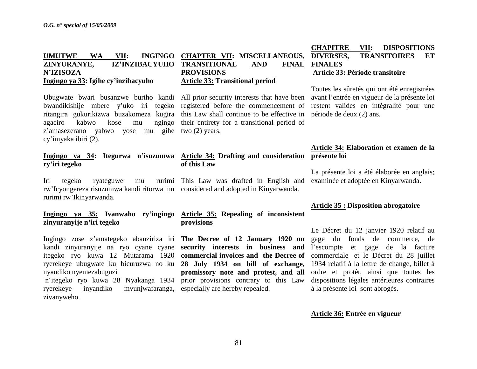# **N'IZISOZA Ingingo ya 33: Igihe cy'inzibacyuho**

Ubugwate bwari busanzwe buriho kandi All prior security interests that have been bwandikishije mbere y'uko iri tegeko registered before the commencement of ritangira gukurikizwa buzakomeza kugira this Law shall continue to be effective in agaciro kabwo kose mu ngingo their entirety for a transitional period of z"amasezerano yabwo yose mu gihe two (2) years. cy"imyaka ibiri (2).

# **ry'iri tegeko**

Iri tegeko ryateguwe mu rw"Icyongereza risuzumwa kandi ritorwa mu considered and adopted in Kinyarwanda. rurimi rw"Ikinyarwanda.

## **zinyuranyije n'iri tegeko**

kandi zinyuranyije na ryo cyane cyane **security interests in business and**  itegeko ryo kuwa 12 Mutarama 1920 **commercial invoices and the Decree of**  commerciale et le Décret du 28 juillet ryerekeye ubugwate ku bicuruzwa no ku **28 July 1934 on bill of exchange,** 1934 relatif à la lettre de change, billet à nyandiko nyemezabuguzi n"itegeko ryo kuwa 28 Nyakanga 1934 prior provisions contrary to this Law

ryerekeye inyandiko zivanyweho.

### **UMUTWE WA VII: INGINGO CHAPTER VII: MISCELLANEOUS, ZINYURANYE, IZ'INZIBACYUHO TRANSITIONAL AND FINAL PROVISIONS Article 33: Transitional period**

### **Ingingo ya 34: Itegurwa n'isuzumwa Article 34: Drafting and consideration présente loi of this Law**

This Law was drafted in English and

### **Ingingo ya 35: Ivanwaho ry'ingingo Article 35: Repealing of inconsistent provisions**

Ingingo zose z"amategeko abanziriza iri **The Decree of 12 January 1920 on promissory note and protest, and all** m vunjwafaranga, especially are hereby repealed.

## **CHAPITRE VII: DISPOSITIONS DIVERSES, TRANSITOIRES ET FINALES Article 33: Période transitoire**

Toutes les sûretés qui ont été enregistrées avant l"entrée en vigueur de la présente loi restent valides en intégralité pour une période de deux (2) ans.

# **Article 34: Elaboration et examen de la**

La présente loi a été élaborée en anglais; examinée et adoptée en Kinyarwanda.

## **Article 35 : Disposition abrogatoire**

Le Décret du 12 janvier 1920 relatif au gage du fonds de commerce, de l"escompte et gage de la facture ordre et protêt, ainsi que toutes les dispositions légales antérieures contraires à la présente loi sont abrogés.

### **Article 36: Entrée en vigueur**